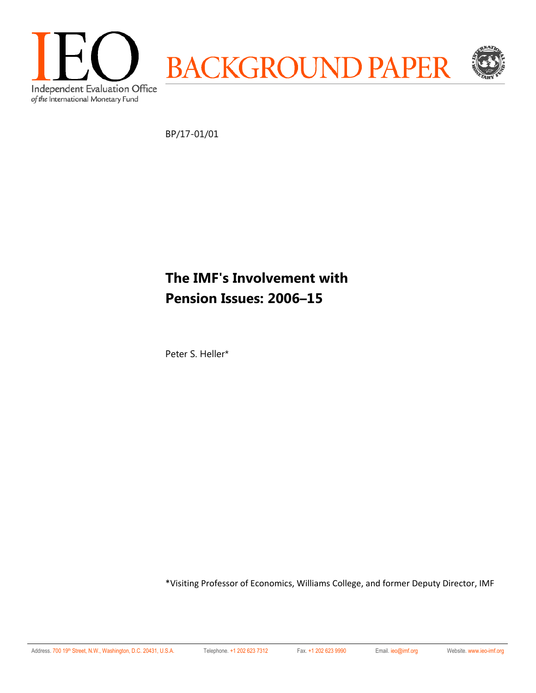

BP/17-01/01

# **The IMF's Involvement with Pension Issues: 2006–15**

Peter S. Heller\*

\*Visiting Professor of Economics, Williams College, and former Deputy Director, IMF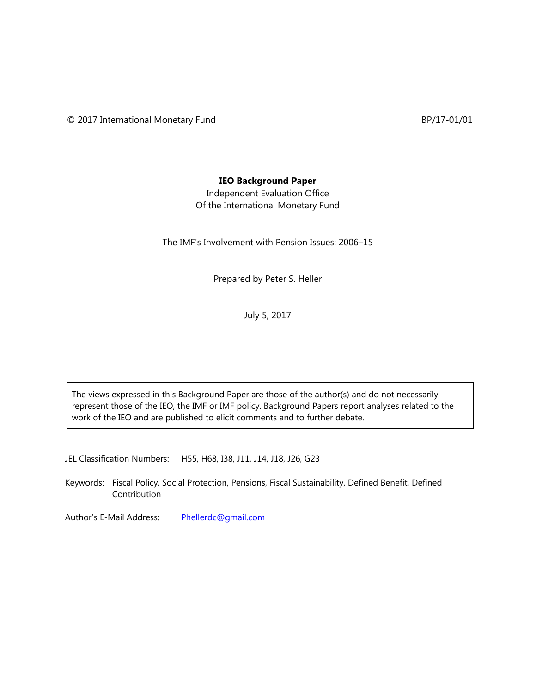## **IEO Background Paper**

Independent Evaluation Office Of the International Monetary Fund

The IMF's Involvement with Pension Issues: 2006–15

Prepared by Peter S. Heller

July 5, 2017

The views expressed in this Background Paper are those of the author(s) and do not necessarily represent those of the IEO, the IMF or IMF policy. Background Papers report analyses related to the work of the IEO and are published to elicit comments and to further debate.

JEL Classification Numbers: H55, H68, I38, J11, J14, J18, J26, G23

Keywords: Fiscal Policy, Social Protection, Pensions, Fiscal Sustainability, Defined Benefit, Defined Contribution

Author's E-Mail Address: Phellerdc@gmail.com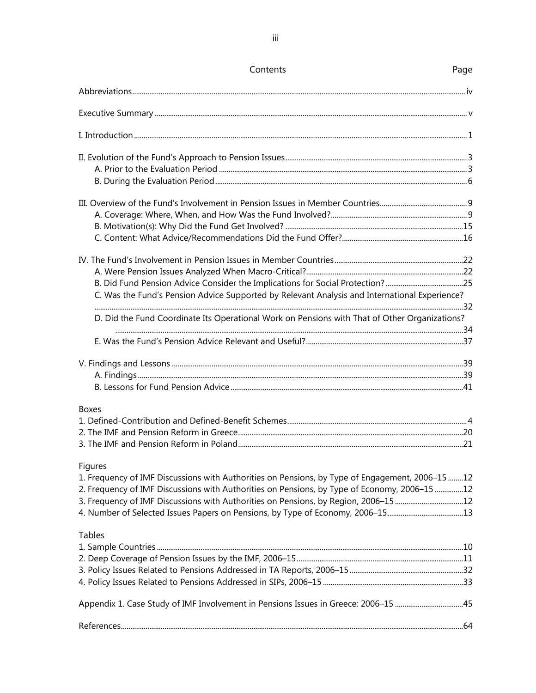| Contents                                                                                                  | Page |
|-----------------------------------------------------------------------------------------------------------|------|
|                                                                                                           |      |
|                                                                                                           |      |
|                                                                                                           |      |
|                                                                                                           |      |
|                                                                                                           |      |
|                                                                                                           |      |
|                                                                                                           |      |
|                                                                                                           |      |
|                                                                                                           |      |
|                                                                                                           |      |
|                                                                                                           |      |
|                                                                                                           |      |
| B. Did Fund Pension Advice Consider the Implications for Social Protection?25                             |      |
| C. Was the Fund's Pension Advice Supported by Relevant Analysis and International Experience?             |      |
| D. Did the Fund Coordinate Its Operational Work on Pensions with That of Other Organizations?             |      |
|                                                                                                           |      |
|                                                                                                           |      |
|                                                                                                           |      |
|                                                                                                           |      |
|                                                                                                           |      |
| <b>Boxes</b>                                                                                              |      |
|                                                                                                           |      |
|                                                                                                           |      |
|                                                                                                           |      |
| Figures<br>1. Frequency of IMF Discussions with Authorities on Pensions, by Type of Engagement, 2006-1512 |      |
| 2. Frequency of IMF Discussions with Authorities on Pensions, by Type of Economy, 2006-15 12              |      |
| 3. Frequency of IMF Discussions with Authorities on Pensions, by Region, 2006-15 12                       |      |
| 4. Number of Selected Issues Papers on Pensions, by Type of Economy, 2006-1513                            |      |
| <b>Tables</b>                                                                                             |      |
|                                                                                                           |      |
|                                                                                                           |      |
|                                                                                                           |      |
|                                                                                                           |      |
| Appendix 1. Case Study of IMF Involvement in Pensions Issues in Greece: 2006-15 45                        |      |
|                                                                                                           |      |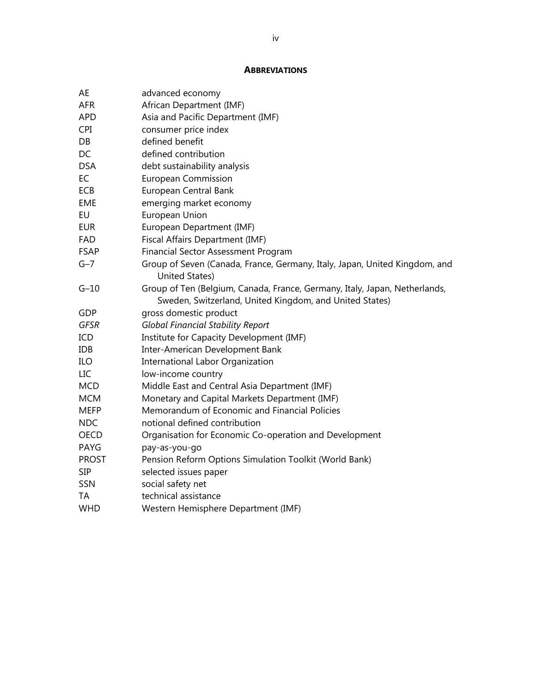#### **ABBREVIATIONS**

| AE           | advanced economy                                                                                                                      |
|--------------|---------------------------------------------------------------------------------------------------------------------------------------|
| <b>AFR</b>   | African Department (IMF)                                                                                                              |
| <b>APD</b>   | Asia and Pacific Department (IMF)                                                                                                     |
| <b>CPI</b>   | consumer price index                                                                                                                  |
| DB           | defined benefit                                                                                                                       |
| DC           | defined contribution                                                                                                                  |
| <b>DSA</b>   | debt sustainability analysis                                                                                                          |
| EC           | <b>European Commission</b>                                                                                                            |
| ECB          | European Central Bank                                                                                                                 |
| <b>EME</b>   | emerging market economy                                                                                                               |
| EU           | European Union                                                                                                                        |
| <b>EUR</b>   | European Department (IMF)                                                                                                             |
| <b>FAD</b>   | Fiscal Affairs Department (IMF)                                                                                                       |
| <b>FSAP</b>  | <b>Financial Sector Assessment Program</b>                                                                                            |
| $G-7$        | Group of Seven (Canada, France, Germany, Italy, Japan, United Kingdom, and                                                            |
|              | United States)                                                                                                                        |
| $G-10$       | Group of Ten (Belgium, Canada, France, Germany, Italy, Japan, Netherlands,<br>Sweden, Switzerland, United Kingdom, and United States) |
| GDP          | gross domestic product                                                                                                                |
| <b>GFSR</b>  | <b>Global Financial Stability Report</b>                                                                                              |
| ICD          | Institute for Capacity Development (IMF)                                                                                              |
| <b>IDB</b>   | Inter-American Development Bank                                                                                                       |
| ILO          | <b>International Labor Organization</b>                                                                                               |
| LIC          | low-income country                                                                                                                    |
| <b>MCD</b>   | Middle East and Central Asia Department (IMF)                                                                                         |
| <b>MCM</b>   | Monetary and Capital Markets Department (IMF)                                                                                         |
| <b>MEFP</b>  | Memorandum of Economic and Financial Policies                                                                                         |
| <b>NDC</b>   | notional defined contribution                                                                                                         |
| <b>OECD</b>  | Organisation for Economic Co-operation and Development                                                                                |
| PAYG         | pay-as-you-go                                                                                                                         |
| <b>PROST</b> | Pension Reform Options Simulation Toolkit (World Bank)                                                                                |
| <b>SIP</b>   | selected issues paper                                                                                                                 |
| SSN          | social safety net                                                                                                                     |
| <b>TA</b>    | technical assistance                                                                                                                  |
| <b>WHD</b>   | Western Hemisphere Department (IMF)                                                                                                   |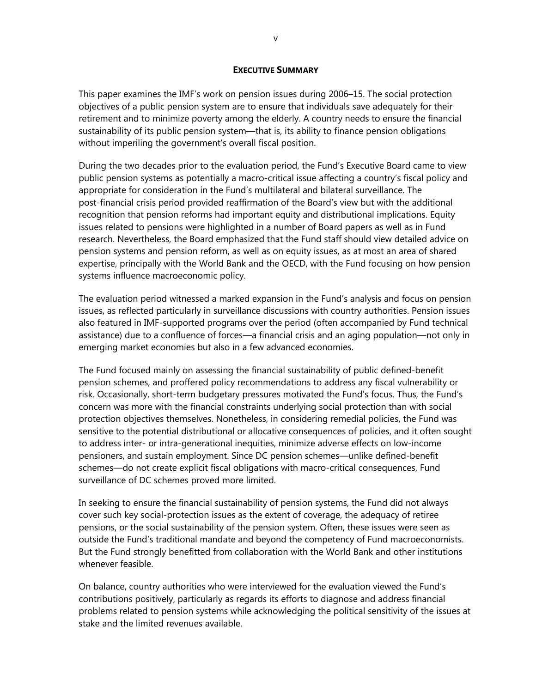#### **EXECUTIVE SUMMARY**

This paper examines the IMF's work on pension issues during 2006–15. The social protection objectives of a public pension system are to ensure that individuals save adequately for their retirement and to minimize poverty among the elderly. A country needs to ensure the financial sustainability of its public pension system—that is, its ability to finance pension obligations without imperiling the government's overall fiscal position.

During the two decades prior to the evaluation period, the Fund's Executive Board came to view public pension systems as potentially a macro-critical issue affecting a country's fiscal policy and appropriate for consideration in the Fund's multilateral and bilateral surveillance. The post-financial crisis period provided reaffirmation of the Board's view but with the additional recognition that pension reforms had important equity and distributional implications. Equity issues related to pensions were highlighted in a number of Board papers as well as in Fund research. Nevertheless, the Board emphasized that the Fund staff should view detailed advice on pension systems and pension reform, as well as on equity issues, as at most an area of shared expertise, principally with the World Bank and the OECD, with the Fund focusing on how pension systems influence macroeconomic policy.

The evaluation period witnessed a marked expansion in the Fund's analysis and focus on pension issues, as reflected particularly in surveillance discussions with country authorities. Pension issues also featured in IMF-supported programs over the period (often accompanied by Fund technical assistance) due to a confluence of forces—a financial crisis and an aging population—not only in emerging market economies but also in a few advanced economies.

The Fund focused mainly on assessing the financial sustainability of public defined-benefit pension schemes, and proffered policy recommendations to address any fiscal vulnerability or risk. Occasionally, short-term budgetary pressures motivated the Fund's focus. Thus, the Fund's concern was more with the financial constraints underlying social protection than with social protection objectives themselves. Nonetheless, in considering remedial policies, the Fund was sensitive to the potential distributional or allocative consequences of policies, and it often sought to address inter- or intra-generational inequities, minimize adverse effects on low-income pensioners, and sustain employment. Since DC pension schemes—unlike defined-benefit schemes—do not create explicit fiscal obligations with macro-critical consequences, Fund surveillance of DC schemes proved more limited.

In seeking to ensure the financial sustainability of pension systems, the Fund did not always cover such key social-protection issues as the extent of coverage, the adequacy of retiree pensions, or the social sustainability of the pension system. Often, these issues were seen as outside the Fund's traditional mandate and beyond the competency of Fund macroeconomists. But the Fund strongly benefitted from collaboration with the World Bank and other institutions whenever feasible.

On balance, country authorities who were interviewed for the evaluation viewed the Fund's contributions positively, particularly as regards its efforts to diagnose and address financial problems related to pension systems while acknowledging the political sensitivity of the issues at stake and the limited revenues available.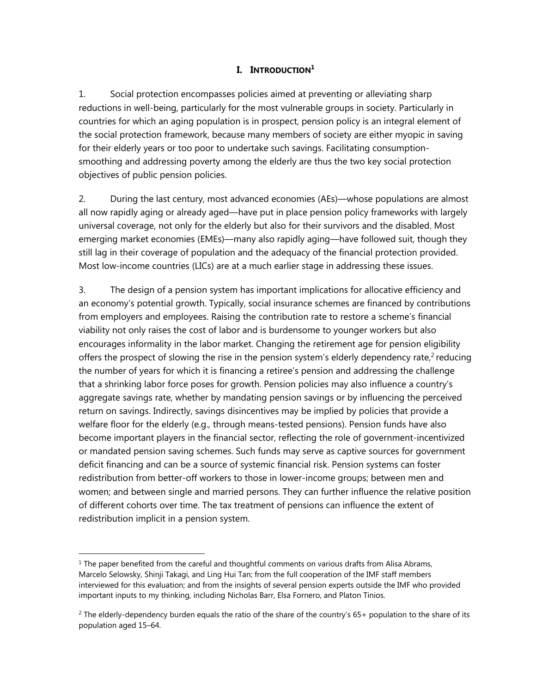# **I.** INTRODUCTION<sup>1</sup>

1. Social protection encompasses policies aimed at preventing or alleviating sharp reductions in well-being, particularly for the most vulnerable groups in society. Particularly in countries for which an aging population is in prospect, pension policy is an integral element of the social protection framework, because many members of society are either myopic in saving for their elderly years or too poor to undertake such savings. Facilitating consumptionsmoothing and addressing poverty among the elderly are thus the two key social protection objectives of public pension policies.

2. During the last century, most advanced economies (AEs)—whose populations are almost all now rapidly aging or already aged—have put in place pension policy frameworks with largely universal coverage, not only for the elderly but also for their survivors and the disabled. Most emerging market economies (EMEs)—many also rapidly aging—have followed suit, though they still lag in their coverage of population and the adequacy of the financial protection provided. Most low-income countries (LICs) are at a much earlier stage in addressing these issues.

3. The design of a pension system has important implications for allocative efficiency and an economy's potential growth. Typically, social insurance schemes are financed by contributions from employers and employees. Raising the contribution rate to restore a scheme's financial viability not only raises the cost of labor and is burdensome to younger workers but also encourages informality in the labor market. Changing the retirement age for pension eligibility offers the prospect of slowing the rise in the pension system's elderly dependency rate, $2$  reducing the number of years for which it is financing a retiree's pension and addressing the challenge that a shrinking labor force poses for growth. Pension policies may also influence a country's aggregate savings rate, whether by mandating pension savings or by influencing the perceived return on savings. Indirectly, savings disincentives may be implied by policies that provide a welfare floor for the elderly (e.g., through means-tested pensions). Pension funds have also become important players in the financial sector, reflecting the role of government-incentivized or mandated pension saving schemes. Such funds may serve as captive sources for government deficit financing and can be a source of systemic financial risk. Pension systems can foster redistribution from better-off workers to those in lower-income groups; between men and women; and between single and married persons. They can further influence the relative position of different cohorts over time. The tax treatment of pensions can influence the extent of redistribution implicit in a pension system.

 $1$  The paper benefited from the careful and thoughtful comments on various drafts from Alisa Abrams, Marcelo Selowsky, Shinji Takagi, and Ling Hui Tan; from the full cooperation of the IMF staff members interviewed for this evaluation; and from the insights of several pension experts outside the IMF who provided important inputs to my thinking, including Nicholas Barr, Elsa Fornero, and Platon Tinios.

<sup>&</sup>lt;sup>2</sup> The elderly-dependency burden equals the ratio of the share of the country's 65+ population to the share of its population aged 15–64.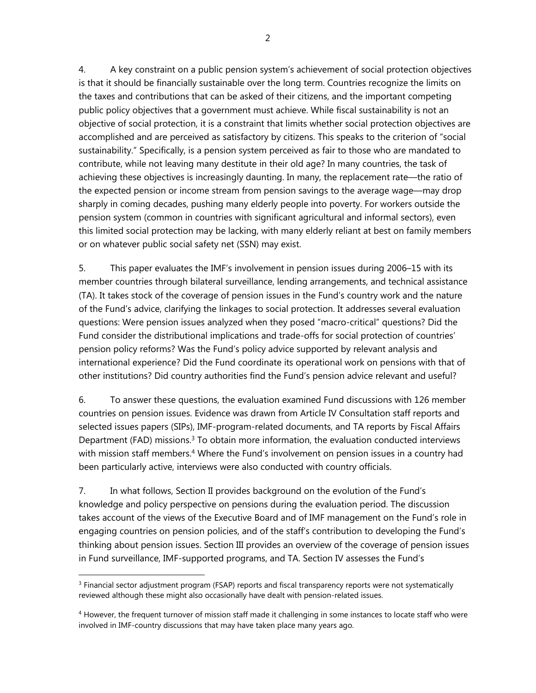4. A key constraint on a public pension system's achievement of social protection objectives is that it should be financially sustainable over the long term. Countries recognize the limits on the taxes and contributions that can be asked of their citizens, and the important competing public policy objectives that a government must achieve. While fiscal sustainability is not an objective of social protection, it is a constraint that limits whether social protection objectives are accomplished and are perceived as satisfactory by citizens. This speaks to the criterion of "social sustainability." Specifically, is a pension system perceived as fair to those who are mandated to contribute, while not leaving many destitute in their old age? In many countries, the task of achieving these objectives is increasingly daunting. In many, the replacement rate—the ratio of the expected pension or income stream from pension savings to the average wage—may drop sharply in coming decades, pushing many elderly people into poverty. For workers outside the pension system (common in countries with significant agricultural and informal sectors), even this limited social protection may be lacking, with many elderly reliant at best on family members or on whatever public social safety net (SSN) may exist.

5. This paper evaluates the IMF's involvement in pension issues during 2006–15 with its member countries through bilateral surveillance, lending arrangements, and technical assistance (TA). It takes stock of the coverage of pension issues in the Fund's country work and the nature of the Fund's advice, clarifying the linkages to social protection. It addresses several evaluation questions: Were pension issues analyzed when they posed "macro-critical" questions? Did the Fund consider the distributional implications and trade-offs for social protection of countries' pension policy reforms? Was the Fund's policy advice supported by relevant analysis and international experience? Did the Fund coordinate its operational work on pensions with that of other institutions? Did country authorities find the Fund's pension advice relevant and useful?

6. To answer these questions, the evaluation examined Fund discussions with 126 member countries on pension issues. Evidence was drawn from Article IV Consultation staff reports and selected issues papers (SIPs), IMF-program-related documents, and TA reports by Fiscal Affairs Department (FAD) missions.<sup>3</sup> To obtain more information, the evaluation conducted interviews with mission staff members.<sup>4</sup> Where the Fund's involvement on pension issues in a country had been particularly active, interviews were also conducted with country officials.

7. In what follows, Section II provides background on the evolution of the Fund's knowledge and policy perspective on pensions during the evaluation period. The discussion takes account of the views of the Executive Board and of IMF management on the Fund's role in engaging countries on pension policies, and of the staff's contribution to developing the Fund's thinking about pension issues. Section III provides an overview of the coverage of pension issues in Fund surveillance, IMF-supported programs, and TA. Section IV assesses the Fund's

<sup>&</sup>lt;sup>3</sup> Financial sector adjustment program (FSAP) reports and fiscal transparency reports were not systematically reviewed although these might also occasionally have dealt with pension-related issues.

<sup>&</sup>lt;sup>4</sup> However, the frequent turnover of mission staff made it challenging in some instances to locate staff who were involved in IMF-country discussions that may have taken place many years ago.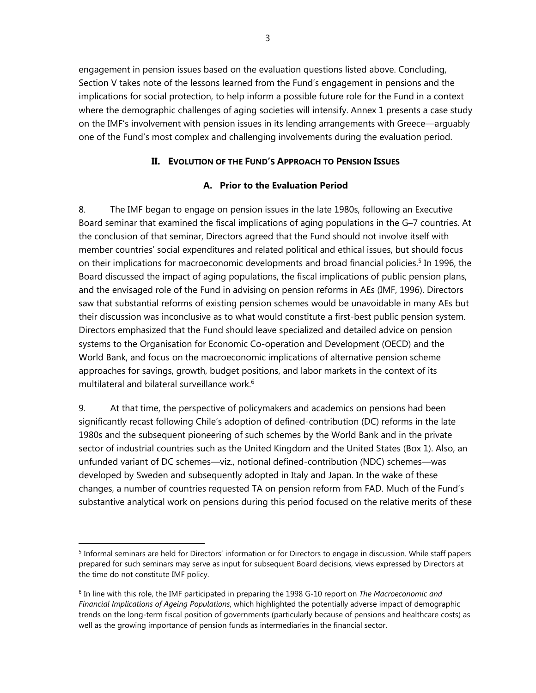engagement in pension issues based on the evaluation questions listed above. Concluding, Section V takes note of the lessons learned from the Fund's engagement in pensions and the implications for social protection, to help inform a possible future role for the Fund in a context where the demographic challenges of aging societies will intensify. Annex 1 presents a case study on the IMF's involvement with pension issues in its lending arrangements with Greece—arguably one of the Fund's most complex and challenging involvements during the evaluation period.

# **II. EVOLUTION OF THE FUND'S APPROACH TO PENSION ISSUES**

## **A. Prior to the Evaluation Period**

8. The IMF began to engage on pension issues in the late 1980s, following an Executive Board seminar that examined the fiscal implications of aging populations in the G–7 countries. At the conclusion of that seminar, Directors agreed that the Fund should not involve itself with member countries' social expenditures and related political and ethical issues, but should focus on their implications for macroeconomic developments and broad financial policies.<sup>5</sup> In 1996, the Board discussed the impact of aging populations, the fiscal implications of public pension plans, and the envisaged role of the Fund in advising on pension reforms in AEs (IMF, 1996). Directors saw that substantial reforms of existing pension schemes would be unavoidable in many AEs but their discussion was inconclusive as to what would constitute a first-best public pension system. Directors emphasized that the Fund should leave specialized and detailed advice on pension systems to the Organisation for Economic Co-operation and Development (OECD) and the World Bank, and focus on the macroeconomic implications of alternative pension scheme approaches for savings, growth, budget positions, and labor markets in the context of its multilateral and bilateral surveillance work.<sup>6</sup>

9. At that time, the perspective of policymakers and academics on pensions had been significantly recast following Chile's adoption of defined-contribution (DC) reforms in the late 1980s and the subsequent pioneering of such schemes by the World Bank and in the private sector of industrial countries such as the United Kingdom and the United States (Box 1). Also, an unfunded variant of DC schemes—viz., notional defined-contribution (NDC) schemes—was developed by Sweden and subsequently adopted in Italy and Japan. In the wake of these changes, a number of countries requested TA on pension reform from FAD. Much of the Fund's substantive analytical work on pensions during this period focused on the relative merits of these

<sup>&</sup>lt;sup>5</sup> Informal seminars are held for Directors' information or for Directors to engage in discussion. While staff papers prepared for such seminars may serve as input for subsequent Board decisions, views expressed by Directors at the time do not constitute IMF policy.

<sup>6</sup> In line with this role, the IMF participated in preparing the 1998 G-10 report on *The Macroeconomic and Financial Implications of Ageing Populations*, which highlighted the potentially adverse impact of demographic trends on the long-term fiscal position of governments (particularly because of pensions and healthcare costs) as well as the growing importance of pension funds as intermediaries in the financial sector.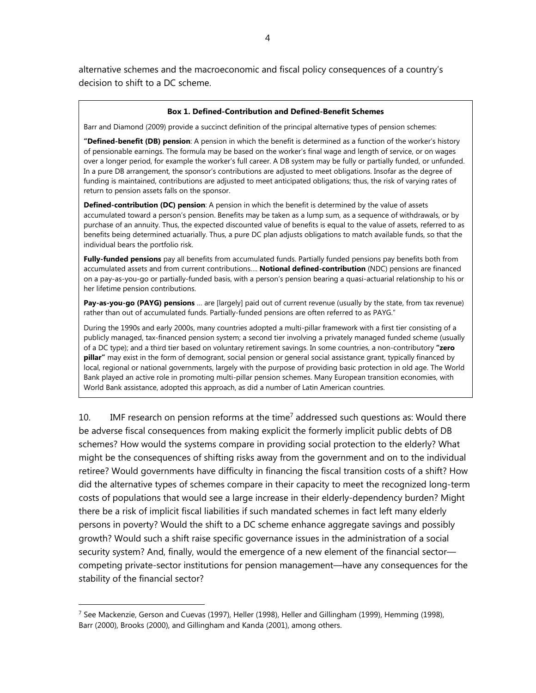alternative schemes and the macroeconomic and fiscal policy consequences of a country's decision to shift to a DC scheme.

#### **Box 1. Defined-Contribution and Defined-Benefit Schemes**

Barr and Diamond (2009) provide a succinct definition of the principal alternative types of pension schemes:

**"Defined-benefit (DB) pension**: A pension in which the benefit is determined as a function of the worker's history of pensionable earnings. The formula may be based on the worker's final wage and length of service, or on wages over a longer period, for example the worker's full career. A DB system may be fully or partially funded, or unfunded. In a pure DB arrangement, the sponsor's contributions are adjusted to meet obligations. Insofar as the degree of funding is maintained, contributions are adjusted to meet anticipated obligations; thus, the risk of varying rates of return to pension assets falls on the sponsor.

**Defined-contribution (DC) pension**: A pension in which the benefit is determined by the value of assets accumulated toward a person's pension. Benefits may be taken as a lump sum, as a sequence of withdrawals, or by purchase of an annuity. Thus, the expected discounted value of benefits is equal to the value of assets, referred to as benefits being determined actuarially. Thus, a pure DC plan adjusts obligations to match available funds, so that the individual bears the portfolio risk.

**Fully-funded pensions** pay all benefits from accumulated funds. Partially funded pensions pay benefits both from accumulated assets and from current contributions…. **Notional defined-contribution** (NDC) pensions are financed on a pay-as-you-go or partially-funded basis, with a person's pension bearing a quasi-actuarial relationship to his or her lifetime pension contributions.

**Pay-as-you-go (PAYG) pensions** … are [largely] paid out of current revenue (usually by the state, from tax revenue) rather than out of accumulated funds. Partially-funded pensions are often referred to as PAYG."

During the 1990s and early 2000s, many countries adopted a multi-pillar framework with a first tier consisting of a publicly managed, tax-financed pension system; a second tier involving a privately managed funded scheme (usually of a DC type); and a third tier based on voluntary retirement savings. In some countries, a non-contributory **"zero pillar"** may exist in the form of demogrant, social pension or general social assistance grant, typically financed by local, regional or national governments, largely with the purpose of providing basic protection in old age. The World Bank played an active role in promoting multi-pillar pension schemes. Many European transition economies, with World Bank assistance, adopted this approach, as did a number of Latin American countries.

10. IMF research on pension reforms at the time<sup>7</sup> addressed such questions as: Would there be adverse fiscal consequences from making explicit the formerly implicit public debts of DB schemes? How would the systems compare in providing social protection to the elderly? What might be the consequences of shifting risks away from the government and on to the individual retiree? Would governments have difficulty in financing the fiscal transition costs of a shift? How did the alternative types of schemes compare in their capacity to meet the recognized long-term costs of populations that would see a large increase in their elderly-dependency burden? Might there be a risk of implicit fiscal liabilities if such mandated schemes in fact left many elderly persons in poverty? Would the shift to a DC scheme enhance aggregate savings and possibly growth? Would such a shift raise specific governance issues in the administration of a social security system? And, finally, would the emergence of a new element of the financial sector competing private-sector institutions for pension management—have any consequences for the stability of the financial sector?

 $7$  See Mackenzie, Gerson and Cuevas (1997), Heller (1998), Heller and Gillingham (1999), Hemming (1998), Barr (2000), Brooks (2000), and Gillingham and Kanda (2001), among others.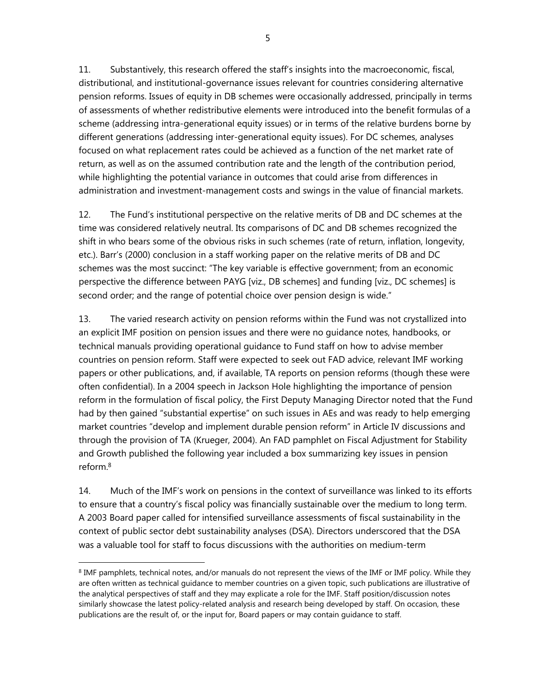5

11. Substantively, this research offered the staff's insights into the macroeconomic, fiscal, distributional, and institutional-governance issues relevant for countries considering alternative pension reforms. Issues of equity in DB schemes were occasionally addressed, principally in terms of assessments of whether redistributive elements were introduced into the benefit formulas of a scheme (addressing intra-generational equity issues) or in terms of the relative burdens borne by different generations (addressing inter-generational equity issues). For DC schemes, analyses focused on what replacement rates could be achieved as a function of the net market rate of return, as well as on the assumed contribution rate and the length of the contribution period, while highlighting the potential variance in outcomes that could arise from differences in administration and investment-management costs and swings in the value of financial markets.

12. The Fund's institutional perspective on the relative merits of DB and DC schemes at the time was considered relatively neutral. Its comparisons of DC and DB schemes recognized the shift in who bears some of the obvious risks in such schemes (rate of return, inflation, longevity, etc.). Barr's (2000) conclusion in a staff working paper on the relative merits of DB and DC schemes was the most succinct: "The key variable is effective government; from an economic perspective the difference between PAYG [viz., DB schemes] and funding [viz., DC schemes] is second order; and the range of potential choice over pension design is wide."

13. The varied research activity on pension reforms within the Fund was not crystallized into an explicit IMF position on pension issues and there were no guidance notes, handbooks, or technical manuals providing operational guidance to Fund staff on how to advise member countries on pension reform. Staff were expected to seek out FAD advice, relevant IMF working papers or other publications, and, if available, TA reports on pension reforms (though these were often confidential). In a 2004 speech in Jackson Hole highlighting the importance of pension reform in the formulation of fiscal policy, the First Deputy Managing Director noted that the Fund had by then gained "substantial expertise" on such issues in AEs and was ready to help emerging market countries "develop and implement durable pension reform" in Article IV discussions and through the provision of TA (Krueger, 2004). An FAD pamphlet on Fiscal Adjustment for Stability and Growth published the following year included a box summarizing key issues in pension reform.8

14. Much of the IMF's work on pensions in the context of surveillance was linked to its efforts to ensure that a country's fiscal policy was financially sustainable over the medium to long term. A 2003 Board paper called for intensified surveillance assessments of fiscal sustainability in the context of public sector debt sustainability analyses (DSA). Directors underscored that the DSA was a valuable tool for staff to focus discussions with the authorities on medium-term

<sup>&</sup>lt;sup>8</sup> IMF pamphlets, technical notes, and/or manuals do not represent the views of the IMF or IMF policy. While they are often written as technical guidance to member countries on a given topic, such publications are illustrative of the analytical perspectives of staff and they may explicate a role for the IMF. Staff position/discussion notes similarly showcase the latest policy-related analysis and research being developed by staff. On occasion, these publications are the result of, or the input for, Board papers or may contain guidance to staff.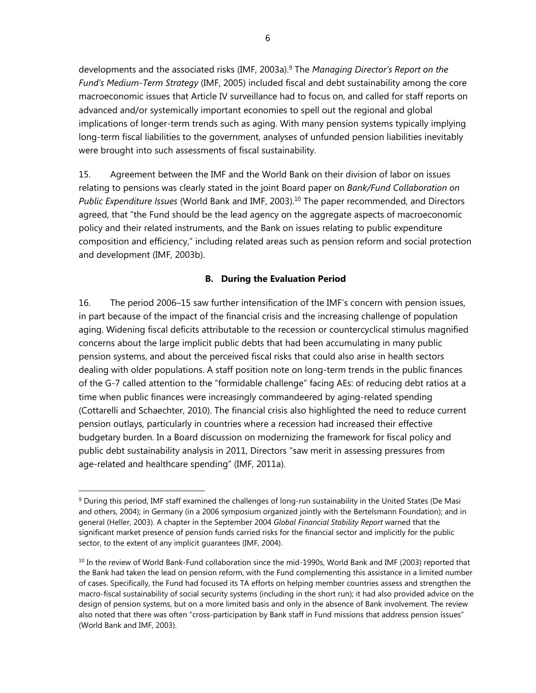developments and the associated risks (IMF, 2003a).9 The *Managing Director's Report on the Fund's Medium-Term Strategy* (IMF, 2005) included fiscal and debt sustainability among the core macroeconomic issues that Article IV surveillance had to focus on, and called for staff reports on advanced and/or systemically important economies to spell out the regional and global implications of longer-term trends such as aging. With many pension systems typically implying long-term fiscal liabilities to the government, analyses of unfunded pension liabilities inevitably were brought into such assessments of fiscal sustainability.

15. Agreement between the IMF and the World Bank on their division of labor on issues relating to pensions was clearly stated in the joint Board paper on *Bank/Fund Collaboration on Public Expenditure Issues* (World Bank and IMF, 2003).10 The paper recommended, and Directors agreed, that "the Fund should be the lead agency on the aggregate aspects of macroeconomic policy and their related instruments, and the Bank on issues relating to public expenditure composition and efficiency," including related areas such as pension reform and social protection and development (IMF, 2003b).

## **B. During the Evaluation Period**

16. The period 2006–15 saw further intensification of the IMF's concern with pension issues, in part because of the impact of the financial crisis and the increasing challenge of population aging. Widening fiscal deficits attributable to the recession or countercyclical stimulus magnified concerns about the large implicit public debts that had been accumulating in many public pension systems, and about the perceived fiscal risks that could also arise in health sectors dealing with older populations. A staff position note on long-term trends in the public finances of the G-7 called attention to the "formidable challenge" facing AEs: of reducing debt ratios at a time when public finances were increasingly commandeered by aging-related spending (Cottarelli and Schaechter, 2010). The financial crisis also highlighted the need to reduce current pension outlays, particularly in countries where a recession had increased their effective budgetary burden. In a Board discussion on modernizing the framework for fiscal policy and public debt sustainability analysis in 2011, Directors "saw merit in assessing pressures from age-related and healthcare spending" (IMF, 2011a).

<sup>9</sup> During this period, IMF staff examined the challenges of long-run sustainability in the United States (De Masi and others, 2004); in Germany (in a 2006 symposium organized jointly with the Bertelsmann Foundation); and in general (Heller, 2003). A chapter in the September 2004 *Global Financial Stability Report* warned that the significant market presence of pension funds carried risks for the financial sector and implicitly for the public sector, to the extent of any implicit guarantees (IMF, 2004).

<sup>&</sup>lt;sup>10</sup> In the review of World Bank-Fund collaboration since the mid-1990s, World Bank and IMF (2003) reported that the Bank had taken the lead on pension reform, with the Fund complementing this assistance in a limited number of cases. Specifically, the Fund had focused its TA efforts on helping member countries assess and strengthen the macro-fiscal sustainability of social security systems (including in the short run); it had also provided advice on the design of pension systems, but on a more limited basis and only in the absence of Bank involvement. The review also noted that there was often "cross-participation by Bank staff in Fund missions that address pension issues" (World Bank and IMF, 2003).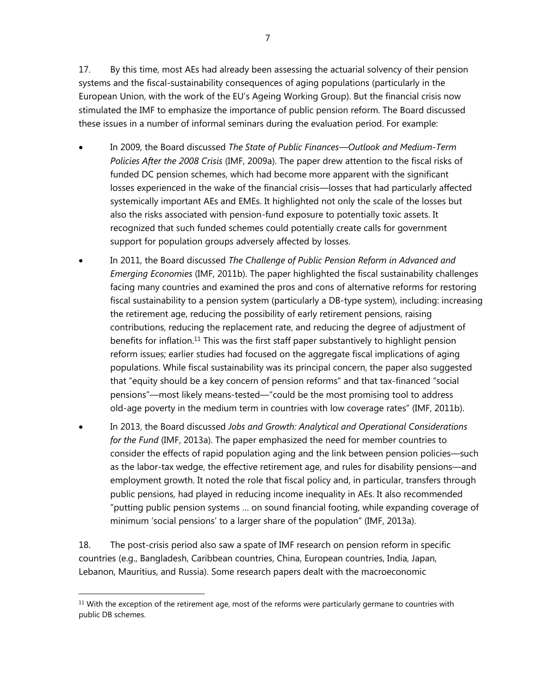17. By this time, most AEs had already been assessing the actuarial solvency of their pension systems and the fiscal-sustainability consequences of aging populations (particularly in the European Union, with the work of the EU's Ageing Working Group). But the financial crisis now stimulated the IMF to emphasize the importance of public pension reform. The Board discussed these issues in a number of informal seminars during the evaluation period. For example:

- In 2009, the Board discussed *The State of Public Finances—Outlook and Medium-Term Policies After the 2008 Crisis* (IMF, 2009a). The paper drew attention to the fiscal risks of funded DC pension schemes, which had become more apparent with the significant losses experienced in the wake of the financial crisis—losses that had particularly affected systemically important AEs and EMEs. It highlighted not only the scale of the losses but also the risks associated with pension-fund exposure to potentially toxic assets. It recognized that such funded schemes could potentially create calls for government support for population groups adversely affected by losses.
- In 2011, the Board discussed *The Challenge of Public Pension Reform in Advanced and Emerging Economies* (IMF, 2011b). The paper highlighted the fiscal sustainability challenges facing many countries and examined the pros and cons of alternative reforms for restoring fiscal sustainability to a pension system (particularly a DB-type system), including: increasing the retirement age, reducing the possibility of early retirement pensions, raising contributions, reducing the replacement rate, and reducing the degree of adjustment of benefits for inflation.<sup>11</sup> This was the first staff paper substantively to highlight pension reform issues; earlier studies had focused on the aggregate fiscal implications of aging populations. While fiscal sustainability was its principal concern, the paper also suggested that "equity should be a key concern of pension reforms" and that tax-financed "social pensions"—most likely means-tested—"could be the most promising tool to address old-age poverty in the medium term in countries with low coverage rates" (IMF, 2011b).
- In 2013, the Board discussed *Jobs and Growth: Analytical and Operational Considerations for the Fund* (IMF, 2013a). The paper emphasized the need for member countries to consider the effects of rapid population aging and the link between pension policies—such as the labor-tax wedge, the effective retirement age, and rules for disability pensions—and employment growth. It noted the role that fiscal policy and, in particular, transfers through public pensions, had played in reducing income inequality in AEs. It also recommended "putting public pension systems … on sound financial footing, while expanding coverage of minimum 'social pensions' to a larger share of the population" (IMF, 2013a).

18. The post-crisis period also saw a spate of IMF research on pension reform in specific countries (e.g., Bangladesh, Caribbean countries, China, European countries, India, Japan, Lebanon, Mauritius, and Russia). Some research papers dealt with the macroeconomic

<sup>&</sup>lt;sup>11</sup> With the exception of the retirement age, most of the reforms were particularly germane to countries with public DB schemes.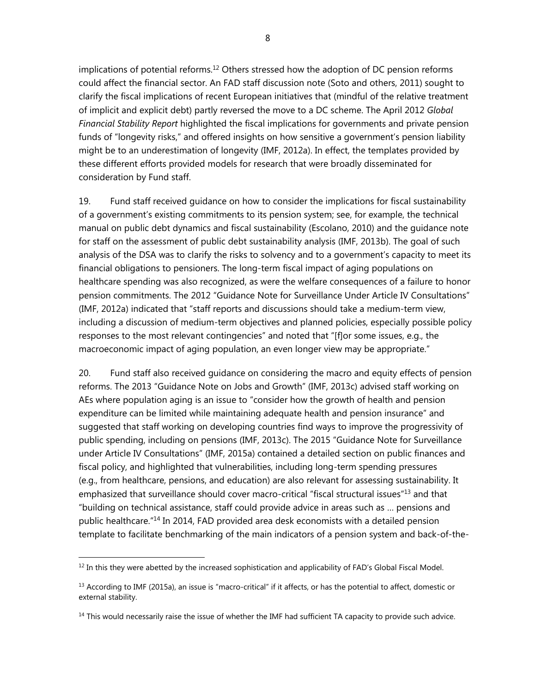implications of potential reforms.<sup>12</sup> Others stressed how the adoption of DC pension reforms could affect the financial sector. An FAD staff discussion note (Soto and others, 2011) sought to clarify the fiscal implications of recent European initiatives that (mindful of the relative treatment of implicit and explicit debt) partly reversed the move to a DC scheme. The April 2012 *Global Financial Stability Report* highlighted the fiscal implications for governments and private pension funds of "longevity risks," and offered insights on how sensitive a government's pension liability might be to an underestimation of longevity (IMF, 2012a). In effect, the templates provided by these different efforts provided models for research that were broadly disseminated for consideration by Fund staff.

19. Fund staff received guidance on how to consider the implications for fiscal sustainability of a government's existing commitments to its pension system; see, for example, the technical manual on public debt dynamics and fiscal sustainability (Escolano, 2010) and the guidance note for staff on the assessment of public debt sustainability analysis (IMF, 2013b). The goal of such analysis of the DSA was to clarify the risks to solvency and to a government's capacity to meet its financial obligations to pensioners. The long-term fiscal impact of aging populations on healthcare spending was also recognized, as were the welfare consequences of a failure to honor pension commitments. The 2012 "Guidance Note for Surveillance Under Article IV Consultations" (IMF, 2012a) indicated that "staff reports and discussions should take a medium-term view, including a discussion of medium-term objectives and planned policies, especially possible policy responses to the most relevant contingencies" and noted that "[f]or some issues, e.g., the macroeconomic impact of aging population, an even longer view may be appropriate."

20. Fund staff also received guidance on considering the macro and equity effects of pension reforms. The 2013 "Guidance Note on Jobs and Growth" (IMF, 2013c) advised staff working on AEs where population aging is an issue to "consider how the growth of health and pension expenditure can be limited while maintaining adequate health and pension insurance" and suggested that staff working on developing countries find ways to improve the progressivity of public spending, including on pensions (IMF, 2013c). The 2015 "Guidance Note for Surveillance under Article IV Consultations" (IMF, 2015a) contained a detailed section on public finances and fiscal policy, and highlighted that vulnerabilities, including long-term spending pressures (e.g., from healthcare, pensions, and education) are also relevant for assessing sustainability. It emphasized that surveillance should cover macro-critical "fiscal structural issues"<sup>13</sup> and that "building on technical assistance, staff could provide advice in areas such as … pensions and public healthcare."14 In 2014, FAD provided area desk economists with a detailed pension template to facilitate benchmarking of the main indicators of a pension system and back-of-the-

 $12$  In this they were abetted by the increased sophistication and applicability of FAD's Global Fiscal Model.

 $<sup>13</sup>$  According to IMF (2015a), an issue is "macro-critical" if it affects, or has the potential to affect, domestic or</sup> external stability.

<sup>&</sup>lt;sup>14</sup> This would necessarily raise the issue of whether the IMF had sufficient TA capacity to provide such advice.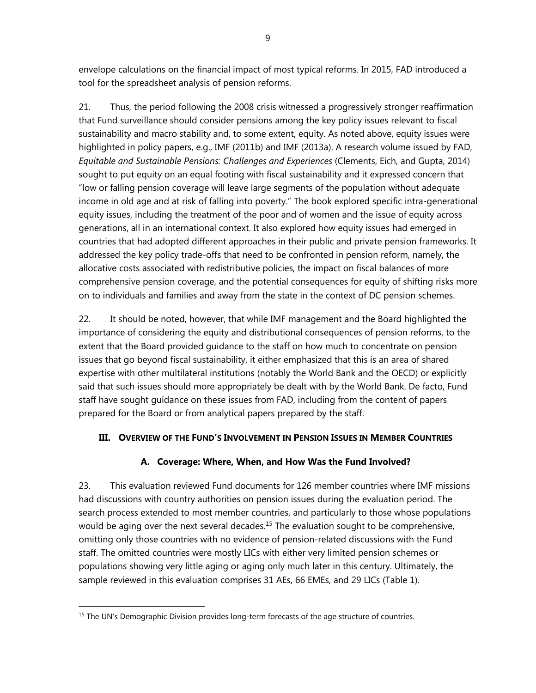envelope calculations on the financial impact of most typical reforms. In 2015, FAD introduced a tool for the spreadsheet analysis of pension reforms.

21. Thus, the period following the 2008 crisis witnessed a progressively stronger reaffirmation that Fund surveillance should consider pensions among the key policy issues relevant to fiscal sustainability and macro stability and, to some extent, equity. As noted above, equity issues were highlighted in policy papers, e.g., IMF (2011b) and IMF (2013a). A research volume issued by FAD, *Equitable and Sustainable Pensions: Challenges and Experiences* (Clements, Eich, and Gupta, 2014) sought to put equity on an equal footing with fiscal sustainability and it expressed concern that "low or falling pension coverage will leave large segments of the population without adequate income in old age and at risk of falling into poverty." The book explored specific intra-generational equity issues, including the treatment of the poor and of women and the issue of equity across generations, all in an international context. It also explored how equity issues had emerged in countries that had adopted different approaches in their public and private pension frameworks. It addressed the key policy trade-offs that need to be confronted in pension reform, namely, the allocative costs associated with redistributive policies, the impact on fiscal balances of more comprehensive pension coverage, and the potential consequences for equity of shifting risks more on to individuals and families and away from the state in the context of DC pension schemes.

22. It should be noted, however, that while IMF management and the Board highlighted the importance of considering the equity and distributional consequences of pension reforms, to the extent that the Board provided guidance to the staff on how much to concentrate on pension issues that go beyond fiscal sustainability, it either emphasized that this is an area of shared expertise with other multilateral institutions (notably the World Bank and the OECD) or explicitly said that such issues should more appropriately be dealt with by the World Bank. De facto, Fund staff have sought guidance on these issues from FAD, including from the content of papers prepared for the Board or from analytical papers prepared by the staff.

# **III. OVERVIEW OF THE FUND'S INVOLVEMENT IN PENSION ISSUES IN MEMBER COUNTRIES**

# **A. Coverage: Where, When, and How Was the Fund Involved?**

23. This evaluation reviewed Fund documents for 126 member countries where IMF missions had discussions with country authorities on pension issues during the evaluation period. The search process extended to most member countries, and particularly to those whose populations would be aging over the next several decades.<sup>15</sup> The evaluation sought to be comprehensive, omitting only those countries with no evidence of pension-related discussions with the Fund staff. The omitted countries were mostly LICs with either very limited pension schemes or populations showing very little aging or aging only much later in this century. Ultimately, the sample reviewed in this evaluation comprises 31 AEs, 66 EMEs, and 29 LICs (Table 1).

 $<sup>15</sup>$  The UN's Demographic Division provides long-term forecasts of the age structure of countries.</sup>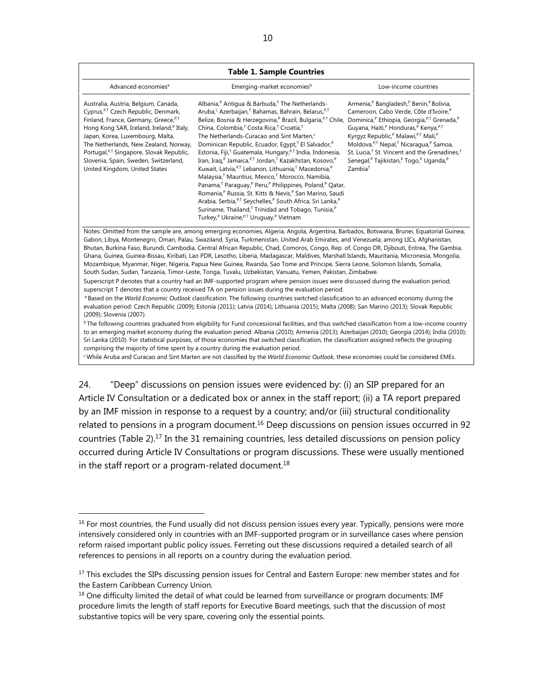| Advanced economies <sup>a</sup>                                                                                                                                                                                                                                                                                                                                                              | Emerging-market economies <sup>b</sup>                                                                                                                                                                                                                                                                                                                                                                                                                                                                                                                                                                                                                                                                                                                                                                                                                                                                                                                                                                                                                                                                                                                                                                                                                                                                                                                                                                                                                                                                                                                                                                                                                                                                                                                                                                                                                                                                                  | Low-income countries                                                                                                                                                                                                                                                                                                                                                                                                                                                                                                                    |
|----------------------------------------------------------------------------------------------------------------------------------------------------------------------------------------------------------------------------------------------------------------------------------------------------------------------------------------------------------------------------------------------|-------------------------------------------------------------------------------------------------------------------------------------------------------------------------------------------------------------------------------------------------------------------------------------------------------------------------------------------------------------------------------------------------------------------------------------------------------------------------------------------------------------------------------------------------------------------------------------------------------------------------------------------------------------------------------------------------------------------------------------------------------------------------------------------------------------------------------------------------------------------------------------------------------------------------------------------------------------------------------------------------------------------------------------------------------------------------------------------------------------------------------------------------------------------------------------------------------------------------------------------------------------------------------------------------------------------------------------------------------------------------------------------------------------------------------------------------------------------------------------------------------------------------------------------------------------------------------------------------------------------------------------------------------------------------------------------------------------------------------------------------------------------------------------------------------------------------------------------------------------------------------------------------------------------------|-----------------------------------------------------------------------------------------------------------------------------------------------------------------------------------------------------------------------------------------------------------------------------------------------------------------------------------------------------------------------------------------------------------------------------------------------------------------------------------------------------------------------------------------|
| Australia, Austria, Belgium, Canada,<br>Cyprus, P,T Czech Republic, Denmark,<br>Finland, France, Germany, Greece, P,T<br>Hong Kong SAR, Iceland, Ireland, <sup>P</sup> Italy,<br>Japan, Korea, Luxembourg, Malta,<br>The Netherlands, New Zealand, Norway,<br>Portugal, <sup>P,T</sup> Singapore, Slovak Republic,<br>Slovenia, Spain, Sweden, Switzerland,<br>United Kingdom, United States | Albania, <sup>P</sup> Antigua & Barbuda, <sup>T</sup> The Netherlands-<br>Aruba, <sup>c</sup> Azerbaijan, <sup>T</sup> Bahamas, Bahrain, Belarus, <sup>P,T</sup><br>Belize, Bosnia & Herzegovina, <sup>P</sup> Brazil, Bulgaria, <sup>P,T</sup> Chile,<br>China, Colombia, <sup>T</sup> Costa Rica, <sup>T</sup> Croatia, <sup>T</sup><br>The Netherlands-Curacao and Sint Marten, <sup>c</sup><br>Dominican Republic, Ecuador, Egypt, <sup>T</sup> El Salvador, <sup>P</sup><br>Estonia, Fiji, <sup>T</sup> Guatemala, Hungary, <sup>P,T</sup> India, Indonesia,<br>Iran, Iraq, <sup>P</sup> Jamaica, <sup>P,T</sup> Jordan, <sup>T</sup> Kazakhstan, Kosovo, <sup>P</sup><br>Kuwait, Latvia, <sup>P,T</sup> Lebanon, Lithuania, <sup>T</sup> Macedonia, <sup>P</sup><br>Malaysia, <sup>T</sup> Mauritius, Mexico, <sup>T</sup> Morocco, Namibia,<br>Panama, <sup>T</sup> Paraguay, <sup>P</sup> Peru, <sup>P</sup> Philippines, Poland,P Qatar,<br>Romania, <sup>P</sup> Russia, St. Kitts & Nevis, <sup>P</sup> San Marino, Saudi<br>Arabia, Serbia, <sup>P,T</sup> Seychelles, <sup>P</sup> South Africa, Sri Lanka,P<br>Suriname, Thailand, <sup>T</sup> Trinidad and Tobago, Tunisia, <sup>P</sup><br>Turkey, <sup>P</sup> Ukraine, <sup>P,T</sup> Uruguay, <sup>P</sup> Vietnam                                                                                                                                                                                                                                                                                                                                                                                                                                                                                                                                                                                                                                  | Armenia, <sup>P</sup> Bangladesh, <sup>P</sup> Benin, <sup>P</sup> Bolivia,<br>Cameroon, Cabo Verde, Côte d'Ivoire, <sup>P</sup><br>Dominica, <sup>P</sup> Ethiopia, Georgia, <sup>P,T</sup> Grenada, <sup>P</sup><br>Guyana, Haiti, <sup>P</sup> Honduras, <sup>P</sup> Kenya, P,T<br>Kyrgyz Republic, <sup>P</sup> Malawi, P,T Mali,P<br>Moldova, P,T Nepal,T Nicaragua,P Samoa,<br>St. Lucia, <sup>T</sup> St. Vincent and the Grenadines, <sup>T</sup><br>Senegal, <sup>P</sup> Tajikistan,P Togo,P Uganda,P<br>Zambia <sup>T</sup> |
| (2009); Slovenia (2007).                                                                                                                                                                                                                                                                                                                                                                     | Notes: Omitted from the sample are, among emerging economies, Algeria, Angola, Argentina, Barbados, Botswana, Brunei, Equatorial Guinea,<br>Gabon, Libya, Montenegro, Oman, Palau, Swaziland, Syria, Turkmenistan, United Arab Emirates, and Venezuela; among LICs, Afghanistan,<br>Bhutan, Burkina Faso, Burundi, Cambodia, Central African Republic, Chad, Comoros, Congo, Rep. of, Congo DR, Djibouti, Eritrea, The Gambia,<br>Ghana, Guinea, Guinea-Bissau, Kiribati, Lao PDR, Lesotho, Liberia, Madagascar, Maldives, Marshall Islands, Mauritania, Micronesia, Mongolia,<br>Mozambique, Myanmar, Niger, Nigeria, Papua New Guinea, Rwanda, Sao Tome and Principe, Sierra Leone, Solomon Islands, Somalia,<br>South Sudan, Sudan, Tanzania, Timor-Leste, Tonga, Tuvalu, Uzbekistan, Vanuatu, Yemen, Pakistan, Zimbabwe.<br>Superscript P denotes that a country had an IMF-supported program where pension issues were discussed during the evaluation period;<br>superscript T denotes that a country received TA on pension issues during the evaluation period.<br>a Based on the World Economic Outlook classification. The following countries switched classification to an advanced economy during the<br>evaluation period: Czech Republic (2009); Estonia (2011); Latvia (2014); Lithuania (2015); Malta (2008); San Marino (2013); Slovak Republic<br><sup>b</sup> The following countries graduated from eligibility for Fund concessional facilities, and thus switched classification from a low-income country<br>to an emerging market economy during the evaluation period: Albania (2010); Armenia (2013); Azerbaijan (2010); Georgia (2014); India (2010);<br>Sri Lanka (2010). For statistical purposes, of those economies that switched classification, the classification assigned reflects the grouping<br>comprising the majority of time spent by a country during the evaluation period. |                                                                                                                                                                                                                                                                                                                                                                                                                                                                                                                                         |

24. "Deep" discussions on pension issues were evidenced by: (i) an SIP prepared for an Article IV Consultation or a dedicated box or annex in the staff report; (ii) a TA report prepared by an IMF mission in response to a request by a country; and/or (iii) structural conditionality related to pensions in a program document.<sup>16</sup> Deep discussions on pension issues occurred in 92 countries (Table 2).17 In the 31 remaining countries, less detailed discussions on pension policy occurred during Article IV Consultations or program discussions. These were usually mentioned in the staff report or a program-related document. $18$ 

<sup>&</sup>lt;sup>16</sup> For most countries, the Fund usually did not discuss pension issues every year. Typically, pensions were more intensively considered only in countries with an IMF-supported program or in surveillance cases where pension reform raised important public policy issues. Ferreting out these discussions required a detailed search of all references to pensions in all reports on a country during the evaluation period.

<sup>&</sup>lt;sup>17</sup> This excludes the SIPs discussing pension issues for Central and Eastern Europe: new member states and for the Eastern Caribbean Currency Union.

<sup>&</sup>lt;sup>18</sup> One difficulty limited the detail of what could be learned from surveillance or program documents: IMF procedure limits the length of staff reports for Executive Board meetings, such that the discussion of most substantive topics will be very spare, covering only the essential points.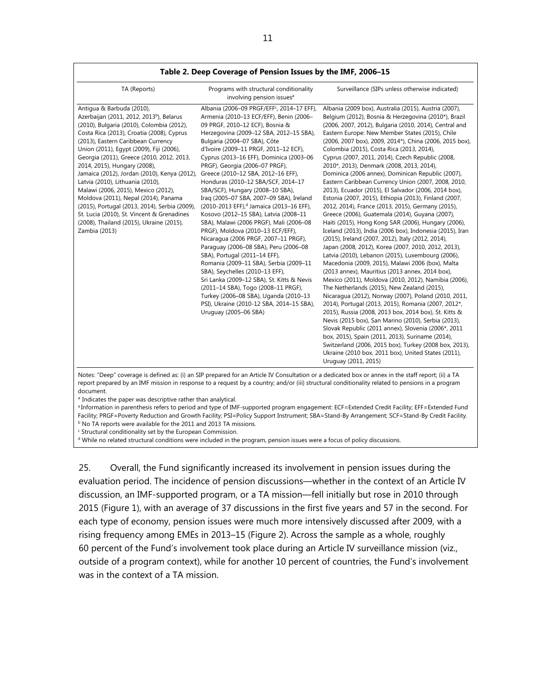| TA (Reports)                                                                                                                                                                                                                                                                                                                                                                                                                                                                                                                                                                                                                                                              | Programs with structural conditionality<br>involving pension issues <sup>a</sup>                                                                                                                                                                                                                                                                                                                                                                                                                                                                                                                                                                                                                                                                                                                                                                                                                                                                                                                                                                                                      | Surveillance (SIPs unless otherwise indicated)                                                                                                                                                                                                                                                                                                                                                                                                                                                                                                                                                                                                                                                                                                                                                                                                                                                                                                                                                                                                                                                                                                                                                                                                                                                                                                                                                                                                                                                                                                                                                                                                                                                                                                                |
|---------------------------------------------------------------------------------------------------------------------------------------------------------------------------------------------------------------------------------------------------------------------------------------------------------------------------------------------------------------------------------------------------------------------------------------------------------------------------------------------------------------------------------------------------------------------------------------------------------------------------------------------------------------------------|---------------------------------------------------------------------------------------------------------------------------------------------------------------------------------------------------------------------------------------------------------------------------------------------------------------------------------------------------------------------------------------------------------------------------------------------------------------------------------------------------------------------------------------------------------------------------------------------------------------------------------------------------------------------------------------------------------------------------------------------------------------------------------------------------------------------------------------------------------------------------------------------------------------------------------------------------------------------------------------------------------------------------------------------------------------------------------------|---------------------------------------------------------------------------------------------------------------------------------------------------------------------------------------------------------------------------------------------------------------------------------------------------------------------------------------------------------------------------------------------------------------------------------------------------------------------------------------------------------------------------------------------------------------------------------------------------------------------------------------------------------------------------------------------------------------------------------------------------------------------------------------------------------------------------------------------------------------------------------------------------------------------------------------------------------------------------------------------------------------------------------------------------------------------------------------------------------------------------------------------------------------------------------------------------------------------------------------------------------------------------------------------------------------------------------------------------------------------------------------------------------------------------------------------------------------------------------------------------------------------------------------------------------------------------------------------------------------------------------------------------------------------------------------------------------------------------------------------------------------|
| Antigua & Barbuda (2010),<br>Azerbaijan (2011, 2012, 2013 <sup>b</sup> ), Belarus<br>(2010), Bulgaria (2010), Colombia (2012),<br>Costa Rica (2013), Croatia (2008), Cyprus<br>(2013), Eastern Caribbean Currency<br>Union (2011), Egypt (2009), Fiji (2006),<br>Georgia (2011), Greece (2010, 2012, 2013,<br>2014, 2015), Hungary (2008),<br>Jamaica (2012), Jordan (2010), Kenya (2012),<br>Latvia (2010), Lithuania (2010),<br>Malawi (2006, 2015), Mexico (2012),<br>Moldova (2011), Nepal (2014), Panama<br>(2015), Portugal (2013, 2014), Serbia (2009),<br>St. Lucia (2010), St. Vincent & Grenadines<br>(2008), Thailand (2015), Ukraine (2015),<br>Zambia (2013) | Albania (2006-09 PRGF/EFF <sup>c</sup> , 2014-17 EFF),<br>Armenia (2010-13 ECF/EFF), Benin (2006-<br>09 PRGF, 2010-12 ECF), Bosnia &<br>Herzegovina (2009-12 SBA, 2012-15 SBA),<br>Bulgaria (2004-07 SBA), Côte<br>d'Ivoire (2009-11 PRGF, 2011-12 ECF),<br>Cyprus (2013-16 EFF), Dominica (2003-06<br>PRGF), Georgia (2006-07 PRGF),<br>Greece (2010-12 SBA, 2012-16 EFF),<br>Honduras (2010-12 SBA/SCF, 2014-17<br>SBA/SCF), Hungary (2008-10 SBA),<br>Iraq (2005-07 SBA, 2007-09 SBA), Ireland<br>(2010-2013 EFF), <sup>d</sup> Jamaica (2013-16 EFF),<br>Kosovo (2012-15 SBA), Latvia (2008-11<br>SBA), Malawi (2006 PRGF), Mali (2006-08<br>PRGF), Moldova (2010-13 ECF/EFF),<br>Nicaragua (2006 PRGF, 2007-11 PRGF),<br>Paraguay (2006-08 SBA), Peru (2006-08<br>SBA), Portugal (2011-14 EFF),<br>Romania (2009-11 SBA), Serbia (2009-11<br>SBA), Seychelles (2010-13 EFF),<br>Sri Lanka (2009-12 SBA), St. Kitts & Nevis<br>(2011-14 SBA), Togo (2008-11 PRGF),<br>Turkey (2006-08 SBA), Uganda (2010-13<br>PSI), Ukraine (2010-12 SBA, 2014-15 SBA),<br>Uruguay (2005-06 SBA) | Albania (2009 box), Australia (2015), Austria (2007),<br>Belgium (2012), Bosnia & Herzegovina (2010*), Brazil<br>(2006, 2007, 2012), Bulgaria (2010, 2014), Central and<br>Eastern Europe: New Member States (2015), Chile<br>(2006, 2007 box), 2009, 2014*), China (2006, 2015 box),<br>Colombia (2015), Costa Rica (2013, 2014),<br>Cyprus (2007, 2011, 2014), Czech Republic (2008,<br>2010*, 2013), Denmark (2008, 2013, 2014),<br>Dominica (2006 annex), Dominican Republic (2007),<br>Eastern Caribbean Currency Union (2007, 2008, 2010,<br>2013), Ecuador (2015), El Salvador (2006, 2014 box),<br>Estonia (2007, 2015), Ethiopia (2013), Finland (2007,<br>2012, 2014), France (2013, 2015), Germany (2015),<br>Greece (2006), Guatemala (2014), Guyana (2007),<br>Haiti (2015), Hong Kong SAR (2006), Hungary (2006),<br>Iceland (2013), India (2006 box), Indonesia (2015), Iran<br>(2015), Ireland (2007, 2012), Italy (2012, 2014),<br>Japan (2008, 2012), Korea (2007, 2010, 2012, 2013),<br>Latvia (2010), Lebanon (2015), Luxembourg (2006),<br>Macedonia (2009, 2015), Malawi 2006 (box), Malta<br>(2013 annex), Mauritius (2013 annex, 2014 box),<br>Mexico (2011), Moldova (2010, 2012), Namibia (2006),<br>The Netherlands (2015), New Zealand (2015),<br>Nicaragua (2012), Norway (2007), Poland (2010, 2011,<br>2014), Portugal (2013, 2015), Romania (2007, 2012*,<br>2015), Russia (2008, 2013 box, 2014 box), St. Kitts &<br>Nevis (2015 box), San Marino (2010), Serbia (2013),<br>Slovak Republic (2011 annex), Slovenia (2006*, 2011<br>box, 2015), Spain (2011, 2013), Suriname (2014),<br>Switzerland (2006, 2015 box), Turkey (2008 box, 2013),<br>Ukraine (2010 box, 2011 box), United States (2011),<br>Uruguay (2011, 2015) |

d for an Article IV Consultation or a dedic report prepared by an IMF mission in response to a request by a country; and/or (iii) structural conditionality related to pensions in a program document.

\* Indicates the paper was descriptive rather than analytical.

a Information in parenthesis refers to period and type of IMF-supported program engagement: ECF=Extended Credit Facility; EFF=Extended Fund Facility; PRGF=Poverty Reduction and Growth Facility; PSI=Policy Support Instrument; SBA=Stand-By Arrangement; SCF=Stand-By Credit Facility. b No TA reports were available for the 2011 and 2013 TA missions.

<sup>c</sup> Structural conditionality set by the European Commission.

d While no related structural conditions were included in the program, pension issues were a focus of policy discussions.

25. Overall, the Fund significantly increased its involvement in pension issues during the evaluation period. The incidence of pension discussions—whether in the context of an Article IV discussion, an IMF-supported program, or a TA mission—fell initially but rose in 2010 through 2015 (Figure 1), with an average of 37 discussions in the first five years and 57 in the second. For each type of economy, pension issues were much more intensively discussed after 2009, with a rising frequency among EMEs in 2013–15 (Figure 2). Across the sample as a whole, roughly 60 percent of the Fund's involvement took place during an Article IV surveillance mission (viz., outside of a program context), while for another 10 percent of countries, the Fund's involvement was in the context of a TA mission.

#### **Table 2. Deep Coverage of Pension Issues by the IMF, 2006–15**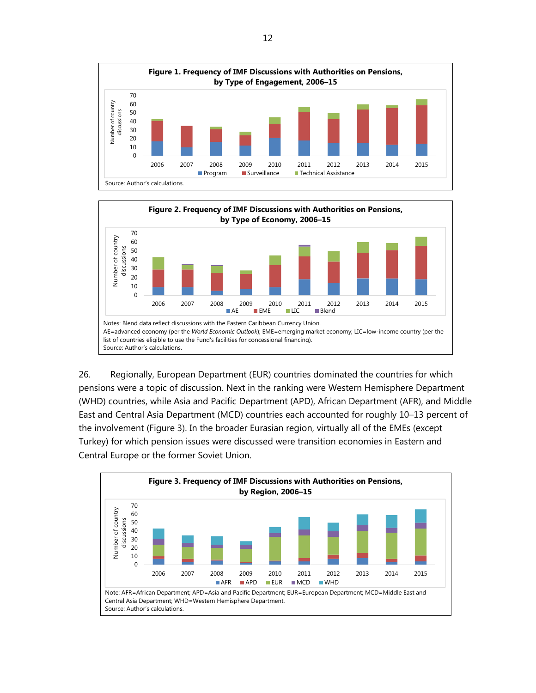



26. Regionally, European Department (EUR) countries dominated the countries for which pensions were a topic of discussion. Next in the ranking were Western Hemisphere Department (WHD) countries, while Asia and Pacific Department (APD), African Department (AFR), and Middle East and Central Asia Department (MCD) countries each accounted for roughly 10–13 percent of the involvement (Figure 3). In the broader Eurasian region, virtually all of the EMEs (except Turkey) for which pension issues were discussed were transition economies in Eastern and Central Europe or the former Soviet Union.

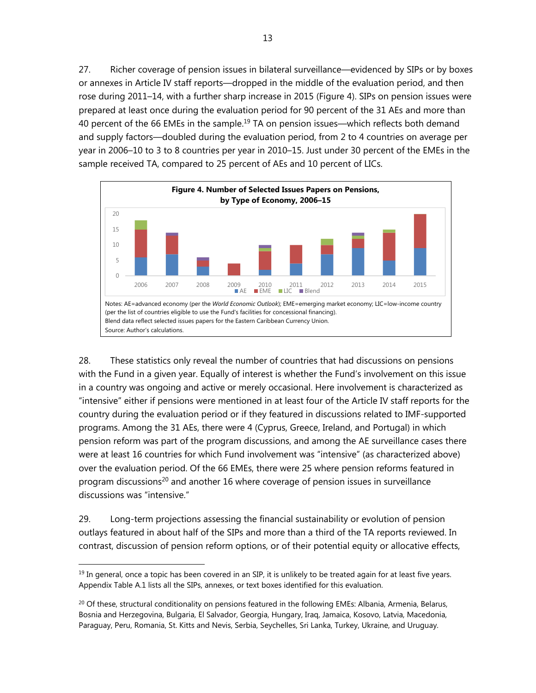27. Richer coverage of pension issues in bilateral surveillance—evidenced by SIPs or by boxes or annexes in Article IV staff reports—dropped in the middle of the evaluation period, and then rose during 2011–14, with a further sharp increase in 2015 (Figure 4). SIPs on pension issues were prepared at least once during the evaluation period for 90 percent of the 31 AEs and more than 40 percent of the 66 EMEs in the sample.<sup>19</sup> TA on pension issues—which reflects both demand and supply factors—doubled during the evaluation period, from 2 to 4 countries on average per year in 2006–10 to 3 to 8 countries per year in 2010–15. Just under 30 percent of the EMEs in the sample received TA, compared to 25 percent of AEs and 10 percent of LICs.



28. These statistics only reveal the number of countries that had discussions on pensions with the Fund in a given year. Equally of interest is whether the Fund's involvement on this issue in a country was ongoing and active or merely occasional. Here involvement is characterized as "intensive" either if pensions were mentioned in at least four of the Article IV staff reports for the country during the evaluation period or if they featured in discussions related to IMF-supported programs. Among the 31 AEs, there were 4 (Cyprus, Greece, Ireland, and Portugal) in which pension reform was part of the program discussions, and among the AE surveillance cases there were at least 16 countries for which Fund involvement was "intensive" (as characterized above) over the evaluation period. Of the 66 EMEs, there were 25 where pension reforms featured in program discussions<sup>20</sup> and another 16 where coverage of pension issues in surveillance discussions was "intensive."

29. Long-term projections assessing the financial sustainability or evolution of pension outlays featured in about half of the SIPs and more than a third of the TA reports reviewed. In contrast, discussion of pension reform options, or of their potential equity or allocative effects,

 $<sup>19</sup>$  In general, once a topic has been covered in an SIP, it is unlikely to be treated again for at least five years.</sup> Appendix Table A.1 lists all the SIPs, annexes, or text boxes identified for this evaluation.

 $^{20}$  Of these, structural conditionality on pensions featured in the following EMEs: Albania, Armenia, Belarus, Bosnia and Herzegovina, Bulgaria, El Salvador, Georgia, Hungary, Iraq, Jamaica, Kosovo, Latvia, Macedonia, Paraguay, Peru, Romania, St. Kitts and Nevis, Serbia, Seychelles, Sri Lanka, Turkey, Ukraine, and Uruguay.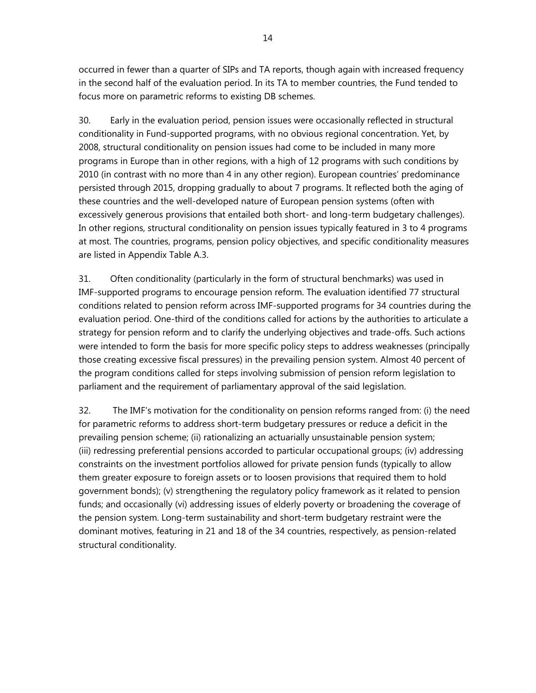occurred in fewer than a quarter of SIPs and TA reports, though again with increased frequency in the second half of the evaluation period. In its TA to member countries, the Fund tended to focus more on parametric reforms to existing DB schemes.

30. Early in the evaluation period, pension issues were occasionally reflected in structural conditionality in Fund-supported programs, with no obvious regional concentration. Yet, by 2008, structural conditionality on pension issues had come to be included in many more programs in Europe than in other regions, with a high of 12 programs with such conditions by 2010 (in contrast with no more than 4 in any other region). European countries' predominance persisted through 2015, dropping gradually to about 7 programs. It reflected both the aging of these countries and the well-developed nature of European pension systems (often with excessively generous provisions that entailed both short- and long-term budgetary challenges). In other regions, structural conditionality on pension issues typically featured in 3 to 4 programs at most. The countries, programs, pension policy objectives, and specific conditionality measures are listed in Appendix Table A.3.

31. Often conditionality (particularly in the form of structural benchmarks) was used in IMF-supported programs to encourage pension reform. The evaluation identified 77 structural conditions related to pension reform across IMF-supported programs for 34 countries during the evaluation period. One-third of the conditions called for actions by the authorities to articulate a strategy for pension reform and to clarify the underlying objectives and trade-offs. Such actions were intended to form the basis for more specific policy steps to address weaknesses (principally those creating excessive fiscal pressures) in the prevailing pension system. Almost 40 percent of the program conditions called for steps involving submission of pension reform legislation to parliament and the requirement of parliamentary approval of the said legislation.

32. The IMF's motivation for the conditionality on pension reforms ranged from: (i) the need for parametric reforms to address short-term budgetary pressures or reduce a deficit in the prevailing pension scheme; (ii) rationalizing an actuarially unsustainable pension system; (iii) redressing preferential pensions accorded to particular occupational groups; (iv) addressing constraints on the investment portfolios allowed for private pension funds (typically to allow them greater exposure to foreign assets or to loosen provisions that required them to hold government bonds); (v) strengthening the regulatory policy framework as it related to pension funds; and occasionally (vi) addressing issues of elderly poverty or broadening the coverage of the pension system. Long-term sustainability and short-term budgetary restraint were the dominant motives, featuring in 21 and 18 of the 34 countries, respectively, as pension-related structural conditionality.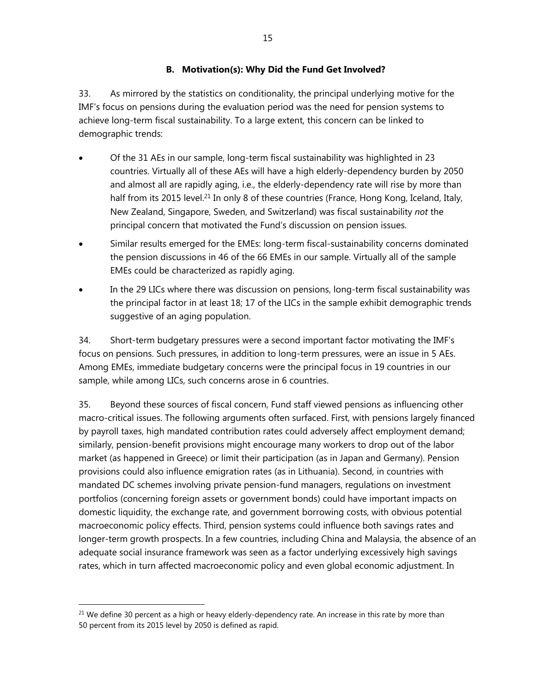# **B. Motivation(s): Why Did the Fund Get Involved?**

33. As mirrored by the statistics on conditionality, the principal underlying motive for the IMF's focus on pensions during the evaluation period was the need for pension systems to achieve long-term fiscal sustainability. To a large extent, this concern can be linked to demographic trends:

- Of the 31 AEs in our sample, long-term fiscal sustainability was highlighted in 23 countries. Virtually all of these AEs will have a high elderly-dependency burden by 2050 and almost all are rapidly aging, i.e., the elderly-dependency rate will rise by more than half from its 2015 level.<sup>21</sup> In only 8 of these countries (France, Hong Kong, Iceland, Italy, New Zealand, Singapore, Sweden, and Switzerland) was fiscal sustainability *not* the principal concern that motivated the Fund's discussion on pension issues.
- Similar results emerged for the EMEs: long-term fiscal-sustainability concerns dominated the pension discussions in 46 of the 66 EMEs in our sample. Virtually all of the sample EMEs could be characterized as rapidly aging.
- In the 29 LICs where there was discussion on pensions, long-term fiscal sustainability was the principal factor in at least 18; 17 of the LICs in the sample exhibit demographic trends suggestive of an aging population.

34. Short-term budgetary pressures were a second important factor motivating the IMF's focus on pensions. Such pressures, in addition to long-term pressures, were an issue in 5 AEs. Among EMEs, immediate budgetary concerns were the principal focus in 19 countries in our sample, while among LICs, such concerns arose in 6 countries.

35. Beyond these sources of fiscal concern, Fund staff viewed pensions as influencing other macro-critical issues. The following arguments often surfaced. First, with pensions largely financed by payroll taxes, high mandated contribution rates could adversely affect employment demand; similarly, pension-benefit provisions might encourage many workers to drop out of the labor market (as happened in Greece) or limit their participation (as in Japan and Germany). Pension provisions could also influence emigration rates (as in Lithuania). Second, in countries with mandated DC schemes involving private pension-fund managers, regulations on investment portfolios (concerning foreign assets or government bonds) could have important impacts on domestic liquidity, the exchange rate, and government borrowing costs, with obvious potential macroeconomic policy effects. Third, pension systems could influence both savings rates and longer-term growth prospects. In a few countries, including China and Malaysia, the absence of an adequate social insurance framework was seen as a factor underlying excessively high savings rates, which in turn affected macroeconomic policy and even global economic adjustment. In

 $21$  We define 30 percent as a high or heavy elderly-dependency rate. An increase in this rate by more than 50 percent from its 2015 level by 2050 is defined as rapid.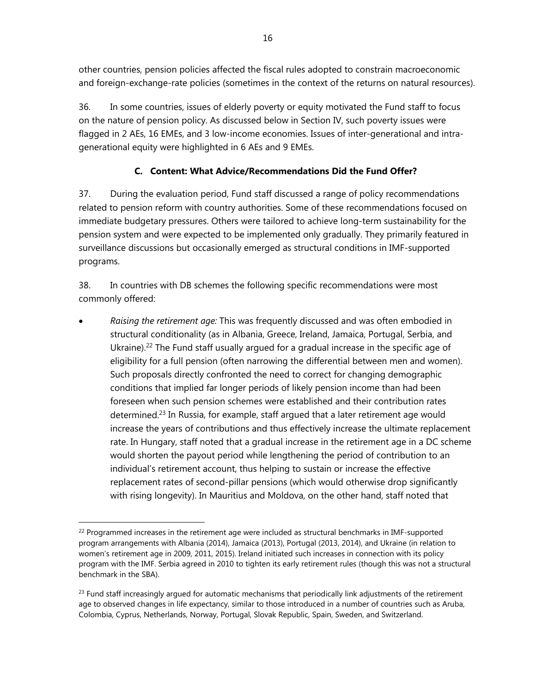other countries, pension policies affected the fiscal rules adopted to constrain macroeconomic and foreign-exchange-rate policies (sometimes in the context of the returns on natural resources).

36. In some countries, issues of elderly poverty or equity motivated the Fund staff to focus on the nature of pension policy. As discussed below in Section IV, such poverty issues were flagged in 2 AEs, 16 EMEs, and 3 low-income economies. Issues of inter-generational and intragenerational equity were highlighted in 6 AEs and 9 EMEs.

# **C. Content: What Advice/Recommendations Did the Fund Offer?**

37. During the evaluation period, Fund staff discussed a range of policy recommendations related to pension reform with country authorities. Some of these recommendations focused on immediate budgetary pressures. Others were tailored to achieve long-term sustainability for the pension system and were expected to be implemented only gradually. They primarily featured in surveillance discussions but occasionally emerged as structural conditions in IMF-supported programs.

38. In countries with DB schemes the following specific recommendations were most commonly offered:

 *Raising the retirement age:* This was frequently discussed and was often embodied in structural conditionality (as in Albania, Greece, Ireland, Jamaica, Portugal, Serbia, and Ukraine).<sup>22</sup> The Fund staff usually argued for a gradual increase in the specific age of eligibility for a full pension (often narrowing the differential between men and women). Such proposals directly confronted the need to correct for changing demographic conditions that implied far longer periods of likely pension income than had been foreseen when such pension schemes were established and their contribution rates determined.<sup>23</sup> In Russia, for example, staff argued that a later retirement age would increase the years of contributions and thus effectively increase the ultimate replacement rate. In Hungary, staff noted that a gradual increase in the retirement age in a DC scheme would shorten the payout period while lengthening the period of contribution to an individual's retirement account, thus helping to sustain or increase the effective replacement rates of second-pillar pensions (which would otherwise drop significantly with rising longevity). In Mauritius and Moldova, on the other hand, staff noted that

 $22$  Programmed increases in the retirement age were included as structural benchmarks in IMF-supported program arrangements with Albania (2014), Jamaica (2013), Portugal (2013, 2014), and Ukraine (in relation to women's retirement age in 2009, 2011, 2015). Ireland initiated such increases in connection with its policy program with the IMF. Serbia agreed in 2010 to tighten its early retirement rules (though this was not a structural benchmark in the SBA).

 $^{23}$  Fund staff increasingly argued for automatic mechanisms that periodically link adjustments of the retirement age to observed changes in life expectancy, similar to those introduced in a number of countries such as Aruba, Colombia, Cyprus, Netherlands, Norway, Portugal, Slovak Republic, Spain, Sweden, and Switzerland.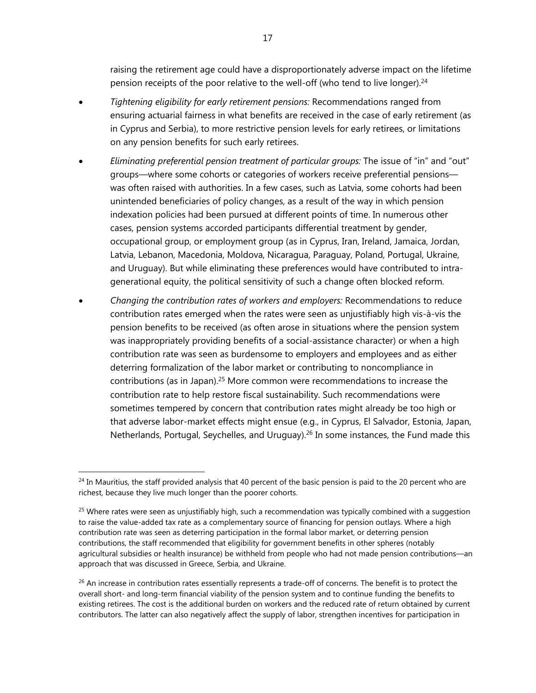raising the retirement age could have a disproportionately adverse impact on the lifetime pension receipts of the poor relative to the well-off (who tend to live longer).<sup>24</sup>

- *Tightening eligibility for early retirement pensions:* Recommendations ranged from ensuring actuarial fairness in what benefits are received in the case of early retirement (as in Cyprus and Serbia), to more restrictive pension levels for early retirees, or limitations on any pension benefits for such early retirees.
- *Eliminating preferential pension treatment of particular groups:* The issue of "in" and "out" groups—where some cohorts or categories of workers receive preferential pensions was often raised with authorities. In a few cases, such as Latvia, some cohorts had been unintended beneficiaries of policy changes, as a result of the way in which pension indexation policies had been pursued at different points of time. In numerous other cases, pension systems accorded participants differential treatment by gender, occupational group, or employment group (as in Cyprus, Iran, Ireland, Jamaica, Jordan, Latvia, Lebanon, Macedonia, Moldova, Nicaragua, Paraguay, Poland, Portugal, Ukraine, and Uruguay). But while eliminating these preferences would have contributed to intragenerational equity, the political sensitivity of such a change often blocked reform.
- *Changing the contribution rates of workers and employers:* Recommendations to reduce contribution rates emerged when the rates were seen as unjustifiably high vis-à-vis the pension benefits to be received (as often arose in situations where the pension system was inappropriately providing benefits of a social-assistance character) or when a high contribution rate was seen as burdensome to employers and employees and as either deterring formalization of the labor market or contributing to noncompliance in contributions (as in Japan).25 More common were recommendations to increase the contribution rate to help restore fiscal sustainability. Such recommendations were sometimes tempered by concern that contribution rates might already be too high or that adverse labor-market effects might ensue (e.g., in Cyprus, El Salvador, Estonia, Japan, Netherlands, Portugal, Seychelles, and Uruguay).<sup>26</sup> In some instances, the Fund made this

 $24$  In Mauritius, the staff provided analysis that 40 percent of the basic pension is paid to the 20 percent who are richest, because they live much longer than the poorer cohorts.

<sup>&</sup>lt;sup>25</sup> Where rates were seen as unjustifiably high, such a recommendation was typically combined with a suggestion to raise the value-added tax rate as a complementary source of financing for pension outlays. Where a high contribution rate was seen as deterring participation in the formal labor market, or deterring pension contributions, the staff recommended that eligibility for government benefits in other spheres (notably agricultural subsidies or health insurance) be withheld from people who had not made pension contributions—an approach that was discussed in Greece, Serbia, and Ukraine.

 $^{26}$  An increase in contribution rates essentially represents a trade-off of concerns. The benefit is to protect the overall short- and long-term financial viability of the pension system and to continue funding the benefits to existing retirees. The cost is the additional burden on workers and the reduced rate of return obtained by current contributors. The latter can also negatively affect the supply of labor, strengthen incentives for participation in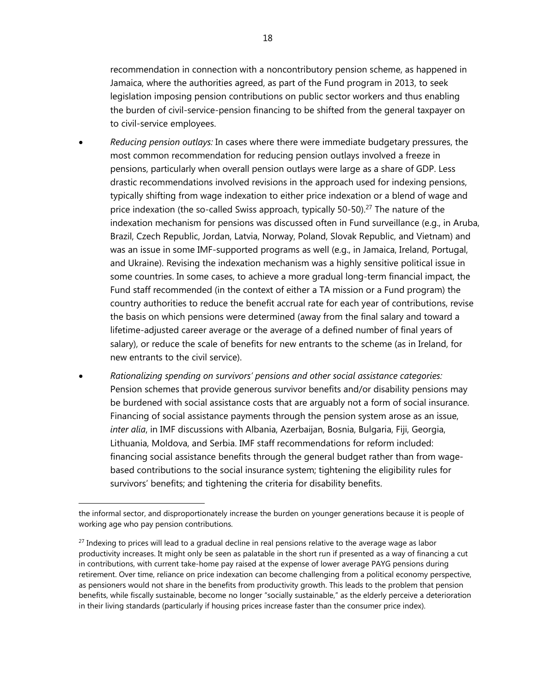recommendation in connection with a noncontributory pension scheme, as happened in Jamaica, where the authorities agreed, as part of the Fund program in 2013, to seek legislation imposing pension contributions on public sector workers and thus enabling the burden of civil-service-pension financing to be shifted from the general taxpayer on to civil-service employees.

- *Reducing pension outlays:* In cases where there were immediate budgetary pressures, the most common recommendation for reducing pension outlays involved a freeze in pensions, particularly when overall pension outlays were large as a share of GDP. Less drastic recommendations involved revisions in the approach used for indexing pensions, typically shifting from wage indexation to either price indexation or a blend of wage and price indexation (the so-called Swiss approach, typically 50-50).<sup>27</sup> The nature of the indexation mechanism for pensions was discussed often in Fund surveillance (e.g., in Aruba, Brazil, Czech Republic, Jordan, Latvia, Norway, Poland, Slovak Republic, and Vietnam) and was an issue in some IMF-supported programs as well (e.g., in Jamaica, Ireland, Portugal, and Ukraine). Revising the indexation mechanism was a highly sensitive political issue in some countries. In some cases, to achieve a more gradual long-term financial impact, the Fund staff recommended (in the context of either a TA mission or a Fund program) the country authorities to reduce the benefit accrual rate for each year of contributions, revise the basis on which pensions were determined (away from the final salary and toward a lifetime-adjusted career average or the average of a defined number of final years of salary), or reduce the scale of benefits for new entrants to the scheme (as in Ireland, for new entrants to the civil service).
- *Rationalizing spending on survivors' pensions and other social assistance categories:* Pension schemes that provide generous survivor benefits and/or disability pensions may be burdened with social assistance costs that are arguably not a form of social insurance. Financing of social assistance payments through the pension system arose as an issue, *inter alia*, in IMF discussions with Albania, Azerbaijan, Bosnia, Bulgaria, Fiji, Georgia, Lithuania, Moldova, and Serbia. IMF staff recommendations for reform included: financing social assistance benefits through the general budget rather than from wagebased contributions to the social insurance system; tightening the eligibility rules for survivors' benefits; and tightening the criteria for disability benefits.

the informal sector, and disproportionately increase the burden on younger generations because it is people of working age who pay pension contributions.

 $27$  Indexing to prices will lead to a gradual decline in real pensions relative to the average wage as labor productivity increases. It might only be seen as palatable in the short run if presented as a way of financing a cut in contributions, with current take-home pay raised at the expense of lower average PAYG pensions during retirement. Over time, reliance on price indexation can become challenging from a political economy perspective, as pensioners would not share in the benefits from productivity growth. This leads to the problem that pension benefits, while fiscally sustainable, become no longer "socially sustainable," as the elderly perceive a deterioration in their living standards (particularly if housing prices increase faster than the consumer price index).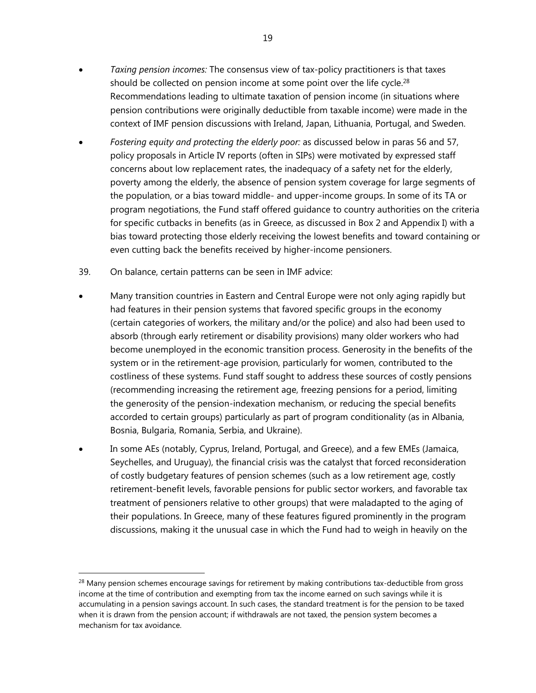- *Taxing pension incomes:* The consensus view of tax-policy practitioners is that taxes should be collected on pension income at some point over the life cycle.<sup>28</sup> Recommendations leading to ultimate taxation of pension income (in situations where pension contributions were originally deductible from taxable income) were made in the context of IMF pension discussions with Ireland, Japan, Lithuania, Portugal, and Sweden.
- *Fostering equity and protecting the elderly poor:* as discussed below in paras 56 and 57, policy proposals in Article IV reports (often in SIPs) were motivated by expressed staff concerns about low replacement rates, the inadequacy of a safety net for the elderly, poverty among the elderly, the absence of pension system coverage for large segments of the population, or a bias toward middle- and upper-income groups. In some of its TA or program negotiations, the Fund staff offered guidance to country authorities on the criteria for specific cutbacks in benefits (as in Greece, as discussed in Box 2 and Appendix I) with a bias toward protecting those elderly receiving the lowest benefits and toward containing or even cutting back the benefits received by higher-income pensioners.
- 39. On balance, certain patterns can be seen in IMF advice:

- Many transition countries in Eastern and Central Europe were not only aging rapidly but had features in their pension systems that favored specific groups in the economy (certain categories of workers, the military and/or the police) and also had been used to absorb (through early retirement or disability provisions) many older workers who had become unemployed in the economic transition process. Generosity in the benefits of the system or in the retirement-age provision, particularly for women, contributed to the costliness of these systems. Fund staff sought to address these sources of costly pensions (recommending increasing the retirement age, freezing pensions for a period, limiting the generosity of the pension-indexation mechanism, or reducing the special benefits accorded to certain groups) particularly as part of program conditionality (as in Albania, Bosnia, Bulgaria, Romania, Serbia, and Ukraine).
- In some AEs (notably, Cyprus, Ireland, Portugal, and Greece), and a few EMEs (Jamaica, Seychelles, and Uruguay), the financial crisis was the catalyst that forced reconsideration of costly budgetary features of pension schemes (such as a low retirement age, costly retirement-benefit levels, favorable pensions for public sector workers, and favorable tax treatment of pensioners relative to other groups) that were maladapted to the aging of their populations. In Greece, many of these features figured prominently in the program discussions, making it the unusual case in which the Fund had to weigh in heavily on the

 $28$  Many pension schemes encourage savings for retirement by making contributions tax-deductible from gross income at the time of contribution and exempting from tax the income earned on such savings while it is accumulating in a pension savings account. In such cases, the standard treatment is for the pension to be taxed when it is drawn from the pension account; if withdrawals are not taxed, the pension system becomes a mechanism for tax avoidance.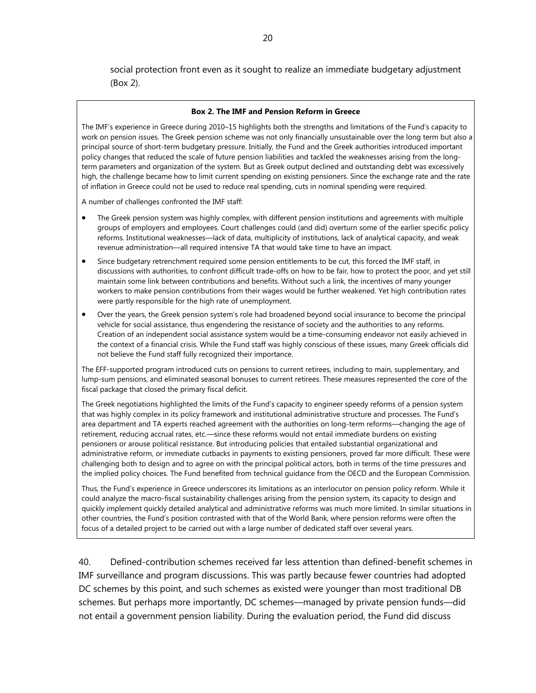social protection front even as it sought to realize an immediate budgetary adjustment (Box 2).

#### **Box 2. The IMF and Pension Reform in Greece**

The IMF's experience in Greece during 2010–15 highlights both the strengths and limitations of the Fund's capacity to work on pension issues. The Greek pension scheme was not only financially unsustainable over the long term but also a principal source of short-term budgetary pressure. Initially, the Fund and the Greek authorities introduced important policy changes that reduced the scale of future pension liabilities and tackled the weaknesses arising from the longterm parameters and organization of the system. But as Greek output declined and outstanding debt was excessively high, the challenge became how to limit current spending on existing pensioners. Since the exchange rate and the rate of inflation in Greece could not be used to reduce real spending, cuts in nominal spending were required.

A number of challenges confronted the IMF staff:

- The Greek pension system was highly complex, with different pension institutions and agreements with multiple groups of employers and employees. Court challenges could (and did) overturn some of the earlier specific policy reforms. Institutional weaknesses—lack of data, multiplicity of institutions, lack of analytical capacity, and weak revenue administration—all required intensive TA that would take time to have an impact.
- Since budgetary retrenchment required some pension entitlements to be cut, this forced the IMF staff, in discussions with authorities, to confront difficult trade-offs on how to be fair, how to protect the poor, and yet still maintain some link between contributions and benefits. Without such a link, the incentives of many younger workers to make pension contributions from their wages would be further weakened. Yet high contribution rates were partly responsible for the high rate of unemployment.
- Over the years, the Greek pension system's role had broadened beyond social insurance to become the principal vehicle for social assistance, thus engendering the resistance of society and the authorities to any reforms. Creation of an independent social assistance system would be a time-consuming endeavor not easily achieved in the context of a financial crisis. While the Fund staff was highly conscious of these issues, many Greek officials did not believe the Fund staff fully recognized their importance.

The EFF-supported program introduced cuts on pensions to current retirees, including to main, supplementary, and lump-sum pensions, and eliminated seasonal bonuses to current retirees. These measures represented the core of the fiscal package that closed the primary fiscal deficit.

The Greek negotiations highlighted the limits of the Fund's capacity to engineer speedy reforms of a pension system that was highly complex in its policy framework and institutional administrative structure and processes. The Fund's area department and TA experts reached agreement with the authorities on long-term reforms—changing the age of retirement, reducing accrual rates, etc.—since these reforms would not entail immediate burdens on existing pensioners or arouse political resistance. But introducing policies that entailed substantial organizational and administrative reform, or immediate cutbacks in payments to existing pensioners, proved far more difficult. These were challenging both to design and to agree on with the principal political actors, both in terms of the time pressures and the implied policy choices. The Fund benefited from technical guidance from the OECD and the European Commission.

Thus, the Fund's experience in Greece underscores its limitations as an interlocutor on pension policy reform. While it could analyze the macro-fiscal sustainability challenges arising from the pension system, its capacity to design and quickly implement quickly detailed analytical and administrative reforms was much more limited. In similar situations in other countries, the Fund's position contrasted with that of the World Bank, where pension reforms were often the focus of a detailed project to be carried out with a large number of dedicated staff over several years.

40. Defined-contribution schemes received far less attention than defined-benefit schemes in IMF surveillance and program discussions. This was partly because fewer countries had adopted DC schemes by this point, and such schemes as existed were younger than most traditional DB schemes. But perhaps more importantly, DC schemes—managed by private pension funds—did not entail a government pension liability. During the evaluation period, the Fund did discuss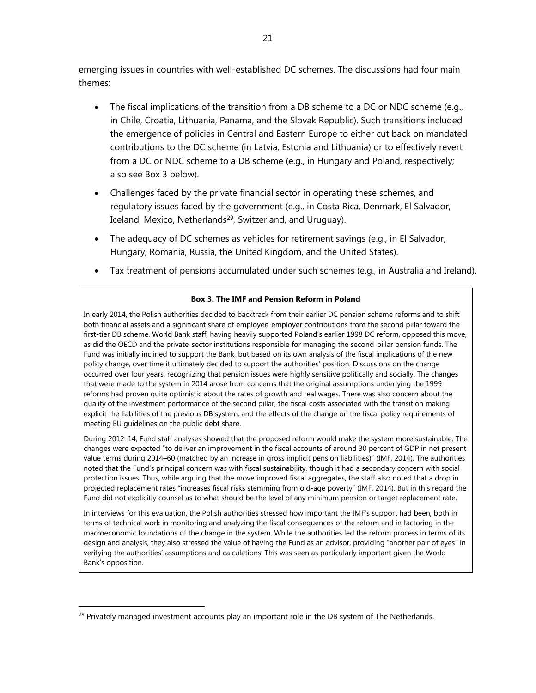emerging issues in countries with well-established DC schemes. The discussions had four main themes:

- The fiscal implications of the transition from a DB scheme to a DC or NDC scheme (e.g., in Chile, Croatia, Lithuania, Panama, and the Slovak Republic). Such transitions included the emergence of policies in Central and Eastern Europe to either cut back on mandated contributions to the DC scheme (in Latvia, Estonia and Lithuania) or to effectively revert from a DC or NDC scheme to a DB scheme (e.g., in Hungary and Poland, respectively; also see Box 3 below).
- Challenges faced by the private financial sector in operating these schemes, and regulatory issues faced by the government (e.g., in Costa Rica, Denmark, El Salvador, Iceland, Mexico, Netherlands<sup>29</sup>, Switzerland, and Uruguay).
- The adequacy of DC schemes as vehicles for retirement savings (e.g., in El Salvador, Hungary, Romania, Russia, the United Kingdom, and the United States).
- Tax treatment of pensions accumulated under such schemes (e.g., in Australia and Ireland).

#### **Box 3. The IMF and Pension Reform in Poland**

In early 2014, the Polish authorities decided to backtrack from their earlier DC pension scheme reforms and to shift both financial assets and a significant share of employee-employer contributions from the second pillar toward the first-tier DB scheme. World Bank staff, having heavily supported Poland's earlier 1998 DC reform, opposed this move, as did the OECD and the private-sector institutions responsible for managing the second-pillar pension funds. The Fund was initially inclined to support the Bank, but based on its own analysis of the fiscal implications of the new policy change, over time it ultimately decided to support the authorities' position. Discussions on the change occurred over four years, recognizing that pension issues were highly sensitive politically and socially. The changes that were made to the system in 2014 arose from concerns that the original assumptions underlying the 1999 reforms had proven quite optimistic about the rates of growth and real wages. There was also concern about the quality of the investment performance of the second pillar, the fiscal costs associated with the transition making explicit the liabilities of the previous DB system, and the effects of the change on the fiscal policy requirements of meeting EU guidelines on the public debt share.

During 2012–14, Fund staff analyses showed that the proposed reform would make the system more sustainable. The changes were expected "to deliver an improvement in the fiscal accounts of around 30 percent of GDP in net present value terms during 2014–60 (matched by an increase in gross implicit pension liabilities)" (IMF, 2014). The authorities noted that the Fund's principal concern was with fiscal sustainability, though it had a secondary concern with social protection issues. Thus, while arguing that the move improved fiscal aggregates, the staff also noted that a drop in projected replacement rates "increases fiscal risks stemming from old-age poverty" (IMF, 2014). But in this regard the Fund did not explicitly counsel as to what should be the level of any minimum pension or target replacement rate.

In interviews for this evaluation, the Polish authorities stressed how important the IMF's support had been, both in terms of technical work in monitoring and analyzing the fiscal consequences of the reform and in factoring in the macroeconomic foundations of the change in the system. While the authorities led the reform process in terms of its design and analysis, they also stressed the value of having the Fund as an advisor, providing "another pair of eyes" in verifying the authorities' assumptions and calculations. This was seen as particularly important given the World Bank's opposition.

 $\overline{a}$ 

 $29$  Privately managed investment accounts play an important role in the DB system of The Netherlands.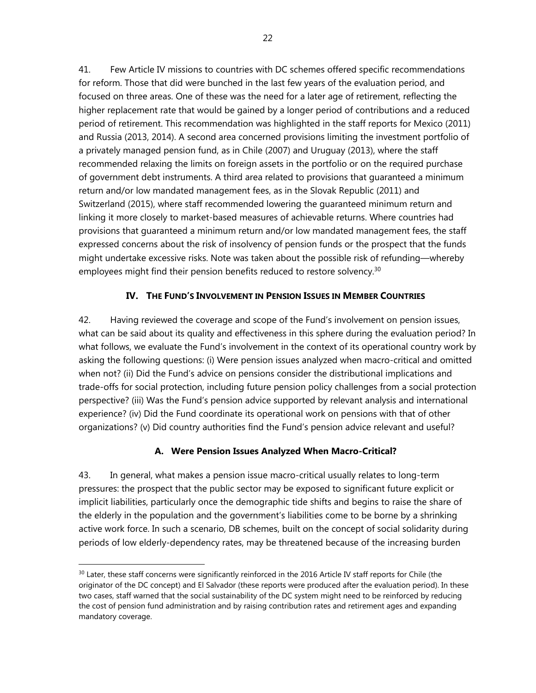41. Few Article IV missions to countries with DC schemes offered specific recommendations for reform. Those that did were bunched in the last few years of the evaluation period, and focused on three areas. One of these was the need for a later age of retirement, reflecting the higher replacement rate that would be gained by a longer period of contributions and a reduced period of retirement. This recommendation was highlighted in the staff reports for Mexico (2011) and Russia (2013, 2014). A second area concerned provisions limiting the investment portfolio of a privately managed pension fund, as in Chile (2007) and Uruguay (2013), where the staff recommended relaxing the limits on foreign assets in the portfolio or on the required purchase of government debt instruments. A third area related to provisions that guaranteed a minimum return and/or low mandated management fees, as in the Slovak Republic (2011) and Switzerland (2015), where staff recommended lowering the guaranteed minimum return and linking it more closely to market-based measures of achievable returns. Where countries had provisions that guaranteed a minimum return and/or low mandated management fees, the staff expressed concerns about the risk of insolvency of pension funds or the prospect that the funds might undertake excessive risks. Note was taken about the possible risk of refunding—whereby employees might find their pension benefits reduced to restore solvency.<sup>30</sup>

# **IV. THE FUND'S INVOLVEMENT IN PENSION ISSUES IN MEMBER COUNTRIES**

42. Having reviewed the coverage and scope of the Fund's involvement on pension issues, what can be said about its quality and effectiveness in this sphere during the evaluation period? In what follows, we evaluate the Fund's involvement in the context of its operational country work by asking the following questions: (i) Were pension issues analyzed when macro-critical and omitted when not? (ii) Did the Fund's advice on pensions consider the distributional implications and trade-offs for social protection, including future pension policy challenges from a social protection perspective? (iii) Was the Fund's pension advice supported by relevant analysis and international experience? (iv) Did the Fund coordinate its operational work on pensions with that of other organizations? (v) Did country authorities find the Fund's pension advice relevant and useful?

## **A. Were Pension Issues Analyzed When Macro-Critical?**

43. In general, what makes a pension issue macro-critical usually relates to long-term pressures: the prospect that the public sector may be exposed to significant future explicit or implicit liabilities, particularly once the demographic tide shifts and begins to raise the share of the elderly in the population and the government's liabilities come to be borne by a shrinking active work force. In such a scenario, DB schemes, built on the concept of social solidarity during periods of low elderly-dependency rates, may be threatened because of the increasing burden

 $30$  Later, these staff concerns were significantly reinforced in the 2016 Article IV staff reports for Chile (the originator of the DC concept) and El Salvador (these reports were produced after the evaluation period). In these two cases, staff warned that the social sustainability of the DC system might need to be reinforced by reducing the cost of pension fund administration and by raising contribution rates and retirement ages and expanding mandatory coverage.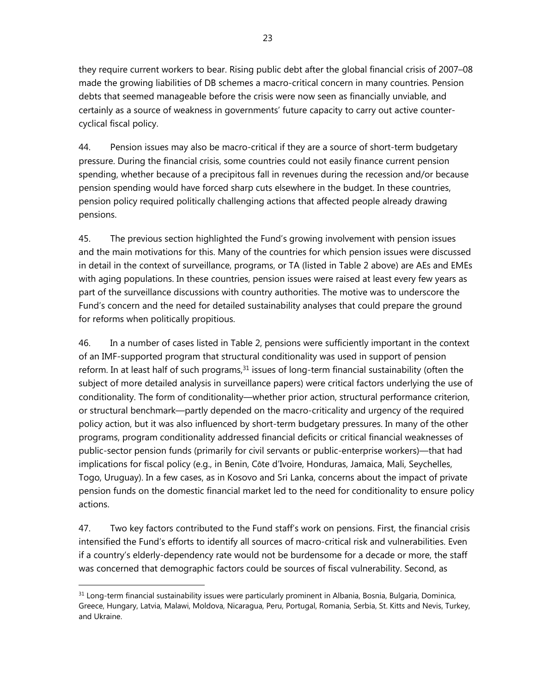they require current workers to bear. Rising public debt after the global financial crisis of 2007–08 made the growing liabilities of DB schemes a macro-critical concern in many countries. Pension debts that seemed manageable before the crisis were now seen as financially unviable, and certainly as a source of weakness in governments' future capacity to carry out active countercyclical fiscal policy.

44. Pension issues may also be macro-critical if they are a source of short-term budgetary pressure. During the financial crisis, some countries could not easily finance current pension spending, whether because of a precipitous fall in revenues during the recession and/or because pension spending would have forced sharp cuts elsewhere in the budget. In these countries, pension policy required politically challenging actions that affected people already drawing pensions.

45. The previous section highlighted the Fund's growing involvement with pension issues and the main motivations for this. Many of the countries for which pension issues were discussed in detail in the context of surveillance, programs, or TA (listed in Table 2 above) are AEs and EMEs with aging populations. In these countries, pension issues were raised at least every few years as part of the surveillance discussions with country authorities. The motive was to underscore the Fund's concern and the need for detailed sustainability analyses that could prepare the ground for reforms when politically propitious.

46. In a number of cases listed in Table 2, pensions were sufficiently important in the context of an IMF-supported program that structural conditionality was used in support of pension reform. In at least half of such programs, $31$  issues of long-term financial sustainability (often the subject of more detailed analysis in surveillance papers) were critical factors underlying the use of conditionality. The form of conditionality—whether prior action, structural performance criterion, or structural benchmark—partly depended on the macro-criticality and urgency of the required policy action, but it was also influenced by short-term budgetary pressures. In many of the other programs, program conditionality addressed financial deficits or critical financial weaknesses of public-sector pension funds (primarily for civil servants or public-enterprise workers)—that had implications for fiscal policy (e.g., in Benin, Côte d'Ivoire, Honduras, Jamaica, Mali, Seychelles, Togo, Uruguay). In a few cases, as in Kosovo and Sri Lanka, concerns about the impact of private pension funds on the domestic financial market led to the need for conditionality to ensure policy actions.

47. Two key factors contributed to the Fund staff's work on pensions. First, the financial crisis intensified the Fund's efforts to identify all sources of macro-critical risk and vulnerabilities. Even if a country's elderly-dependency rate would not be burdensome for a decade or more, the staff was concerned that demographic factors could be sources of fiscal vulnerability. Second, as

<sup>&</sup>lt;sup>31</sup> Long-term financial sustainability issues were particularly prominent in Albania, Bosnia, Bulgaria, Dominica, Greece, Hungary, Latvia, Malawi, Moldova, Nicaragua, Peru, Portugal, Romania, Serbia, St. Kitts and Nevis, Turkey, and Ukraine.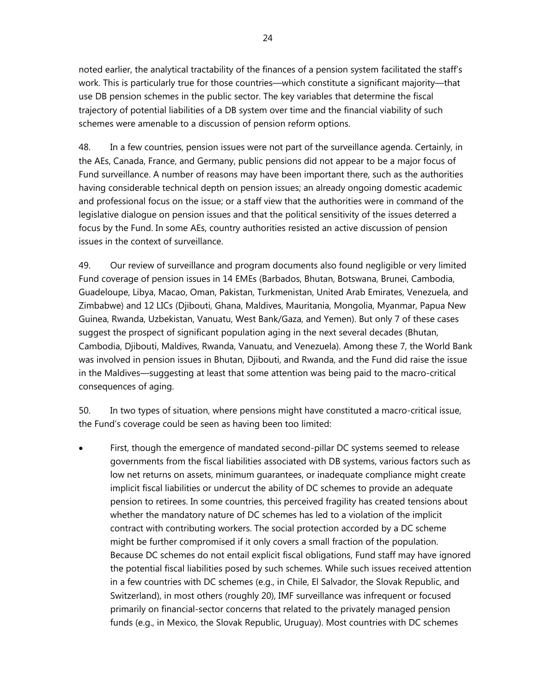noted earlier, the analytical tractability of the finances of a pension system facilitated the staff's work. This is particularly true for those countries—which constitute a significant majority—that use DB pension schemes in the public sector. The key variables that determine the fiscal trajectory of potential liabilities of a DB system over time and the financial viability of such schemes were amenable to a discussion of pension reform options.

48. In a few countries, pension issues were not part of the surveillance agenda. Certainly, in the AEs, Canada, France, and Germany, public pensions did not appear to be a major focus of Fund surveillance. A number of reasons may have been important there, such as the authorities having considerable technical depth on pension issues; an already ongoing domestic academic and professional focus on the issue; or a staff view that the authorities were in command of the legislative dialogue on pension issues and that the political sensitivity of the issues deterred a focus by the Fund. In some AEs, country authorities resisted an active discussion of pension issues in the context of surveillance.

49. Our review of surveillance and program documents also found negligible or very limited Fund coverage of pension issues in 14 EMEs (Barbados, Bhutan, Botswana, Brunei, Cambodia, Guadeloupe, Libya, Macao, Oman, Pakistan, Turkmenistan, United Arab Emirates, Venezuela, and Zimbabwe) and 12 LICs (Djibouti, Ghana, Maldives, Mauritania, Mongolia, Myanmar, Papua New Guinea, Rwanda, Uzbekistan, Vanuatu, West Bank/Gaza, and Yemen). But only 7 of these cases suggest the prospect of significant population aging in the next several decades (Bhutan, Cambodia, Djibouti, Maldives, Rwanda, Vanuatu, and Venezuela). Among these 7, the World Bank was involved in pension issues in Bhutan, Djibouti, and Rwanda, and the Fund did raise the issue in the Maldives—suggesting at least that some attention was being paid to the macro-critical consequences of aging.

50. In two types of situation, where pensions might have constituted a macro-critical issue, the Fund's coverage could be seen as having been too limited:

 First, though the emergence of mandated second-pillar DC systems seemed to release governments from the fiscal liabilities associated with DB systems, various factors such as low net returns on assets, minimum guarantees, or inadequate compliance might create implicit fiscal liabilities or undercut the ability of DC schemes to provide an adequate pension to retirees. In some countries, this perceived fragility has created tensions about whether the mandatory nature of DC schemes has led to a violation of the implicit contract with contributing workers. The social protection accorded by a DC scheme might be further compromised if it only covers a small fraction of the population. Because DC schemes do not entail explicit fiscal obligations, Fund staff may have ignored the potential fiscal liabilities posed by such schemes. While such issues received attention in a few countries with DC schemes (e.g., in Chile, El Salvador, the Slovak Republic, and Switzerland), in most others (roughly 20), IMF surveillance was infrequent or focused primarily on financial-sector concerns that related to the privately managed pension funds (e.g., in Mexico, the Slovak Republic, Uruguay). Most countries with DC schemes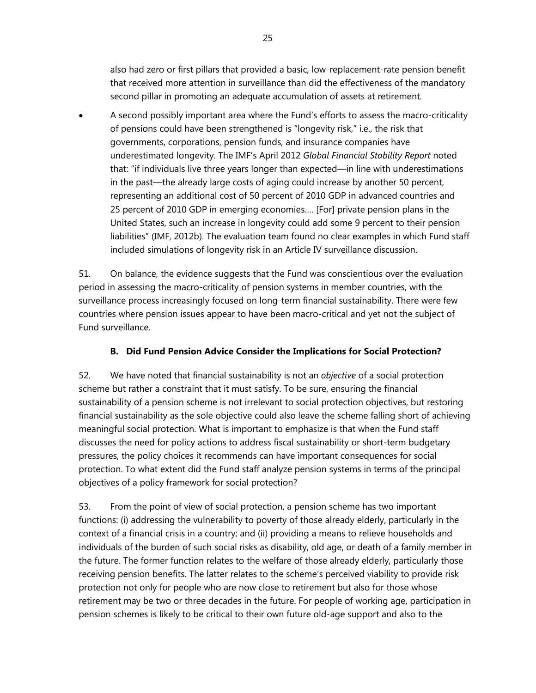also had zero or first pillars that provided a basic, low-replacement-rate pension benefit that received more attention in surveillance than did the effectiveness of the mandatory second pillar in promoting an adequate accumulation of assets at retirement.

 A second possibly important area where the Fund's efforts to assess the macro-criticality of pensions could have been strengthened is "longevity risk," i.e., the risk that governments, corporations, pension funds, and insurance companies have underestimated longevity. The IMF's April 2012 *Global Financial Stability Report* noted that: "if individuals live three years longer than expected—in line with underestimations in the past—the already large costs of aging could increase by another 50 percent, representing an additional cost of 50 percent of 2010 GDP in advanced countries and 25 percent of 2010 GDP in emerging economies…. [For] private pension plans in the United States, such an increase in longevity could add some 9 percent to their pension liabilities" (IMF, 2012b). The evaluation team found no clear examples in which Fund staff included simulations of longevity risk in an Article IV surveillance discussion.

51. On balance, the evidence suggests that the Fund was conscientious over the evaluation period in assessing the macro-criticality of pension systems in member countries, with the surveillance process increasingly focused on long-term financial sustainability. There were few countries where pension issues appear to have been macro-critical and yet not the subject of Fund surveillance.

# **B. Did Fund Pension Advice Consider the Implications for Social Protection?**

52. We have noted that financial sustainability is not an *objective* of a social protection scheme but rather a constraint that it must satisfy. To be sure, ensuring the financial sustainability of a pension scheme is not irrelevant to social protection objectives, but restoring financial sustainability as the sole objective could also leave the scheme falling short of achieving meaningful social protection. What is important to emphasize is that when the Fund staff discusses the need for policy actions to address fiscal sustainability or short-term budgetary pressures, the policy choices it recommends can have important consequences for social protection. To what extent did the Fund staff analyze pension systems in terms of the principal objectives of a policy framework for social protection?

53. From the point of view of social protection, a pension scheme has two important functions: (i) addressing the vulnerability to poverty of those already elderly, particularly in the context of a financial crisis in a country; and (ii) providing a means to relieve households and individuals of the burden of such social risks as disability, old age, or death of a family member in the future. The former function relates to the welfare of those already elderly, particularly those receiving pension benefits. The latter relates to the scheme's perceived viability to provide risk protection not only for people who are now close to retirement but also for those whose retirement may be two or three decades in the future. For people of working age, participation in pension schemes is likely to be critical to their own future old-age support and also to the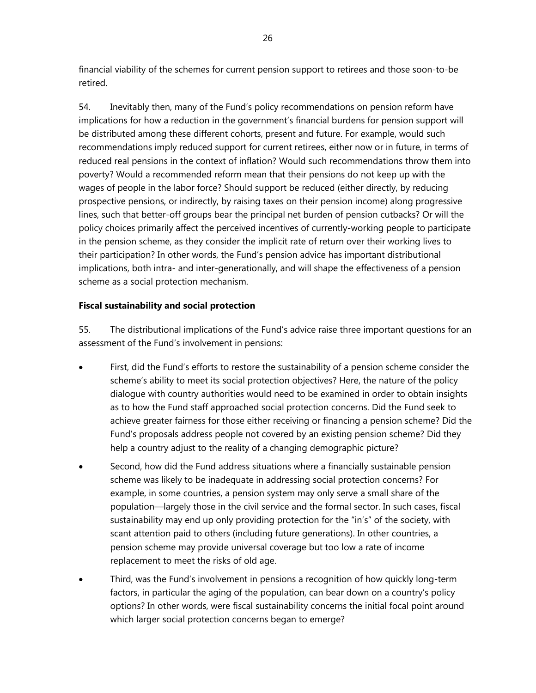financial viability of the schemes for current pension support to retirees and those soon-to-be retired.

54. Inevitably then, many of the Fund's policy recommendations on pension reform have implications for how a reduction in the government's financial burdens for pension support will be distributed among these different cohorts, present and future. For example, would such recommendations imply reduced support for current retirees, either now or in future, in terms of reduced real pensions in the context of inflation? Would such recommendations throw them into poverty? Would a recommended reform mean that their pensions do not keep up with the wages of people in the labor force? Should support be reduced (either directly, by reducing prospective pensions, or indirectly, by raising taxes on their pension income) along progressive lines, such that better-off groups bear the principal net burden of pension cutbacks? Or will the policy choices primarily affect the perceived incentives of currently-working people to participate in the pension scheme, as they consider the implicit rate of return over their working lives to their participation? In other words, the Fund's pension advice has important distributional implications, both intra- and inter-generationally, and will shape the effectiveness of a pension scheme as a social protection mechanism.

# **Fiscal sustainability and social protection**

55. The distributional implications of the Fund's advice raise three important questions for an assessment of the Fund's involvement in pensions:

- First, did the Fund's efforts to restore the sustainability of a pension scheme consider the scheme's ability to meet its social protection objectives? Here, the nature of the policy dialogue with country authorities would need to be examined in order to obtain insights as to how the Fund staff approached social protection concerns. Did the Fund seek to achieve greater fairness for those either receiving or financing a pension scheme? Did the Fund's proposals address people not covered by an existing pension scheme? Did they help a country adjust to the reality of a changing demographic picture?
- Second, how did the Fund address situations where a financially sustainable pension scheme was likely to be inadequate in addressing social protection concerns? For example, in some countries, a pension system may only serve a small share of the population—largely those in the civil service and the formal sector. In such cases, fiscal sustainability may end up only providing protection for the "in's" of the society, with scant attention paid to others (including future generations). In other countries, a pension scheme may provide universal coverage but too low a rate of income replacement to meet the risks of old age.
- Third, was the Fund's involvement in pensions a recognition of how quickly long-term factors, in particular the aging of the population, can bear down on a country's policy options? In other words, were fiscal sustainability concerns the initial focal point around which larger social protection concerns began to emerge?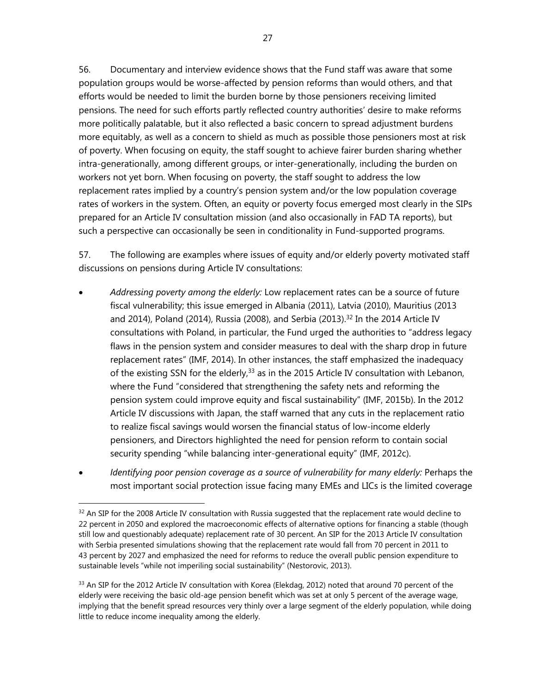56. Documentary and interview evidence shows that the Fund staff was aware that some population groups would be worse-affected by pension reforms than would others, and that efforts would be needed to limit the burden borne by those pensioners receiving limited pensions. The need for such efforts partly reflected country authorities' desire to make reforms more politically palatable, but it also reflected a basic concern to spread adjustment burdens more equitably, as well as a concern to shield as much as possible those pensioners most at risk of poverty. When focusing on equity, the staff sought to achieve fairer burden sharing whether intra-generationally, among different groups, or inter-generationally, including the burden on workers not yet born. When focusing on poverty, the staff sought to address the low replacement rates implied by a country's pension system and/or the low population coverage rates of workers in the system. Often, an equity or poverty focus emerged most clearly in the SIPs prepared for an Article IV consultation mission (and also occasionally in FAD TA reports), but such a perspective can occasionally be seen in conditionality in Fund-supported programs.

57. The following are examples where issues of equity and/or elderly poverty motivated staff discussions on pensions during Article IV consultations:

- *Addressing poverty among the elderly:* Low replacement rates can be a source of future fiscal vulnerability; this issue emerged in Albania (2011), Latvia (2010), Mauritius (2013 and 2014), Poland (2014), Russia (2008), and Serbia (2013).<sup>32</sup> In the 2014 Article IV consultations with Poland, in particular, the Fund urged the authorities to "address legacy flaws in the pension system and consider measures to deal with the sharp drop in future replacement rates" (IMF, 2014). In other instances, the staff emphasized the inadequacy of the existing SSN for the elderly,  $33$  as in the 2015 Article IV consultation with Lebanon, where the Fund "considered that strengthening the safety nets and reforming the pension system could improve equity and fiscal sustainability" (IMF, 2015b). In the 2012 Article IV discussions with Japan, the staff warned that any cuts in the replacement ratio to realize fiscal savings would worsen the financial status of low-income elderly pensioners, and Directors highlighted the need for pension reform to contain social security spending "while balancing inter-generational equity" (IMF, 2012c).
- *Identifying poor pension coverage as a source of vulnerability for many elderly:* Perhaps the most important social protection issue facing many EMEs and LICs is the limited coverage

 $32$  An SIP for the 2008 Article IV consultation with Russia suggested that the replacement rate would decline to 22 percent in 2050 and explored the macroeconomic effects of alternative options for financing a stable (though still low and questionably adequate) replacement rate of 30 percent. An SIP for the 2013 Article IV consultation with Serbia presented simulations showing that the replacement rate would fall from 70 percent in 2011 to 43 percent by 2027 and emphasized the need for reforms to reduce the overall public pension expenditure to sustainable levels "while not imperiling social sustainability" (Nestorovic, 2013).

<sup>&</sup>lt;sup>33</sup> An SIP for the 2012 Article IV consultation with Korea (Elekdag, 2012) noted that around 70 percent of the elderly were receiving the basic old-age pension benefit which was set at only 5 percent of the average wage, implying that the benefit spread resources very thinly over a large segment of the elderly population, while doing little to reduce income inequality among the elderly.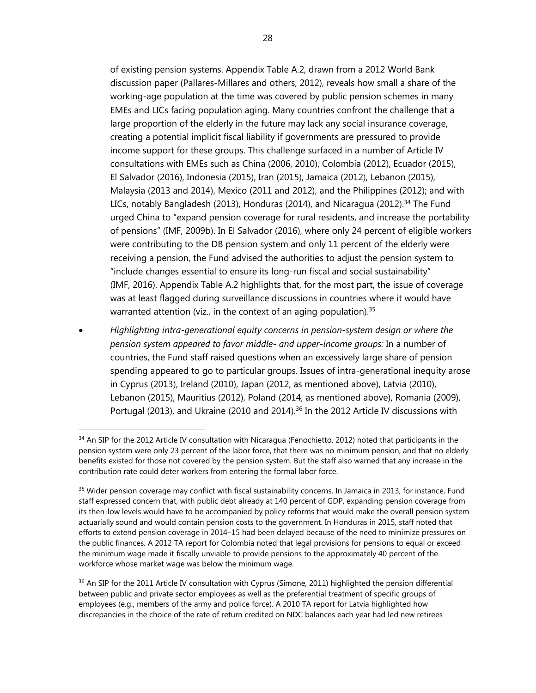of existing pension systems. Appendix Table A.2, drawn from a 2012 World Bank discussion paper (Pallares-Millares and others, 2012), reveals how small a share of the working-age population at the time was covered by public pension schemes in many EMEs and LICs facing population aging. Many countries confront the challenge that a large proportion of the elderly in the future may lack any social insurance coverage, creating a potential implicit fiscal liability if governments are pressured to provide income support for these groups. This challenge surfaced in a number of Article IV consultations with EMEs such as China (2006, 2010), Colombia (2012), Ecuador (2015), El Salvador (2016), Indonesia (2015), Iran (2015), Jamaica (2012), Lebanon (2015), Malaysia (2013 and 2014), Mexico (2011 and 2012), and the Philippines (2012); and with LICs, notably Bangladesh (2013), Honduras (2014), and Nicaragua (2012).<sup>34</sup> The Fund urged China to "expand pension coverage for rural residents, and increase the portability of pensions" (IMF, 2009b). In El Salvador (2016), where only 24 percent of eligible workers were contributing to the DB pension system and only 11 percent of the elderly were receiving a pension, the Fund advised the authorities to adjust the pension system to "include changes essential to ensure its long-run fiscal and social sustainability" (IMF, 2016). Appendix Table A.2 highlights that, for the most part, the issue of coverage was at least flagged during surveillance discussions in countries where it would have warranted attention (viz., in the context of an aging population).<sup>35</sup>

 *Highlighting intra-generational equity concerns in pension-system design or where the pension system appeared to favor middle- and upper-income groups:* In a number of countries, the Fund staff raised questions when an excessively large share of pension spending appeared to go to particular groups. Issues of intra-generational inequity arose in Cyprus (2013), Ireland (2010), Japan (2012, as mentioned above), Latvia (2010), Lebanon (2015), Mauritius (2012), Poland (2014, as mentioned above), Romania (2009), Portugal (2013), and Ukraine (2010 and 2014).<sup>36</sup> In the 2012 Article IV discussions with

 $\overline{a}$ 

<sup>34</sup> An SIP for the 2012 Article IV consultation with Nicaragua (Fenochietto, 2012) noted that participants in the pension system were only 23 percent of the labor force, that there was no minimum pension, and that no elderly benefits existed for those not covered by the pension system. But the staff also warned that any increase in the contribution rate could deter workers from entering the formal labor force.

<sup>&</sup>lt;sup>35</sup> Wider pension coverage may conflict with fiscal sustainability concerns. In Jamaica in 2013, for instance, Fund staff expressed concern that, with public debt already at 140 percent of GDP, expanding pension coverage from its then-low levels would have to be accompanied by policy reforms that would make the overall pension system actuarially sound and would contain pension costs to the government. In Honduras in 2015, staff noted that efforts to extend pension coverage in 2014–15 had been delayed because of the need to minimize pressures on the public finances. A 2012 TA report for Colombia noted that legal provisions for pensions to equal or exceed the minimum wage made it fiscally unviable to provide pensions to the approximately 40 percent of the workforce whose market wage was below the minimum wage.

<sup>&</sup>lt;sup>36</sup> An SIP for the 2011 Article IV consultation with Cyprus (Simone, 2011) highlighted the pension differential between public and private sector employees as well as the preferential treatment of specific groups of employees (e.g., members of the army and police force). A 2010 TA report for Latvia highlighted how discrepancies in the choice of the rate of return credited on NDC balances each year had led new retirees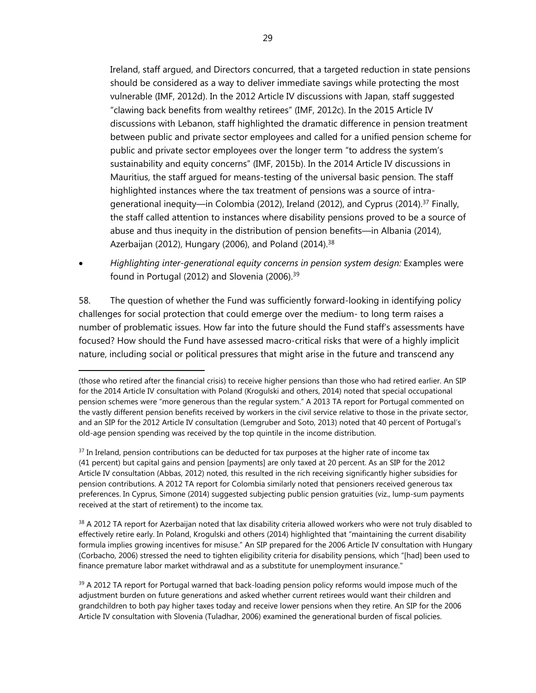Ireland, staff argued, and Directors concurred, that a targeted reduction in state pensions should be considered as a way to deliver immediate savings while protecting the most vulnerable (IMF, 2012d). In the 2012 Article IV discussions with Japan, staff suggested "clawing back benefits from wealthy retirees" (IMF, 2012c). In the 2015 Article IV discussions with Lebanon, staff highlighted the dramatic difference in pension treatment between public and private sector employees and called for a unified pension scheme for public and private sector employees over the longer term "to address the system's sustainability and equity concerns" (IMF, 2015b). In the 2014 Article IV discussions in Mauritius, the staff argued for means-testing of the universal basic pension. The staff highlighted instances where the tax treatment of pensions was a source of intragenerational inequity—in Colombia (2012), Ireland (2012), and Cyprus (2014).37 Finally, the staff called attention to instances where disability pensions proved to be a source of abuse and thus inequity in the distribution of pension benefits—in Albania (2014), Azerbaijan (2012), Hungary (2006), and Poland (2014). $38$ 

 *Highlighting inter-generational equity concerns in pension system design:* Examples were found in Portugal (2012) and Slovenia (2006).<sup>39</sup>

58. The question of whether the Fund was sufficiently forward-looking in identifying policy challenges for social protection that could emerge over the medium- to long term raises a number of problematic issues. How far into the future should the Fund staff's assessments have focused? How should the Fund have assessed macro-critical risks that were of a highly implicit nature, including social or political pressures that might arise in the future and transcend any

<sup>(</sup>those who retired after the financial crisis) to receive higher pensions than those who had retired earlier. An SIP for the 2014 Article IV consultation with Poland (Krogulski and others, 2014) noted that special occupational pension schemes were "more generous than the regular system." A 2013 TA report for Portugal commented on the vastly different pension benefits received by workers in the civil service relative to those in the private sector, and an SIP for the 2012 Article IV consultation (Lemgruber and Soto, 2013) noted that 40 percent of Portugal's old-age pension spending was received by the top quintile in the income distribution.

 $37$  In Ireland, pension contributions can be deducted for tax purposes at the higher rate of income tax (41 percent) but capital gains and pension [payments] are only taxed at 20 percent. As an SIP for the 2012 Article IV consultation (Abbas, 2012) noted, this resulted in the rich receiving significantly higher subsidies for pension contributions. A 2012 TA report for Colombia similarly noted that pensioners received generous tax preferences. In Cyprus, Simone (2014) suggested subjecting public pension gratuities (viz., lump-sum payments received at the start of retirement) to the income tax.

 $38$  A 2012 TA report for Azerbaijan noted that lax disability criteria allowed workers who were not truly disabled to effectively retire early. In Poland, Krogulski and others (2014) highlighted that "maintaining the current disability formula implies growing incentives for misuse." An SIP prepared for the 2006 Article IV consultation with Hungary (Corbacho, 2006) stressed the need to tighten eligibility criteria for disability pensions, which "[had] been used to finance premature labor market withdrawal and as a substitute for unemployment insurance."

 $39$  A 2012 TA report for Portugal warned that back-loading pension policy reforms would impose much of the adjustment burden on future generations and asked whether current retirees would want their children and grandchildren to both pay higher taxes today and receive lower pensions when they retire. An SIP for the 2006 Article IV consultation with Slovenia (Tuladhar, 2006) examined the generational burden of fiscal policies.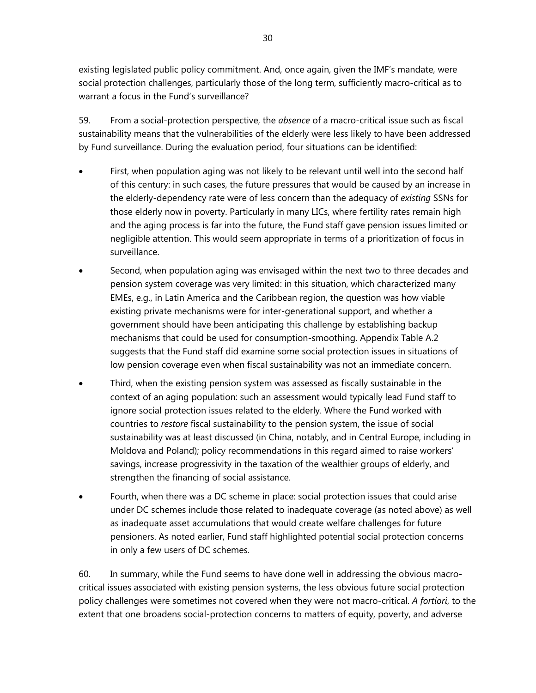existing legislated public policy commitment. And, once again, given the IMF's mandate, were social protection challenges, particularly those of the long term, sufficiently macro-critical as to warrant a focus in the Fund's surveillance?

59. From a social-protection perspective, the *absence* of a macro-critical issue such as fiscal sustainability means that the vulnerabilities of the elderly were less likely to have been addressed by Fund surveillance. During the evaluation period, four situations can be identified:

- First, when population aging was not likely to be relevant until well into the second half of this century: in such cases, the future pressures that would be caused by an increase in the elderly-dependency rate were of less concern than the adequacy of *existing* SSNs for those elderly now in poverty. Particularly in many LICs, where fertility rates remain high and the aging process is far into the future, the Fund staff gave pension issues limited or negligible attention. This would seem appropriate in terms of a prioritization of focus in surveillance.
- Second, when population aging was envisaged within the next two to three decades and pension system coverage was very limited: in this situation, which characterized many EMEs, e.g., in Latin America and the Caribbean region, the question was how viable existing private mechanisms were for inter-generational support, and whether a government should have been anticipating this challenge by establishing backup mechanisms that could be used for consumption-smoothing. Appendix Table A.2 suggests that the Fund staff did examine some social protection issues in situations of low pension coverage even when fiscal sustainability was not an immediate concern.
- Third, when the existing pension system was assessed as fiscally sustainable in the context of an aging population: such an assessment would typically lead Fund staff to ignore social protection issues related to the elderly. Where the Fund worked with countries to *restore* fiscal sustainability to the pension system, the issue of social sustainability was at least discussed (in China, notably, and in Central Europe, including in Moldova and Poland); policy recommendations in this regard aimed to raise workers' savings, increase progressivity in the taxation of the wealthier groups of elderly, and strengthen the financing of social assistance.
- Fourth, when there was a DC scheme in place: social protection issues that could arise under DC schemes include those related to inadequate coverage (as noted above) as well as inadequate asset accumulations that would create welfare challenges for future pensioners. As noted earlier, Fund staff highlighted potential social protection concerns in only a few users of DC schemes.

60. In summary, while the Fund seems to have done well in addressing the obvious macrocritical issues associated with existing pension systems, the less obvious future social protection policy challenges were sometimes not covered when they were not macro-critical. *A fortiori*, to the extent that one broadens social-protection concerns to matters of equity, poverty, and adverse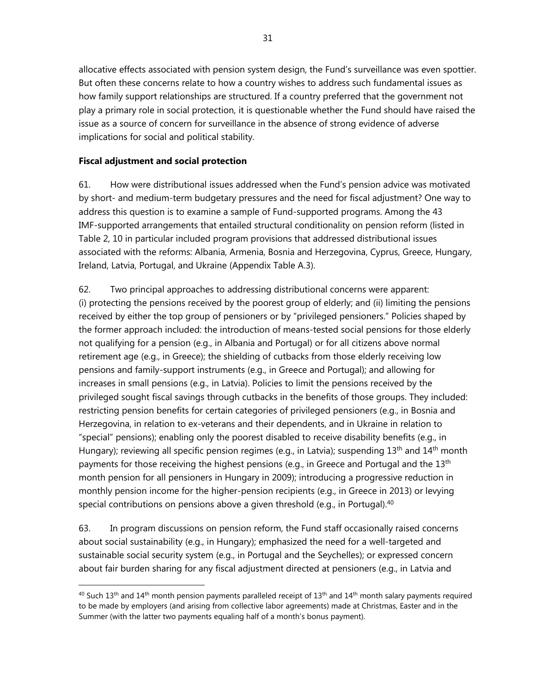allocative effects associated with pension system design, the Fund's surveillance was even spottier. But often these concerns relate to how a country wishes to address such fundamental issues as how family support relationships are structured. If a country preferred that the government not play a primary role in social protection, it is questionable whether the Fund should have raised the issue as a source of concern for surveillance in the absence of strong evidence of adverse implications for social and political stability.

## **Fiscal adjustment and social protection**

-

61. How were distributional issues addressed when the Fund's pension advice was motivated by short- and medium-term budgetary pressures and the need for fiscal adjustment? One way to address this question is to examine a sample of Fund-supported programs. Among the 43 IMF-supported arrangements that entailed structural conditionality on pension reform (listed in Table 2, 10 in particular included program provisions that addressed distributional issues associated with the reforms: Albania, Armenia, Bosnia and Herzegovina, Cyprus, Greece, Hungary, Ireland, Latvia, Portugal, and Ukraine (Appendix Table A.3).

62. Two principal approaches to addressing distributional concerns were apparent: (i) protecting the pensions received by the poorest group of elderly; and (ii) limiting the pensions received by either the top group of pensioners or by "privileged pensioners." Policies shaped by the former approach included: the introduction of means-tested social pensions for those elderly not qualifying for a pension (e.g., in Albania and Portugal) or for all citizens above normal retirement age (e.g., in Greece); the shielding of cutbacks from those elderly receiving low pensions and family-support instruments (e.g., in Greece and Portugal); and allowing for increases in small pensions (e.g., in Latvia). Policies to limit the pensions received by the privileged sought fiscal savings through cutbacks in the benefits of those groups. They included: restricting pension benefits for certain categories of privileged pensioners (e.g., in Bosnia and Herzegovina, in relation to ex-veterans and their dependents, and in Ukraine in relation to "special" pensions); enabling only the poorest disabled to receive disability benefits (e.g., in Hungary); reviewing all specific pension regimes (e.g., in Latvia); suspending 13<sup>th</sup> and 14<sup>th</sup> month payments for those receiving the highest pensions (e.g., in Greece and Portugal and the 13<sup>th</sup> month pension for all pensioners in Hungary in 2009); introducing a progressive reduction in monthly pension income for the higher-pension recipients (e.g., in Greece in 2013) or levying special contributions on pensions above a given threshold (e.g., in Portugal).<sup>40</sup>

63. In program discussions on pension reform, the Fund staff occasionally raised concerns about social sustainability (e.g., in Hungary); emphasized the need for a well-targeted and sustainable social security system (e.g., in Portugal and the Seychelles); or expressed concern about fair burden sharing for any fiscal adjustment directed at pensioners (e.g., in Latvia and

<sup>&</sup>lt;sup>40</sup> Such 13<sup>th</sup> and 14<sup>th</sup> month pension payments paralleled receipt of 13<sup>th</sup> and 14<sup>th</sup> month salary payments required to be made by employers (and arising from collective labor agreements) made at Christmas, Easter and in the Summer (with the latter two payments equaling half of a month's bonus payment).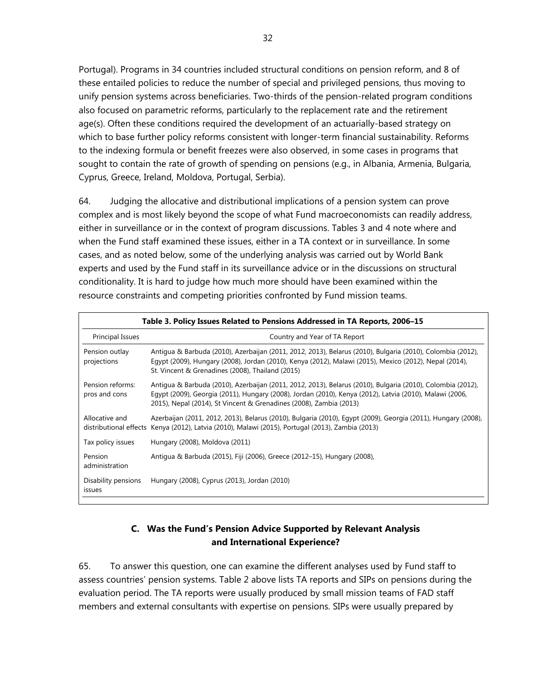Portugal). Programs in 34 countries included structural conditions on pension reform, and 8 of these entailed policies to reduce the number of special and privileged pensions, thus moving to unify pension systems across beneficiaries. Two-thirds of the pension-related program conditions also focused on parametric reforms, particularly to the replacement rate and the retirement age(s). Often these conditions required the development of an actuarially-based strategy on which to base further policy reforms consistent with longer-term financial sustainability. Reforms to the indexing formula or benefit freezes were also observed, in some cases in programs that sought to contain the rate of growth of spending on pensions (e.g., in Albania, Armenia, Bulgaria, Cyprus, Greece, Ireland, Moldova, Portugal, Serbia).

64. Judging the allocative and distributional implications of a pension system can prove complex and is most likely beyond the scope of what Fund macroeconomists can readily address, either in surveillance or in the context of program discussions. Tables 3 and 4 note where and when the Fund staff examined these issues, either in a TA context or in surveillance. In some cases, and as noted below, some of the underlying analysis was carried out by World Bank experts and used by the Fund staff in its surveillance advice or in the discussions on structural conditionality. It is hard to judge how much more should have been examined within the resource constraints and competing priorities confronted by Fund mission teams.

|                                                   | Table 3. Policy Issues Related to Pensions Addressed in TA Reports, 2006–15                                                                                                                                                                                                                 |  |  |
|---------------------------------------------------|---------------------------------------------------------------------------------------------------------------------------------------------------------------------------------------------------------------------------------------------------------------------------------------------|--|--|
| Principal Issues<br>Country and Year of TA Report |                                                                                                                                                                                                                                                                                             |  |  |
| Pension outlay<br>projections                     | Antigua & Barbuda (2010), Azerbaijan (2011, 2012, 2013), Belarus (2010), Bulgaria (2010), Colombia (2012),<br>Egypt (2009), Hungary (2008), Jordan (2010), Kenya (2012), Malawi (2015), Mexico (2012), Nepal (2014),<br>St. Vincent & Grenadines (2008), Thailand (2015)                    |  |  |
| Pension reforms:<br>pros and cons                 | Antigua & Barbuda (2010), Azerbaijan (2011, 2012, 2013), Belarus (2010), Bulgaria (2010), Colombia (2012),<br>Egypt (2009), Georgia (2011), Hungary (2008), Jordan (2010), Kenya (2012), Latvia (2010), Malawi (2006,<br>2015), Nepal (2014), St Vincent & Grenadines (2008), Zambia (2013) |  |  |
| Allocative and                                    | Azerbaijan (2011, 2012, 2013), Belarus (2010), Bulgaria (2010), Egypt (2009), Georgia (2011), Hungary (2008),<br>distributional effects Kenya (2012), Latvia (2010), Malawi (2015), Portugal (2013), Zambia (2013)                                                                          |  |  |
| Tax policy issues                                 | Hungary (2008), Moldova (2011)                                                                                                                                                                                                                                                              |  |  |
| Pension<br>administration                         | Antiqua & Barbuda (2015), Fiji (2006), Greece (2012-15), Hungary (2008),                                                                                                                                                                                                                    |  |  |
| Disability pensions<br>issues                     | Hungary (2008), Cyprus (2013), Jordan (2010)                                                                                                                                                                                                                                                |  |  |

# **C. Was the Fund's Pension Advice Supported by Relevant Analysis and International Experience?**

65. To answer this question, one can examine the different analyses used by Fund staff to assess countries' pension systems. Table 2 above lists TA reports and SIPs on pensions during the evaluation period. The TA reports were usually produced by small mission teams of FAD staff members and external consultants with expertise on pensions. SIPs were usually prepared by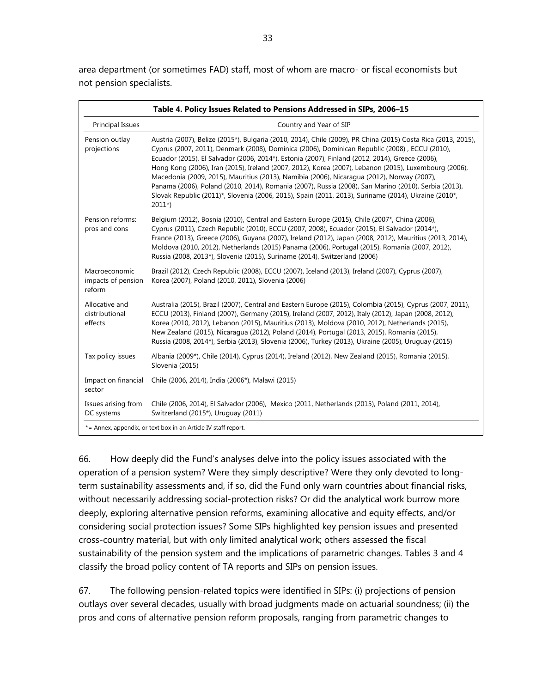area department (or sometimes FAD) staff, most of whom are macro- or fiscal economists but not pension specialists.

|                                               | Table 4. Policy Issues Related to Pensions Addressed in SIPs, 2006-15                                                                                                                                                                                                                                                                                                                                                                                                                                                                                                                                                                                                                                                                                |
|-----------------------------------------------|------------------------------------------------------------------------------------------------------------------------------------------------------------------------------------------------------------------------------------------------------------------------------------------------------------------------------------------------------------------------------------------------------------------------------------------------------------------------------------------------------------------------------------------------------------------------------------------------------------------------------------------------------------------------------------------------------------------------------------------------------|
| Principal Issues                              | Country and Year of SIP                                                                                                                                                                                                                                                                                                                                                                                                                                                                                                                                                                                                                                                                                                                              |
| Pension outlay<br>projections                 | Austria (2007), Belize (2015*), Bulgaria (2010, 2014), Chile (2009), PR China (2015) Costa Rica (2013, 2015),<br>Cyprus (2007, 2011), Denmark (2008), Dominica (2006), Dominican Republic (2008), ECCU (2010),<br>Ecuador (2015), El Salvador (2006, 2014*), Estonia (2007), Finland (2012, 2014), Greece (2006),<br>Hong Kong (2006), Iran (2015), Ireland (2007, 2012), Korea (2007), Lebanon (2015), Luxembourg (2006),<br>Macedonia (2009, 2015), Mauritius (2013), Namibia (2006), Nicaragua (2012), Norway (2007),<br>Panama (2006), Poland (2010, 2014), Romania (2007), Russia (2008), San Marino (2010), Serbia (2013),<br>Slovak Republic (2011)*, Slovenia (2006, 2015), Spain (2011, 2013), Suriname (2014), Ukraine (2010*,<br>$2011*)$ |
| Pension reforms:<br>pros and cons             | Belgium (2012), Bosnia (2010), Central and Eastern Europe (2015), Chile (2007*, China (2006),<br>Cyprus (2011), Czech Republic (2010), ECCU (2007, 2008), Ecuador (2015), El Salvador (2014*),<br>France (2013), Greece (2006), Guyana (2007), Ireland (2012), Japan (2008, 2012), Mauritius (2013, 2014),<br>Moldova (2010, 2012), Netherlands (2015) Panama (2006), Portugal (2015), Romania (2007, 2012),<br>Russia (2008, 2013*), Slovenia (2015), Suriname (2014), Switzerland (2006)                                                                                                                                                                                                                                                           |
| Macroeconomic<br>impacts of pension<br>reform | Brazil (2012), Czech Republic (2008), ECCU (2007), Iceland (2013), Ireland (2007), Cyprus (2007),<br>Korea (2007), Poland (2010, 2011), Slovenia (2006)                                                                                                                                                                                                                                                                                                                                                                                                                                                                                                                                                                                              |
| Allocative and<br>distributional<br>effects   | Australia (2015), Brazil (2007), Central and Eastern Europe (2015), Colombia (2015), Cyprus (2007, 2011),<br>ECCU (2013), Finland (2007), Germany (2015), Ireland (2007, 2012), Italy (2012), Japan (2008, 2012),<br>Korea (2010, 2012), Lebanon (2015), Mauritius (2013), Moldova (2010, 2012), Netherlands (2015),<br>New Zealand (2015), Nicaragua (2012), Poland (2014), Portugal (2013, 2015), Romania (2015),<br>Russia (2008, 2014*), Serbia (2013), Slovenia (2006), Turkey (2013), Ukraine (2005), Uruguay (2015)                                                                                                                                                                                                                           |
| Tax policy issues                             | Albania (2009*), Chile (2014), Cyprus (2014), Ireland (2012), New Zealand (2015), Romania (2015),<br>Slovenia (2015)                                                                                                                                                                                                                                                                                                                                                                                                                                                                                                                                                                                                                                 |
| Impact on financial<br>sector                 | Chile (2006, 2014), India (2006*), Malawi (2015)                                                                                                                                                                                                                                                                                                                                                                                                                                                                                                                                                                                                                                                                                                     |
| Issues arising from<br>DC systems             | Chile (2006, 2014), El Salvador (2006), Mexico (2011, Netherlands (2015), Poland (2011, 2014),<br>Switzerland (2015*), Uruguay (2011)                                                                                                                                                                                                                                                                                                                                                                                                                                                                                                                                                                                                                |
|                                               | *= Annex, appendix, or text box in an Article IV staff report.                                                                                                                                                                                                                                                                                                                                                                                                                                                                                                                                                                                                                                                                                       |

66. How deeply did the Fund's analyses delve into the policy issues associated with the operation of a pension system? Were they simply descriptive? Were they only devoted to longterm sustainability assessments and, if so, did the Fund only warn countries about financial risks, without necessarily addressing social-protection risks? Or did the analytical work burrow more deeply, exploring alternative pension reforms, examining allocative and equity effects, and/or considering social protection issues? Some SIPs highlighted key pension issues and presented cross-country material, but with only limited analytical work; others assessed the fiscal sustainability of the pension system and the implications of parametric changes. Tables 3 and 4 classify the broad policy content of TA reports and SIPs on pension issues.

67. The following pension-related topics were identified in SIPs: (i) projections of pension outlays over several decades, usually with broad judgments made on actuarial soundness; (ii) the pros and cons of alternative pension reform proposals, ranging from parametric changes to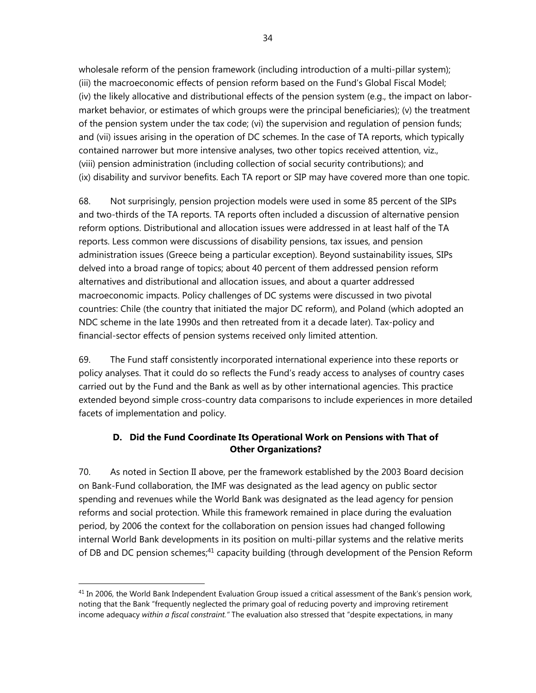wholesale reform of the pension framework (including introduction of a multi-pillar system); (iii) the macroeconomic effects of pension reform based on the Fund's Global Fiscal Model; (iv) the likely allocative and distributional effects of the pension system (e.g., the impact on labormarket behavior, or estimates of which groups were the principal beneficiaries); (v) the treatment of the pension system under the tax code; (vi) the supervision and regulation of pension funds; and (vii) issues arising in the operation of DC schemes. In the case of TA reports, which typically contained narrower but more intensive analyses, two other topics received attention, viz., (viii) pension administration (including collection of social security contributions); and (ix) disability and survivor benefits. Each TA report or SIP may have covered more than one topic.

68. Not surprisingly, pension projection models were used in some 85 percent of the SIPs and two-thirds of the TA reports. TA reports often included a discussion of alternative pension reform options. Distributional and allocation issues were addressed in at least half of the TA reports. Less common were discussions of disability pensions, tax issues, and pension administration issues (Greece being a particular exception). Beyond sustainability issues, SIPs delved into a broad range of topics; about 40 percent of them addressed pension reform alternatives and distributional and allocation issues, and about a quarter addressed macroeconomic impacts. Policy challenges of DC systems were discussed in two pivotal countries: Chile (the country that initiated the major DC reform), and Poland (which adopted an NDC scheme in the late 1990s and then retreated from it a decade later). Tax-policy and financial-sector effects of pension systems received only limited attention.

69. The Fund staff consistently incorporated international experience into these reports or policy analyses. That it could do so reflects the Fund's ready access to analyses of country cases carried out by the Fund and the Bank as well as by other international agencies. This practice extended beyond simple cross-country data comparisons to include experiences in more detailed facets of implementation and policy.

# **D. Did the Fund Coordinate Its Operational Work on Pensions with That of Other Organizations?**

70. As noted in Section II above, per the framework established by the 2003 Board decision on Bank-Fund collaboration, the IMF was designated as the lead agency on public sector spending and revenues while the World Bank was designated as the lead agency for pension reforms and social protection. While this framework remained in place during the evaluation period, by 2006 the context for the collaboration on pension issues had changed following internal World Bank developments in its position on multi-pillar systems and the relative merits of DB and DC pension schemes;<sup>41</sup> capacity building (through development of the Pension Reform

1

 $41$  In 2006, the World Bank Independent Evaluation Group issued a critical assessment of the Bank's pension work, noting that the Bank "frequently neglected the primary goal of reducing poverty and improving retirement income adequacy *within a fiscal constraint."* The evaluation also stressed that "despite expectations, in many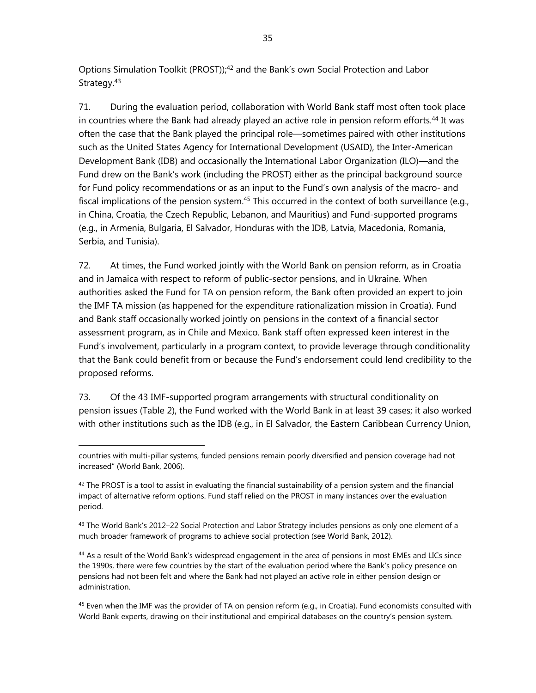Options Simulation Toolkit (PROST));<sup>42</sup> and the Bank's own Social Protection and Labor Strategy.<sup>43</sup>

71. During the evaluation period, collaboration with World Bank staff most often took place in countries where the Bank had already played an active role in pension reform efforts.<sup>44</sup> It was often the case that the Bank played the principal role—sometimes paired with other institutions such as the United States Agency for International Development (USAID), the Inter-American Development Bank (IDB) and occasionally the International Labor Organization (ILO)—and the Fund drew on the Bank's work (including the PROST) either as the principal background source for Fund policy recommendations or as an input to the Fund's own analysis of the macro- and fiscal implications of the pension system.<sup>45</sup> This occurred in the context of both surveillance (e.g., in China, Croatia, the Czech Republic, Lebanon, and Mauritius) and Fund-supported programs (e.g., in Armenia, Bulgaria, El Salvador, Honduras with the IDB, Latvia, Macedonia, Romania, Serbia, and Tunisia).

72. At times, the Fund worked jointly with the World Bank on pension reform, as in Croatia and in Jamaica with respect to reform of public-sector pensions, and in Ukraine. When authorities asked the Fund for TA on pension reform, the Bank often provided an expert to join the IMF TA mission (as happened for the expenditure rationalization mission in Croatia). Fund and Bank staff occasionally worked jointly on pensions in the context of a financial sector assessment program, as in Chile and Mexico. Bank staff often expressed keen interest in the Fund's involvement, particularly in a program context, to provide leverage through conditionality that the Bank could benefit from or because the Fund's endorsement could lend credibility to the proposed reforms.

73. Of the 43 IMF-supported program arrangements with structural conditionality on pension issues (Table 2), the Fund worked with the World Bank in at least 39 cases; it also worked with other institutions such as the IDB (e.g., in El Salvador, the Eastern Caribbean Currency Union,

countries with multi-pillar systems, funded pensions remain poorly diversified and pension coverage had not increased" (World Bank, 2006).

 $42$  The PROST is a tool to assist in evaluating the financial sustainability of a pension system and the financial impact of alternative reform options. Fund staff relied on the PROST in many instances over the evaluation period.

 $43$  The World Bank's 2012–22 Social Protection and Labor Strategy includes pensions as only one element of a much broader framework of programs to achieve social protection (see World Bank, 2012).

<sup>&</sup>lt;sup>44</sup> As a result of the World Bank's widespread engagement in the area of pensions in most EMEs and LICs since the 1990s, there were few countries by the start of the evaluation period where the Bank's policy presence on pensions had not been felt and where the Bank had not played an active role in either pension design or administration.

 $45$  Even when the IMF was the provider of TA on pension reform (e.g., in Croatia), Fund economists consulted with World Bank experts, drawing on their institutional and empirical databases on the country's pension system.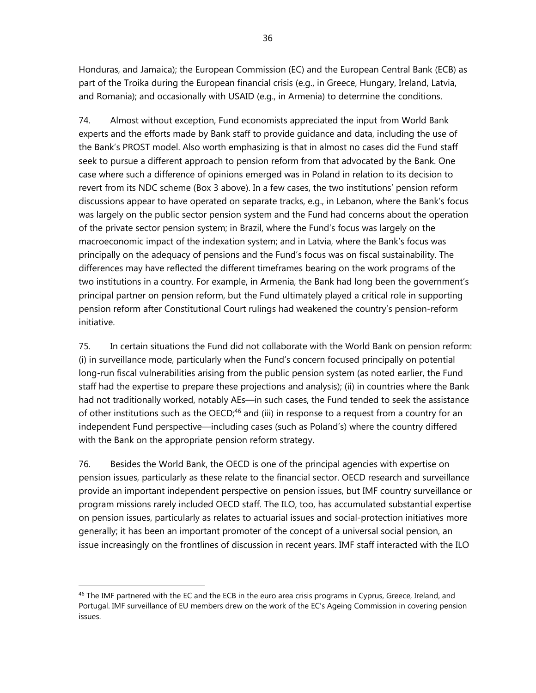Honduras, and Jamaica); the European Commission (EC) and the European Central Bank (ECB) as part of the Troika during the European financial crisis (e.g., in Greece, Hungary, Ireland, Latvia, and Romania); and occasionally with USAID (e.g., in Armenia) to determine the conditions.

74. Almost without exception, Fund economists appreciated the input from World Bank experts and the efforts made by Bank staff to provide guidance and data, including the use of the Bank's PROST model. Also worth emphasizing is that in almost no cases did the Fund staff seek to pursue a different approach to pension reform from that advocated by the Bank. One case where such a difference of opinions emerged was in Poland in relation to its decision to revert from its NDC scheme (Box 3 above). In a few cases, the two institutions' pension reform discussions appear to have operated on separate tracks, e.g., in Lebanon, where the Bank's focus was largely on the public sector pension system and the Fund had concerns about the operation of the private sector pension system; in Brazil, where the Fund's focus was largely on the macroeconomic impact of the indexation system; and in Latvia, where the Bank's focus was principally on the adequacy of pensions and the Fund's focus was on fiscal sustainability. The differences may have reflected the different timeframes bearing on the work programs of the two institutions in a country. For example, in Armenia, the Bank had long been the government's principal partner on pension reform, but the Fund ultimately played a critical role in supporting pension reform after Constitutional Court rulings had weakened the country's pension-reform initiative.

75. In certain situations the Fund did not collaborate with the World Bank on pension reform: (i) in surveillance mode, particularly when the Fund's concern focused principally on potential long-run fiscal vulnerabilities arising from the public pension system (as noted earlier, the Fund staff had the expertise to prepare these projections and analysis); (ii) in countries where the Bank had not traditionally worked, notably AEs—in such cases, the Fund tended to seek the assistance of other institutions such as the OECD;<sup>46</sup> and (iii) in response to a request from a country for an independent Fund perspective—including cases (such as Poland's) where the country differed with the Bank on the appropriate pension reform strategy.

76. Besides the World Bank, the OECD is one of the principal agencies with expertise on pension issues, particularly as these relate to the financial sector. OECD research and surveillance provide an important independent perspective on pension issues, but IMF country surveillance or program missions rarely included OECD staff. The ILO, too, has accumulated substantial expertise on pension issues, particularly as relates to actuarial issues and social-protection initiatives more generally; it has been an important promoter of the concept of a universal social pension, an issue increasingly on the frontlines of discussion in recent years. IMF staff interacted with the ILO

<sup>&</sup>lt;sup>46</sup> The IMF partnered with the EC and the ECB in the euro area crisis programs in Cyprus, Greece, Ireland, and Portugal. IMF surveillance of EU members drew on the work of the EC's Ageing Commission in covering pension issues.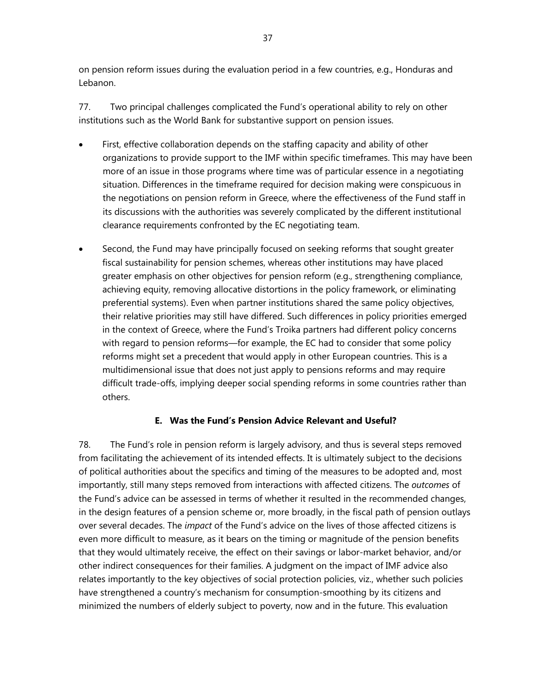on pension reform issues during the evaluation period in a few countries, e.g., Honduras and Lebanon.

77. Two principal challenges complicated the Fund's operational ability to rely on other institutions such as the World Bank for substantive support on pension issues.

- First, effective collaboration depends on the staffing capacity and ability of other organizations to provide support to the IMF within specific timeframes. This may have been more of an issue in those programs where time was of particular essence in a negotiating situation. Differences in the timeframe required for decision making were conspicuous in the negotiations on pension reform in Greece, where the effectiveness of the Fund staff in its discussions with the authorities was severely complicated by the different institutional clearance requirements confronted by the EC negotiating team.
- Second, the Fund may have principally focused on seeking reforms that sought greater fiscal sustainability for pension schemes, whereas other institutions may have placed greater emphasis on other objectives for pension reform (e.g., strengthening compliance, achieving equity, removing allocative distortions in the policy framework, or eliminating preferential systems). Even when partner institutions shared the same policy objectives, their relative priorities may still have differed. Such differences in policy priorities emerged in the context of Greece, where the Fund's Troika partners had different policy concerns with regard to pension reforms—for example, the EC had to consider that some policy reforms might set a precedent that would apply in other European countries. This is a multidimensional issue that does not just apply to pensions reforms and may require difficult trade-offs, implying deeper social spending reforms in some countries rather than others.

#### **E. Was the Fund's Pension Advice Relevant and Useful?**

78. The Fund's role in pension reform is largely advisory, and thus is several steps removed from facilitating the achievement of its intended effects. It is ultimately subject to the decisions of political authorities about the specifics and timing of the measures to be adopted and, most importantly, still many steps removed from interactions with affected citizens. The *outcomes* of the Fund's advice can be assessed in terms of whether it resulted in the recommended changes, in the design features of a pension scheme or, more broadly, in the fiscal path of pension outlays over several decades. The *impact* of the Fund's advice on the lives of those affected citizens is even more difficult to measure, as it bears on the timing or magnitude of the pension benefits that they would ultimately receive, the effect on their savings or labor-market behavior, and/or other indirect consequences for their families. A judgment on the impact of IMF advice also relates importantly to the key objectives of social protection policies, viz., whether such policies have strengthened a country's mechanism for consumption-smoothing by its citizens and minimized the numbers of elderly subject to poverty, now and in the future. This evaluation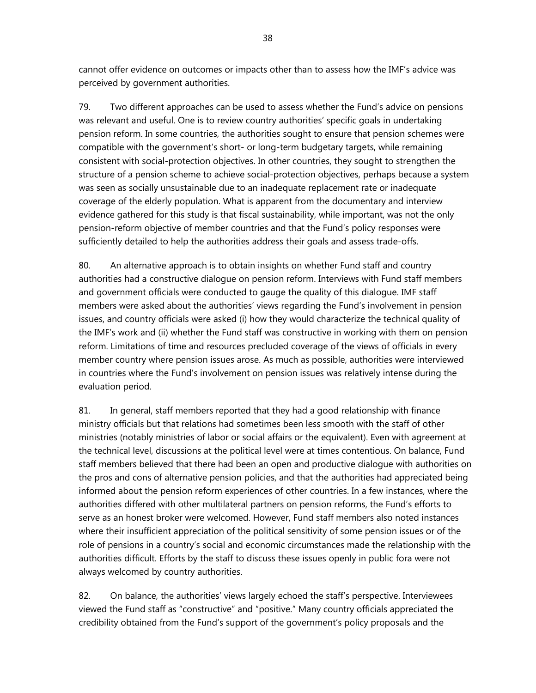cannot offer evidence on outcomes or impacts other than to assess how the IMF's advice was perceived by government authorities.

79. Two different approaches can be used to assess whether the Fund's advice on pensions was relevant and useful. One is to review country authorities' specific goals in undertaking pension reform. In some countries, the authorities sought to ensure that pension schemes were compatible with the government's short- or long-term budgetary targets, while remaining consistent with social-protection objectives. In other countries, they sought to strengthen the structure of a pension scheme to achieve social-protection objectives, perhaps because a system was seen as socially unsustainable due to an inadequate replacement rate or inadequate coverage of the elderly population. What is apparent from the documentary and interview evidence gathered for this study is that fiscal sustainability, while important, was not the only pension-reform objective of member countries and that the Fund's policy responses were sufficiently detailed to help the authorities address their goals and assess trade-offs.

80. An alternative approach is to obtain insights on whether Fund staff and country authorities had a constructive dialogue on pension reform. Interviews with Fund staff members and government officials were conducted to gauge the quality of this dialogue. IMF staff members were asked about the authorities' views regarding the Fund's involvement in pension issues, and country officials were asked (i) how they would characterize the technical quality of the IMF's work and (ii) whether the Fund staff was constructive in working with them on pension reform. Limitations of time and resources precluded coverage of the views of officials in every member country where pension issues arose. As much as possible, authorities were interviewed in countries where the Fund's involvement on pension issues was relatively intense during the evaluation period.

81. In general, staff members reported that they had a good relationship with finance ministry officials but that relations had sometimes been less smooth with the staff of other ministries (notably ministries of labor or social affairs or the equivalent). Even with agreement at the technical level, discussions at the political level were at times contentious. On balance, Fund staff members believed that there had been an open and productive dialogue with authorities on the pros and cons of alternative pension policies, and that the authorities had appreciated being informed about the pension reform experiences of other countries. In a few instances, where the authorities differed with other multilateral partners on pension reforms, the Fund's efforts to serve as an honest broker were welcomed. However, Fund staff members also noted instances where their insufficient appreciation of the political sensitivity of some pension issues or of the role of pensions in a country's social and economic circumstances made the relationship with the authorities difficult. Efforts by the staff to discuss these issues openly in public fora were not always welcomed by country authorities.

82. On balance, the authorities' views largely echoed the staff's perspective. Interviewees viewed the Fund staff as "constructive" and "positive." Many country officials appreciated the credibility obtained from the Fund's support of the government's policy proposals and the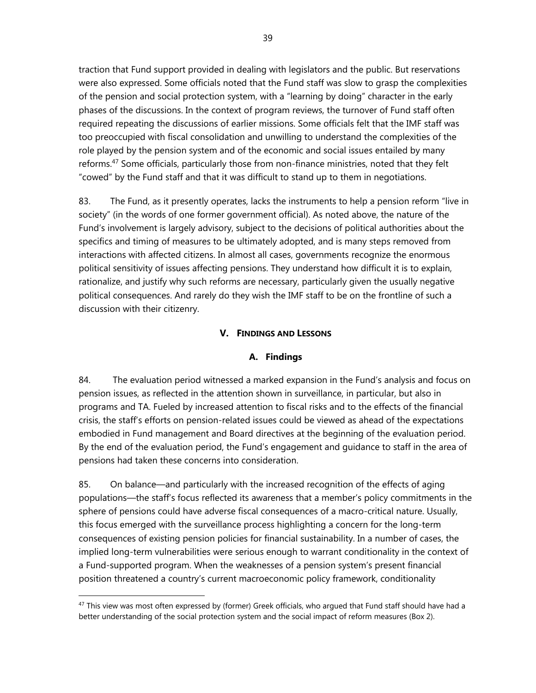traction that Fund support provided in dealing with legislators and the public. But reservations were also expressed. Some officials noted that the Fund staff was slow to grasp the complexities of the pension and social protection system, with a "learning by doing" character in the early phases of the discussions. In the context of program reviews, the turnover of Fund staff often required repeating the discussions of earlier missions. Some officials felt that the IMF staff was too preoccupied with fiscal consolidation and unwilling to understand the complexities of the role played by the pension system and of the economic and social issues entailed by many reforms.<sup>47</sup> Some officials, particularly those from non-finance ministries, noted that they felt "cowed" by the Fund staff and that it was difficult to stand up to them in negotiations.

83. The Fund, as it presently operates, lacks the instruments to help a pension reform "live in society" (in the words of one former government official). As noted above, the nature of the Fund's involvement is largely advisory, subject to the decisions of political authorities about the specifics and timing of measures to be ultimately adopted, and is many steps removed from interactions with affected citizens. In almost all cases, governments recognize the enormous political sensitivity of issues affecting pensions. They understand how difficult it is to explain, rationalize, and justify why such reforms are necessary, particularly given the usually negative political consequences. And rarely do they wish the IMF staff to be on the frontline of such a discussion with their citizenry.

#### **V. FINDINGS AND LESSONS**

#### **A. Findings**

84. The evaluation period witnessed a marked expansion in the Fund's analysis and focus on pension issues, as reflected in the attention shown in surveillance, in particular, but also in programs and TA. Fueled by increased attention to fiscal risks and to the effects of the financial crisis, the staff's efforts on pension-related issues could be viewed as ahead of the expectations embodied in Fund management and Board directives at the beginning of the evaluation period. By the end of the evaluation period, the Fund's engagement and guidance to staff in the area of pensions had taken these concerns into consideration.

85. On balance—and particularly with the increased recognition of the effects of aging populations—the staff's focus reflected its awareness that a member's policy commitments in the sphere of pensions could have adverse fiscal consequences of a macro-critical nature. Usually, this focus emerged with the surveillance process highlighting a concern for the long-term consequences of existing pension policies for financial sustainability. In a number of cases, the implied long-term vulnerabilities were serious enough to warrant conditionality in the context of a Fund-supported program. When the weaknesses of a pension system's present financial position threatened a country's current macroeconomic policy framework, conditionality

 $47$  This view was most often expressed by (former) Greek officials, who argued that Fund staff should have had a better understanding of the social protection system and the social impact of reform measures (Box 2).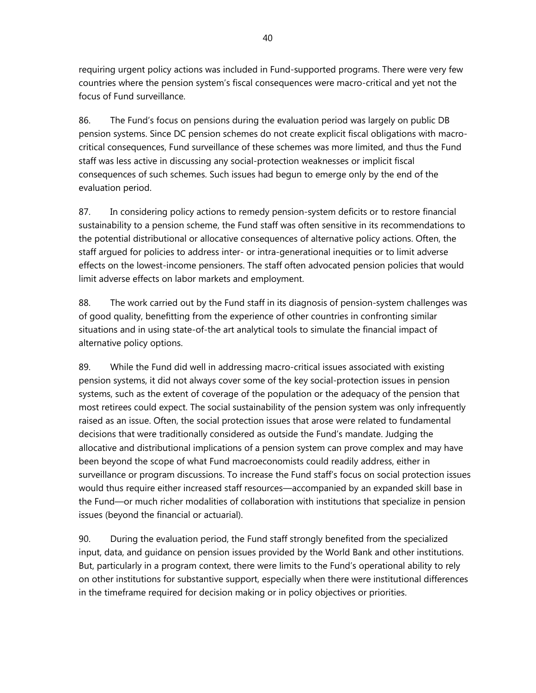requiring urgent policy actions was included in Fund-supported programs. There were very few countries where the pension system's fiscal consequences were macro-critical and yet not the focus of Fund surveillance.

86. The Fund's focus on pensions during the evaluation period was largely on public DB pension systems. Since DC pension schemes do not create explicit fiscal obligations with macrocritical consequences, Fund surveillance of these schemes was more limited, and thus the Fund staff was less active in discussing any social-protection weaknesses or implicit fiscal consequences of such schemes. Such issues had begun to emerge only by the end of the evaluation period.

87. In considering policy actions to remedy pension-system deficits or to restore financial sustainability to a pension scheme, the Fund staff was often sensitive in its recommendations to the potential distributional or allocative consequences of alternative policy actions. Often, the staff argued for policies to address inter- or intra-generational inequities or to limit adverse effects on the lowest-income pensioners. The staff often advocated pension policies that would limit adverse effects on labor markets and employment.

88. The work carried out by the Fund staff in its diagnosis of pension-system challenges was of good quality, benefitting from the experience of other countries in confronting similar situations and in using state-of-the art analytical tools to simulate the financial impact of alternative policy options.

89. While the Fund did well in addressing macro-critical issues associated with existing pension systems, it did not always cover some of the key social-protection issues in pension systems, such as the extent of coverage of the population or the adequacy of the pension that most retirees could expect. The social sustainability of the pension system was only infrequently raised as an issue. Often, the social protection issues that arose were related to fundamental decisions that were traditionally considered as outside the Fund's mandate. Judging the allocative and distributional implications of a pension system can prove complex and may have been beyond the scope of what Fund macroeconomists could readily address, either in surveillance or program discussions. To increase the Fund staff's focus on social protection issues would thus require either increased staff resources—accompanied by an expanded skill base in the Fund—or much richer modalities of collaboration with institutions that specialize in pension issues (beyond the financial or actuarial).

90. During the evaluation period, the Fund staff strongly benefited from the specialized input, data, and guidance on pension issues provided by the World Bank and other institutions. But, particularly in a program context, there were limits to the Fund's operational ability to rely on other institutions for substantive support, especially when there were institutional differences in the timeframe required for decision making or in policy objectives or priorities.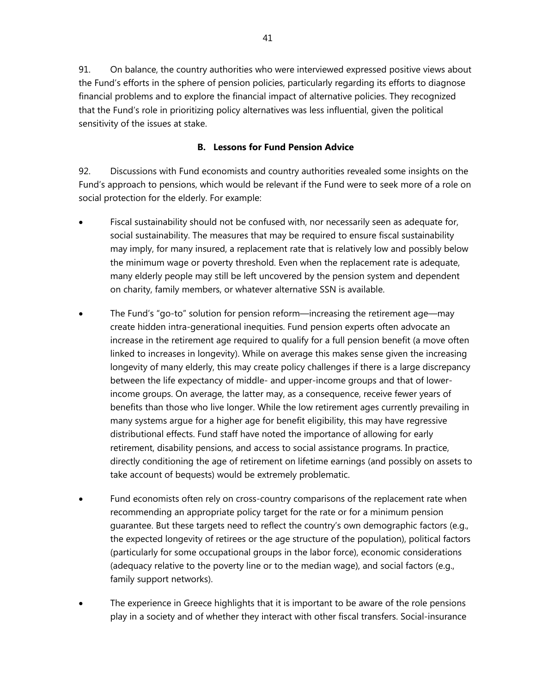91. On balance, the country authorities who were interviewed expressed positive views about the Fund's efforts in the sphere of pension policies, particularly regarding its efforts to diagnose financial problems and to explore the financial impact of alternative policies. They recognized that the Fund's role in prioritizing policy alternatives was less influential, given the political sensitivity of the issues at stake.

#### **B. Lessons for Fund Pension Advice**

92. Discussions with Fund economists and country authorities revealed some insights on the Fund's approach to pensions, which would be relevant if the Fund were to seek more of a role on social protection for the elderly. For example:

- Fiscal sustainability should not be confused with, nor necessarily seen as adequate for, social sustainability. The measures that may be required to ensure fiscal sustainability may imply, for many insured, a replacement rate that is relatively low and possibly below the minimum wage or poverty threshold. Even when the replacement rate is adequate, many elderly people may still be left uncovered by the pension system and dependent on charity, family members, or whatever alternative SSN is available.
- The Fund's "go-to" solution for pension reform—increasing the retirement age—may create hidden intra-generational inequities. Fund pension experts often advocate an increase in the retirement age required to qualify for a full pension benefit (a move often linked to increases in longevity). While on average this makes sense given the increasing longevity of many elderly, this may create policy challenges if there is a large discrepancy between the life expectancy of middle- and upper-income groups and that of lowerincome groups. On average, the latter may, as a consequence, receive fewer years of benefits than those who live longer. While the low retirement ages currently prevailing in many systems argue for a higher age for benefit eligibility, this may have regressive distributional effects. Fund staff have noted the importance of allowing for early retirement, disability pensions, and access to social assistance programs. In practice, directly conditioning the age of retirement on lifetime earnings (and possibly on assets to take account of bequests) would be extremely problematic.
- Fund economists often rely on cross-country comparisons of the replacement rate when recommending an appropriate policy target for the rate or for a minimum pension guarantee. But these targets need to reflect the country's own demographic factors (e.g., the expected longevity of retirees or the age structure of the population), political factors (particularly for some occupational groups in the labor force), economic considerations (adequacy relative to the poverty line or to the median wage), and social factors (e.g., family support networks).
- The experience in Greece highlights that it is important to be aware of the role pensions play in a society and of whether they interact with other fiscal transfers. Social-insurance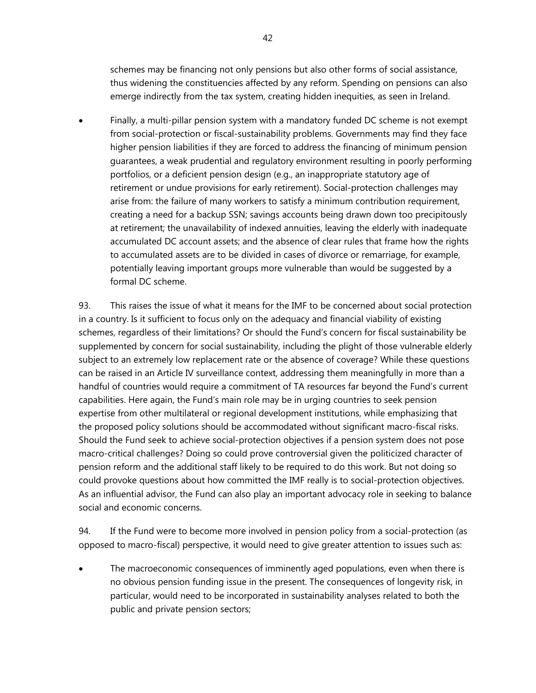schemes may be financing not only pensions but also other forms of social assistance, thus widening the constituencies affected by any reform. Spending on pensions can also emerge indirectly from the tax system, creating hidden inequities, as seen in Ireland.

• Finally, a multi-pillar pension system with a mandatory funded DC scheme is not exempt from social-protection or fiscal-sustainability problems. Governments may find they face higher pension liabilities if they are forced to address the financing of minimum pension guarantees, a weak prudential and regulatory environment resulting in poorly performing portfolios, or a deficient pension design (e.g., an inappropriate statutory age of retirement or undue provisions for early retirement). Social-protection challenges may arise from: the failure of many workers to satisfy a minimum contribution requirement, creating a need for a backup SSN; savings accounts being drawn down too precipitously at retirement; the unavailability of indexed annuities, leaving the elderly with inadequate accumulated DC account assets; and the absence of clear rules that frame how the rights to accumulated assets are to be divided in cases of divorce or remarriage, for example, potentially leaving important groups more vulnerable than would be suggested by a formal DC scheme.

93. This raises the issue of what it means for the IMF to be concerned about social protection in a country. Is it sufficient to focus only on the adequacy and financial viability of existing schemes, regardless of their limitations? Or should the Fund's concern for fiscal sustainability be supplemented by concern for social sustainability, including the plight of those vulnerable elderly subject to an extremely low replacement rate or the absence of coverage? While these questions can be raised in an Article IV surveillance context, addressing them meaningfully in more than a handful of countries would require a commitment of TA resources far beyond the Fund's current capabilities. Here again, the Fund's main role may be in urging countries to seek pension expertise from other multilateral or regional development institutions, while emphasizing that the proposed policy solutions should be accommodated without significant macro-fiscal risks. Should the Fund seek to achieve social-protection objectives if a pension system does not pose macro-critical challenges? Doing so could prove controversial given the politicized character of pension reform and the additional staff likely to be required to do this work. But not doing so could provoke questions about how committed the IMF really is to social-protection objectives. As an influential advisor, the Fund can also play an important advocacy role in seeking to balance social and economic concerns.

94. If the Fund were to become more involved in pension policy from a social-protection (as opposed to macro-fiscal) perspective, it would need to give greater attention to issues such as:

 The macroeconomic consequences of imminently aged populations, even when there is no obvious pension funding issue in the present. The consequences of longevity risk, in particular, would need to be incorporated in sustainability analyses related to both the public and private pension sectors;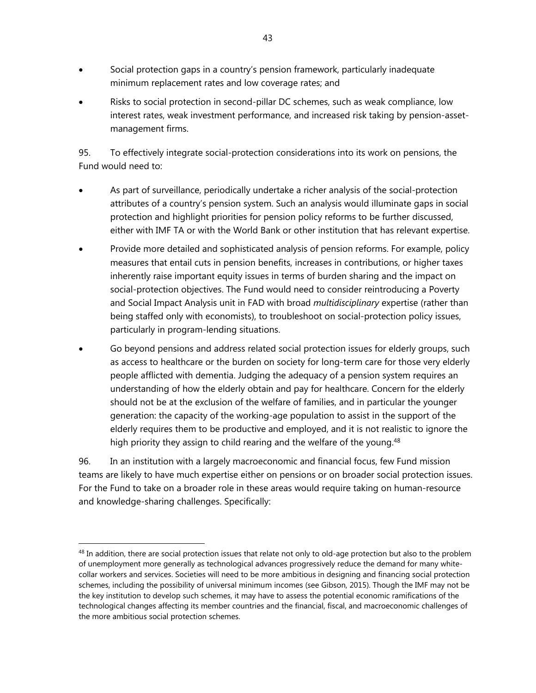- Social protection gaps in a country's pension framework, particularly inadequate minimum replacement rates and low coverage rates; and
- Risks to social protection in second-pillar DC schemes, such as weak compliance, low interest rates, weak investment performance, and increased risk taking by pension-assetmanagement firms.

95. To effectively integrate social-protection considerations into its work on pensions, the Fund would need to:

- As part of surveillance, periodically undertake a richer analysis of the social-protection attributes of a country's pension system. Such an analysis would illuminate gaps in social protection and highlight priorities for pension policy reforms to be further discussed, either with IMF TA or with the World Bank or other institution that has relevant expertise.
- Provide more detailed and sophisticated analysis of pension reforms. For example, policy measures that entail cuts in pension benefits, increases in contributions, or higher taxes inherently raise important equity issues in terms of burden sharing and the impact on social-protection objectives. The Fund would need to consider reintroducing a Poverty and Social Impact Analysis unit in FAD with broad *multidisciplinary* expertise (rather than being staffed only with economists), to troubleshoot on social-protection policy issues, particularly in program-lending situations.
- Go beyond pensions and address related social protection issues for elderly groups, such as access to healthcare or the burden on society for long-term care for those very elderly people afflicted with dementia. Judging the adequacy of a pension system requires an understanding of how the elderly obtain and pay for healthcare. Concern for the elderly should not be at the exclusion of the welfare of families, and in particular the younger generation: the capacity of the working-age population to assist in the support of the elderly requires them to be productive and employed, and it is not realistic to ignore the high priority they assign to child rearing and the welfare of the young.<sup>48</sup>

96. In an institution with a largely macroeconomic and financial focus, few Fund mission teams are likely to have much expertise either on pensions or on broader social protection issues. For the Fund to take on a broader role in these areas would require taking on human-resource and knowledge-sharing challenges. Specifically:

 $48$  In addition, there are social protection issues that relate not only to old-age protection but also to the problem of unemployment more generally as technological advances progressively reduce the demand for many whitecollar workers and services. Societies will need to be more ambitious in designing and financing social protection schemes, including the possibility of universal minimum incomes (see Gibson, 2015). Though the IMF may not be the key institution to develop such schemes, it may have to assess the potential economic ramifications of the technological changes affecting its member countries and the financial, fiscal, and macroeconomic challenges of the more ambitious social protection schemes.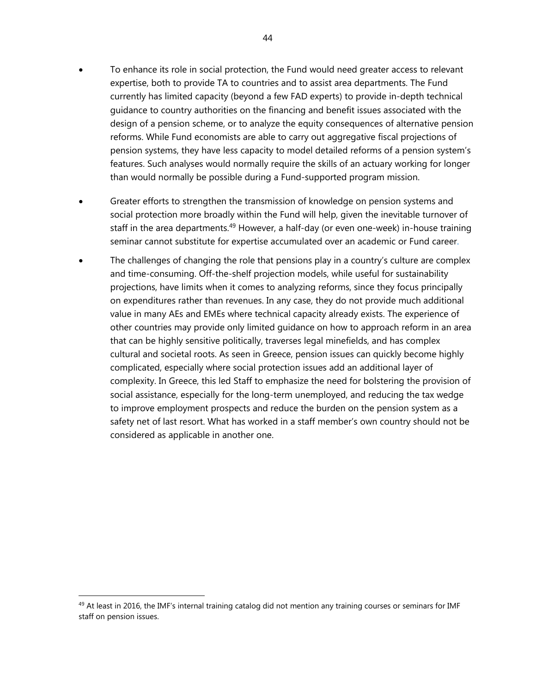- To enhance its role in social protection, the Fund would need greater access to relevant expertise, both to provide TA to countries and to assist area departments. The Fund currently has limited capacity (beyond a few FAD experts) to provide in-depth technical guidance to country authorities on the financing and benefit issues associated with the design of a pension scheme, or to analyze the equity consequences of alternative pension reforms. While Fund economists are able to carry out aggregative fiscal projections of pension systems, they have less capacity to model detailed reforms of a pension system's features. Such analyses would normally require the skills of an actuary working for longer than would normally be possible during a Fund-supported program mission.
- Greater efforts to strengthen the transmission of knowledge on pension systems and social protection more broadly within the Fund will help, given the inevitable turnover of staff in the area departments.<sup>49</sup> However, a half-day (or even one-week) in-house training seminar cannot substitute for expertise accumulated over an academic or Fund career.
- The challenges of changing the role that pensions play in a country's culture are complex and time-consuming. Off-the-shelf projection models, while useful for sustainability projections, have limits when it comes to analyzing reforms, since they focus principally on expenditures rather than revenues. In any case, they do not provide much additional value in many AEs and EMEs where technical capacity already exists. The experience of other countries may provide only limited guidance on how to approach reform in an area that can be highly sensitive politically, traverses legal minefields, and has complex cultural and societal roots. As seen in Greece, pension issues can quickly become highly complicated, especially where social protection issues add an additional layer of complexity. In Greece, this led Staff to emphasize the need for bolstering the provision of social assistance, especially for the long-term unemployed, and reducing the tax wedge to improve employment prospects and reduce the burden on the pension system as a safety net of last resort. What has worked in a staff member's own country should not be considered as applicable in another one.

<sup>&</sup>lt;sup>49</sup> At least in 2016, the IMF's internal training catalog did not mention any training courses or seminars for IMF staff on pension issues.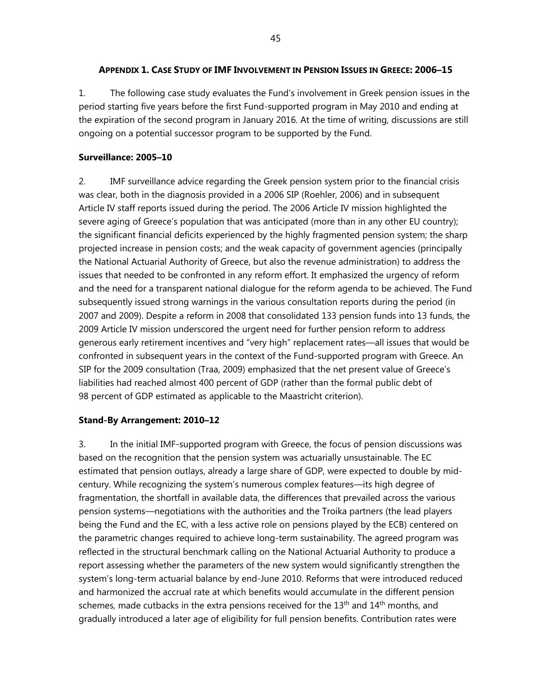#### **APPENDIX 1. CASE STUDY OF IMF INVOLVEMENT IN PENSION ISSUES IN GREECE: 2006–15**

1. The following case study evaluates the Fund's involvement in Greek pension issues in the period starting five years before the first Fund-supported program in May 2010 and ending at the expiration of the second program in January 2016. At the time of writing, discussions are still ongoing on a potential successor program to be supported by the Fund.

## **Surveillance: 2005–10**

2. IMF surveillance advice regarding the Greek pension system prior to the financial crisis was clear, both in the diagnosis provided in a 2006 SIP (Roehler, 2006) and in subsequent Article IV staff reports issued during the period. The 2006 Article IV mission highlighted the severe aging of Greece's population that was anticipated (more than in any other EU country); the significant financial deficits experienced by the highly fragmented pension system; the sharp projected increase in pension costs; and the weak capacity of government agencies (principally the National Actuarial Authority of Greece, but also the revenue administration) to address the issues that needed to be confronted in any reform effort. It emphasized the urgency of reform and the need for a transparent national dialogue for the reform agenda to be achieved. The Fund subsequently issued strong warnings in the various consultation reports during the period (in 2007 and 2009). Despite a reform in 2008 that consolidated 133 pension funds into 13 funds, the 2009 Article IV mission underscored the urgent need for further pension reform to address generous early retirement incentives and "very high" replacement rates—all issues that would be confronted in subsequent years in the context of the Fund-supported program with Greece. An SIP for the 2009 consultation (Traa, 2009) emphasized that the net present value of Greece's liabilities had reached almost 400 percent of GDP (rather than the formal public debt of 98 percent of GDP estimated as applicable to the Maastricht criterion).

#### **Stand-By Arrangement: 2010–12**

3. In the initial IMF-supported program with Greece, the focus of pension discussions was based on the recognition that the pension system was actuarially unsustainable. The EC estimated that pension outlays, already a large share of GDP, were expected to double by midcentury. While recognizing the system's numerous complex features—its high degree of fragmentation, the shortfall in available data, the differences that prevailed across the various pension systems—negotiations with the authorities and the Troika partners (the lead players being the Fund and the EC, with a less active role on pensions played by the ECB) centered on the parametric changes required to achieve long-term sustainability. The agreed program was reflected in the structural benchmark calling on the National Actuarial Authority to produce a report assessing whether the parameters of the new system would significantly strengthen the system's long-term actuarial balance by end-June 2010. Reforms that were introduced reduced and harmonized the accrual rate at which benefits would accumulate in the different pension schemes, made cutbacks in the extra pensions received for the  $13<sup>th</sup>$  and  $14<sup>th</sup>$  months, and gradually introduced a later age of eligibility for full pension benefits. Contribution rates were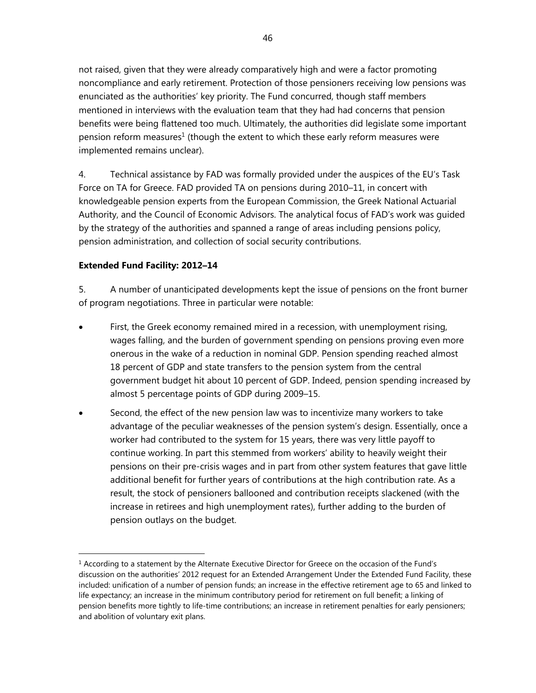not raised, given that they were already comparatively high and were a factor promoting noncompliance and early retirement. Protection of those pensioners receiving low pensions was enunciated as the authorities' key priority. The Fund concurred, though staff members mentioned in interviews with the evaluation team that they had had concerns that pension benefits were being flattened too much. Ultimately, the authorities did legislate some important pension reform measures<sup>1</sup> (though the extent to which these early reform measures were implemented remains unclear).

4. Technical assistance by FAD was formally provided under the auspices of the EU's Task Force on TA for Greece. FAD provided TA on pensions during 2010–11, in concert with knowledgeable pension experts from the European Commission, the Greek National Actuarial Authority, and the Council of Economic Advisors. The analytical focus of FAD's work was guided by the strategy of the authorities and spanned a range of areas including pensions policy, pension administration, and collection of social security contributions.

## **Extended Fund Facility: 2012–14**

-

5. A number of unanticipated developments kept the issue of pensions on the front burner of program negotiations. Three in particular were notable:

- First, the Greek economy remained mired in a recession, with unemployment rising, wages falling, and the burden of government spending on pensions proving even more onerous in the wake of a reduction in nominal GDP. Pension spending reached almost 18 percent of GDP and state transfers to the pension system from the central government budget hit about 10 percent of GDP. Indeed, pension spending increased by almost 5 percentage points of GDP during 2009–15.
- Second, the effect of the new pension law was to incentivize many workers to take advantage of the peculiar weaknesses of the pension system's design. Essentially, once a worker had contributed to the system for 15 years, there was very little payoff to continue working. In part this stemmed from workers' ability to heavily weight their pensions on their pre-crisis wages and in part from other system features that gave little additional benefit for further years of contributions at the high contribution rate. As a result, the stock of pensioners ballooned and contribution receipts slackened (with the increase in retirees and high unemployment rates), further adding to the burden of pension outlays on the budget.

 $1$  According to a statement by the Alternate Executive Director for Greece on the occasion of the Fund's discussion on the authorities' 2012 request for an Extended Arrangement Under the Extended Fund Facility, these included: unification of a number of pension funds; an increase in the effective retirement age to 65 and linked to life expectancy; an increase in the minimum contributory period for retirement on full benefit; a linking of pension benefits more tightly to life-time contributions; an increase in retirement penalties for early pensioners; and abolition of voluntary exit plans.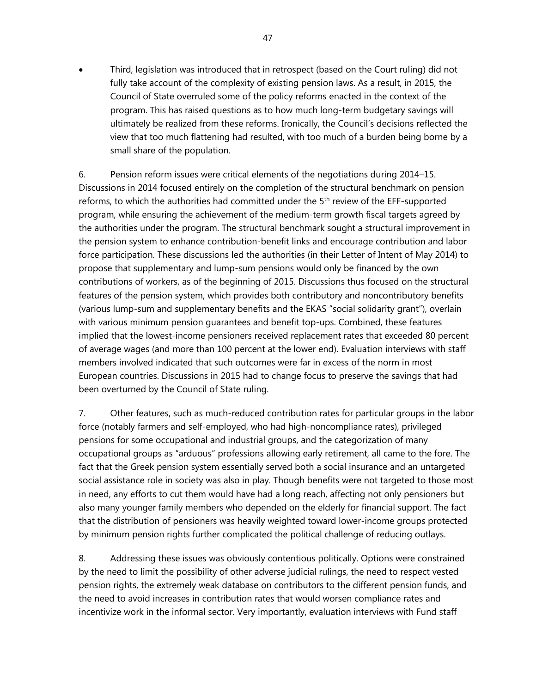Third, legislation was introduced that in retrospect (based on the Court ruling) did not fully take account of the complexity of existing pension laws. As a result, in 2015, the Council of State overruled some of the policy reforms enacted in the context of the program. This has raised questions as to how much long-term budgetary savings will ultimately be realized from these reforms. Ironically, the Council's decisions reflected the view that too much flattening had resulted, with too much of a burden being borne by a small share of the population.

6. Pension reform issues were critical elements of the negotiations during 2014–15. Discussions in 2014 focused entirely on the completion of the structural benchmark on pension reforms, to which the authorities had committed under the 5<sup>th</sup> review of the EFF-supported program, while ensuring the achievement of the medium-term growth fiscal targets agreed by the authorities under the program. The structural benchmark sought a structural improvement in the pension system to enhance contribution-benefit links and encourage contribution and labor force participation. These discussions led the authorities (in their Letter of Intent of May 2014) to propose that supplementary and lump-sum pensions would only be financed by the own contributions of workers, as of the beginning of 2015. Discussions thus focused on the structural features of the pension system, which provides both contributory and noncontributory benefits (various lump-sum and supplementary benefits and the EKAS "social solidarity grant"), overlain with various minimum pension guarantees and benefit top-ups. Combined, these features implied that the lowest-income pensioners received replacement rates that exceeded 80 percent of average wages (and more than 100 percent at the lower end). Evaluation interviews with staff members involved indicated that such outcomes were far in excess of the norm in most European countries. Discussions in 2015 had to change focus to preserve the savings that had been overturned by the Council of State ruling.

7. Other features, such as much-reduced contribution rates for particular groups in the labor force (notably farmers and self-employed, who had high-noncompliance rates), privileged pensions for some occupational and industrial groups, and the categorization of many occupational groups as "arduous" professions allowing early retirement, all came to the fore. The fact that the Greek pension system essentially served both a social insurance and an untargeted social assistance role in society was also in play. Though benefits were not targeted to those most in need, any efforts to cut them would have had a long reach, affecting not only pensioners but also many younger family members who depended on the elderly for financial support. The fact that the distribution of pensioners was heavily weighted toward lower-income groups protected by minimum pension rights further complicated the political challenge of reducing outlays.

8. Addressing these issues was obviously contentious politically. Options were constrained by the need to limit the possibility of other adverse judicial rulings, the need to respect vested pension rights, the extremely weak database on contributors to the different pension funds, and the need to avoid increases in contribution rates that would worsen compliance rates and incentivize work in the informal sector. Very importantly, evaluation interviews with Fund staff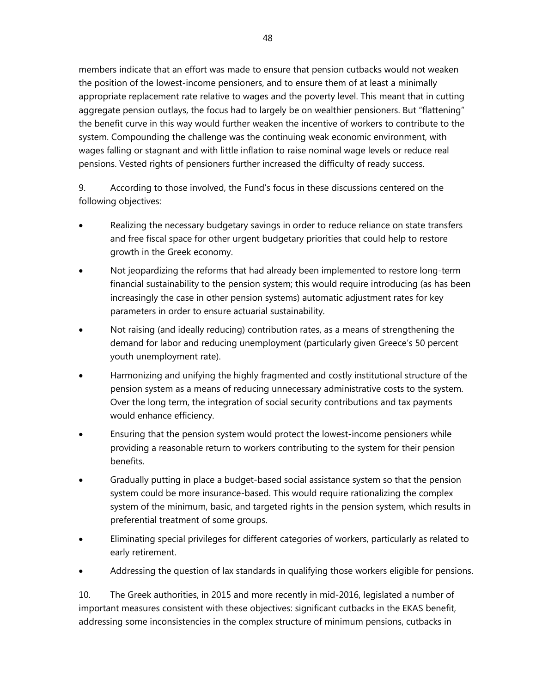members indicate that an effort was made to ensure that pension cutbacks would not weaken the position of the lowest-income pensioners, and to ensure them of at least a minimally appropriate replacement rate relative to wages and the poverty level. This meant that in cutting aggregate pension outlays, the focus had to largely be on wealthier pensioners. But "flattening" the benefit curve in this way would further weaken the incentive of workers to contribute to the system. Compounding the challenge was the continuing weak economic environment, with wages falling or stagnant and with little inflation to raise nominal wage levels or reduce real pensions. Vested rights of pensioners further increased the difficulty of ready success.

9. According to those involved, the Fund's focus in these discussions centered on the following objectives:

- Realizing the necessary budgetary savings in order to reduce reliance on state transfers and free fiscal space for other urgent budgetary priorities that could help to restore growth in the Greek economy.
- Not jeopardizing the reforms that had already been implemented to restore long-term financial sustainability to the pension system; this would require introducing (as has been increasingly the case in other pension systems) automatic adjustment rates for key parameters in order to ensure actuarial sustainability.
- Not raising (and ideally reducing) contribution rates, as a means of strengthening the demand for labor and reducing unemployment (particularly given Greece's 50 percent youth unemployment rate).
- Harmonizing and unifying the highly fragmented and costly institutional structure of the pension system as a means of reducing unnecessary administrative costs to the system. Over the long term, the integration of social security contributions and tax payments would enhance efficiency.
- Ensuring that the pension system would protect the lowest-income pensioners while providing a reasonable return to workers contributing to the system for their pension benefits.
- Gradually putting in place a budget-based social assistance system so that the pension system could be more insurance-based. This would require rationalizing the complex system of the minimum, basic, and targeted rights in the pension system, which results in preferential treatment of some groups.
- Eliminating special privileges for different categories of workers, particularly as related to early retirement.
- Addressing the question of lax standards in qualifying those workers eligible for pensions.

10. The Greek authorities, in 2015 and more recently in mid-2016, legislated a number of important measures consistent with these objectives: significant cutbacks in the EKAS benefit, addressing some inconsistencies in the complex structure of minimum pensions, cutbacks in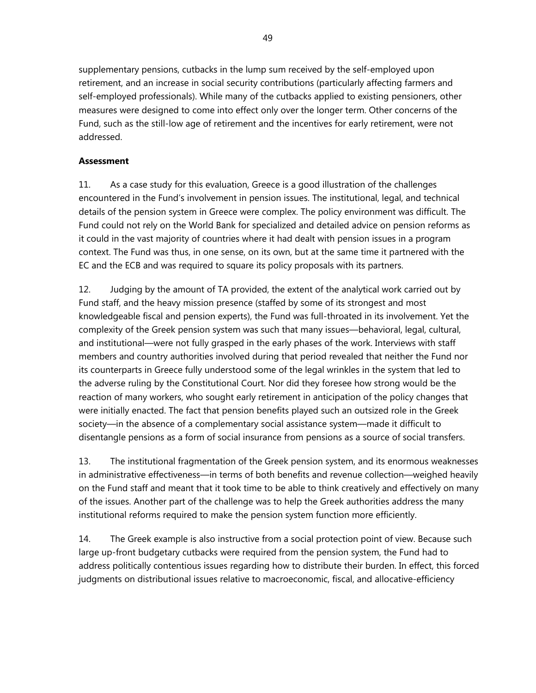supplementary pensions, cutbacks in the lump sum received by the self-employed upon retirement, and an increase in social security contributions (particularly affecting farmers and self-employed professionals). While many of the cutbacks applied to existing pensioners, other measures were designed to come into effect only over the longer term. Other concerns of the Fund, such as the still-low age of retirement and the incentives for early retirement, were not addressed.

## **Assessment**

11. As a case study for this evaluation, Greece is a good illustration of the challenges encountered in the Fund's involvement in pension issues. The institutional, legal, and technical details of the pension system in Greece were complex. The policy environment was difficult. The Fund could not rely on the World Bank for specialized and detailed advice on pension reforms as it could in the vast majority of countries where it had dealt with pension issues in a program context. The Fund was thus, in one sense, on its own, but at the same time it partnered with the EC and the ECB and was required to square its policy proposals with its partners.

12. Judging by the amount of TA provided, the extent of the analytical work carried out by Fund staff, and the heavy mission presence (staffed by some of its strongest and most knowledgeable fiscal and pension experts), the Fund was full-throated in its involvement. Yet the complexity of the Greek pension system was such that many issues—behavioral, legal, cultural, and institutional—were not fully grasped in the early phases of the work. Interviews with staff members and country authorities involved during that period revealed that neither the Fund nor its counterparts in Greece fully understood some of the legal wrinkles in the system that led to the adverse ruling by the Constitutional Court. Nor did they foresee how strong would be the reaction of many workers, who sought early retirement in anticipation of the policy changes that were initially enacted. The fact that pension benefits played such an outsized role in the Greek society—in the absence of a complementary social assistance system—made it difficult to disentangle pensions as a form of social insurance from pensions as a source of social transfers.

13. The institutional fragmentation of the Greek pension system, and its enormous weaknesses in administrative effectiveness—in terms of both benefits and revenue collection—weighed heavily on the Fund staff and meant that it took time to be able to think creatively and effectively on many of the issues. Another part of the challenge was to help the Greek authorities address the many institutional reforms required to make the pension system function more efficiently.

14. The Greek example is also instructive from a social protection point of view. Because such large up-front budgetary cutbacks were required from the pension system, the Fund had to address politically contentious issues regarding how to distribute their burden. In effect, this forced judgments on distributional issues relative to macroeconomic, fiscal, and allocative-efficiency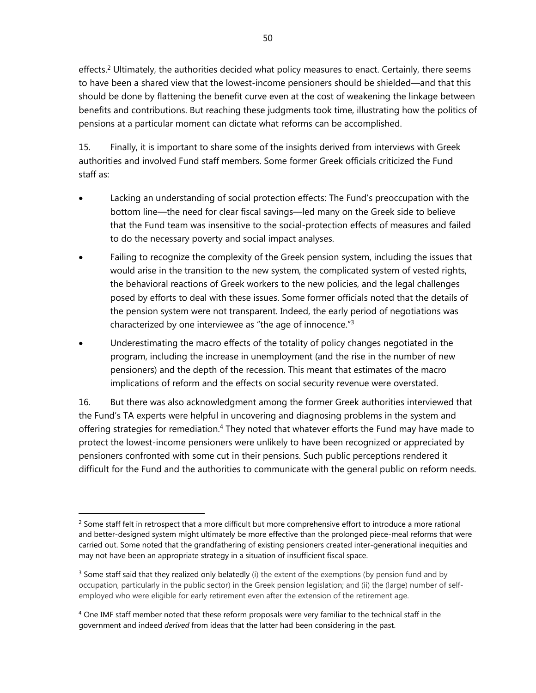effects.<sup>2</sup> Ultimately, the authorities decided what policy measures to enact. Certainly, there seems to have been a shared view that the lowest-income pensioners should be shielded—and that this should be done by flattening the benefit curve even at the cost of weakening the linkage between benefits and contributions. But reaching these judgments took time, illustrating how the politics of pensions at a particular moment can dictate what reforms can be accomplished.

15. Finally, it is important to share some of the insights derived from interviews with Greek authorities and involved Fund staff members. Some former Greek officials criticized the Fund staff as:

- Lacking an understanding of social protection effects: The Fund's preoccupation with the bottom line—the need for clear fiscal savings—led many on the Greek side to believe that the Fund team was insensitive to the social-protection effects of measures and failed to do the necessary poverty and social impact analyses.
- Failing to recognize the complexity of the Greek pension system, including the issues that would arise in the transition to the new system, the complicated system of vested rights, the behavioral reactions of Greek workers to the new policies, and the legal challenges posed by efforts to deal with these issues. Some former officials noted that the details of the pension system were not transparent. Indeed, the early period of negotiations was characterized by one interviewee as "the age of innocence."3
- Underestimating the macro effects of the totality of policy changes negotiated in the program, including the increase in unemployment (and the rise in the number of new pensioners) and the depth of the recession. This meant that estimates of the macro implications of reform and the effects on social security revenue were overstated.

16. But there was also acknowledgment among the former Greek authorities interviewed that the Fund's TA experts were helpful in uncovering and diagnosing problems in the system and offering strategies for remediation.<sup>4</sup> They noted that whatever efforts the Fund may have made to protect the lowest-income pensioners were unlikely to have been recognized or appreciated by pensioners confronted with some cut in their pensions. Such public perceptions rendered it difficult for the Fund and the authorities to communicate with the general public on reform needs.

 $<sup>2</sup>$  Some staff felt in retrospect that a more difficult but more comprehensive effort to introduce a more rational</sup> and better-designed system might ultimately be more effective than the prolonged piece-meal reforms that were carried out. Some noted that the grandfathering of existing pensioners created inter-generational inequities and may not have been an appropriate strategy in a situation of insufficient fiscal space.

 $3$  Some staff said that they realized only belatedly (i) the extent of the exemptions (by pension fund and by occupation, particularly in the public sector) in the Greek pension legislation; and (ii) the (large) number of selfemployed who were eligible for early retirement even after the extension of the retirement age.

<sup>&</sup>lt;sup>4</sup> One IMF staff member noted that these reform proposals were very familiar to the technical staff in the government and indeed *derived* from ideas that the latter had been considering in the past.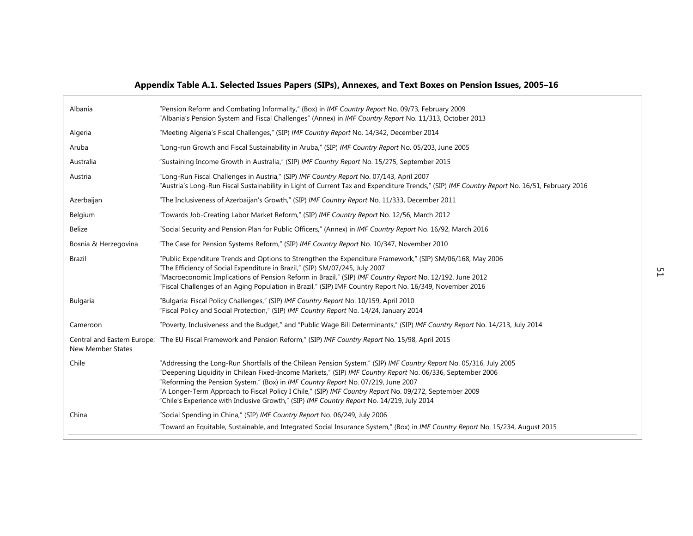|                          | Appendix Table A.1. Selected Issues Papers (SIPs), Annexes, and Text Boxes on Pension Issues, 2005–16                                                                                                                                                                                                                                                                                                                                                                                                                         |               |
|--------------------------|-------------------------------------------------------------------------------------------------------------------------------------------------------------------------------------------------------------------------------------------------------------------------------------------------------------------------------------------------------------------------------------------------------------------------------------------------------------------------------------------------------------------------------|---------------|
| Albania                  | "Pension Reform and Combating Informality," (Box) in IMF Country Report No. 09/73, February 2009<br>"Albania's Pension System and Fiscal Challenges" (Annex) in IMF Country Report No. 11/313, October 2013                                                                                                                                                                                                                                                                                                                   |               |
| Algeria                  | "Meeting Algeria's Fiscal Challenges," (SIP) IMF Country Report No. 14/342, December 2014                                                                                                                                                                                                                                                                                                                                                                                                                                     |               |
| Aruba                    | "Long-run Growth and Fiscal Sustainability in Aruba," (SIP) IMF Country Report No. 05/203, June 2005                                                                                                                                                                                                                                                                                                                                                                                                                          |               |
| Australia                | "Sustaining Income Growth in Australia," (SIP) IMF Country Report No. 15/275, September 2015                                                                                                                                                                                                                                                                                                                                                                                                                                  |               |
| Austria                  | "Long-Run Fiscal Challenges in Austria," (SIP) IMF Country Report No. 07/143, April 2007<br>"Austria's Long-Run Fiscal Sustainability in Light of Current Tax and Expenditure Trends," (SIP) IMF Country Report No. 16/51, February 2016                                                                                                                                                                                                                                                                                      |               |
| Azerbaijan               | "The Inclusiveness of Azerbaijan's Growth," (SIP) IMF Country Report No. 11/333, December 2011                                                                                                                                                                                                                                                                                                                                                                                                                                |               |
| Belgium                  | "Towards Job-Creating Labor Market Reform," (SIP) IMF Country Report No. 12/56, March 2012                                                                                                                                                                                                                                                                                                                                                                                                                                    |               |
| Belize                   | "Social Security and Pension Plan for Public Officers," (Annex) in IMF Country Report No. 16/92, March 2016                                                                                                                                                                                                                                                                                                                                                                                                                   |               |
| Bosnia & Herzegovina     | "The Case for Pension Systems Reform," (SIP) IMF Country Report No. 10/347, November 2010                                                                                                                                                                                                                                                                                                                                                                                                                                     |               |
| <b>Brazil</b>            | "Public Expenditure Trends and Options to Strengthen the Expenditure Framework," (SIP) SM/06/168, May 2006<br>"The Efficiency of Social Expenditure in Brazil," (SIP) SM/07/245, July 2007<br>"Macroeconomic Implications of Pension Reform in Brazil," (SIP) IMF Country Report No. 12/192, June 2012<br>"Fiscal Challenges of an Aging Population in Brazil," (SIP) IMF Country Report No. 16/349, November 2016                                                                                                            | $^{12}_{-12}$ |
| <b>Bulgaria</b>          | "Bulgaria: Fiscal Policy Challenges," (SIP) IMF Country Report No. 10/159, April 2010<br>"Fiscal Policy and Social Protection," (SIP) IMF Country Report No. 14/24, January 2014                                                                                                                                                                                                                                                                                                                                              |               |
| Cameroon                 | "Poverty, Inclusiveness and the Budget," and "Public Wage Bill Determinants," (SIP) IMF Country Report No. 14/213, July 2014                                                                                                                                                                                                                                                                                                                                                                                                  |               |
| <b>New Member States</b> | Central and Eastern Europe: "The EU Fiscal Framework and Pension Reform," (SIP) IMF Country Report No. 15/98, April 2015                                                                                                                                                                                                                                                                                                                                                                                                      |               |
| Chile                    | "Addressing the Long-Run Shortfalls of the Chilean Pension System," (SIP) IMF Country Report No. 05/316, July 2005<br>"Deepening Liquidity in Chilean Fixed-Income Markets," (SIP) IMF Country Report No. 06/336, September 2006<br>"Reforming the Pension System," (Box) in IMF Country Report No. 07/219, June 2007<br>"A Longer-Term Approach to Fiscal Policy I Chile," (SIP) IMF Country Report No. 09/272, September 2009<br>"Chile's Experience with Inclusive Growth," (SIP) IMF Country Report No. 14/219, July 2014 |               |
| China                    | "Social Spending in China," (SIP) IMF Country Report No. 06/249, July 2006<br>"Toward an Equitable, Sustainable, and Integrated Social Insurance System," (Box) in IMF Country Report No. 15/234, August 2015                                                                                                                                                                                                                                                                                                                 |               |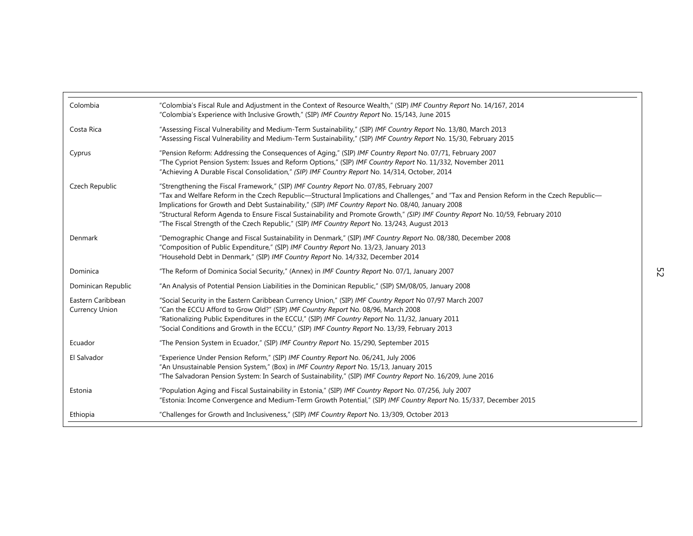| Colombia                                   | "Colombia's Fiscal Rule and Adjustment in the Context of Resource Wealth," (SIP) IMF Country Report No. 14/167, 2014<br>"Colombia's Experience with Inclusive Growth," (SIP) IMF Country Report No. 15/143, June 2015                                                                                                                                                                                                                                                                                                                                                           |    |
|--------------------------------------------|---------------------------------------------------------------------------------------------------------------------------------------------------------------------------------------------------------------------------------------------------------------------------------------------------------------------------------------------------------------------------------------------------------------------------------------------------------------------------------------------------------------------------------------------------------------------------------|----|
| Costa Rica                                 | "Assessing Fiscal Vulnerability and Medium-Term Sustainability," (SIP) IMF Country Report No. 13/80, March 2013<br>"Assessing Fiscal Vulnerability and Medium-Term Sustainability," (SIP) IMF Country Report No. 15/30, February 2015                                                                                                                                                                                                                                                                                                                                           |    |
| Cyprus                                     | "Pension Reform: Addressing the Consequences of Aging," (SIP) IMF Country Report No. 07/71, February 2007<br>"The Cypriot Pension System: Issues and Reform Options," (SIP) IMF Country Report No. 11/332, November 2011<br>"Achieving A Durable Fiscal Consolidation," (SIP) IMF Country Report No. 14/314, October, 2014                                                                                                                                                                                                                                                      |    |
| Czech Republic                             | "Strengthening the Fiscal Framework," (SIP) IMF Country Report No. 07/85, February 2007<br>"Tax and Welfare Reform in the Czech Republic-Structural Implications and Challenges," and "Tax and Pension Reform in the Czech Republic-<br>Implications for Growth and Debt Sustainability," (SIP) IMF Country Report No. 08/40, January 2008<br>"Structural Reform Agenda to Ensure Fiscal Sustainability and Promote Growth," (SIP) IMF Country Report No. 10/59, February 2010<br>"The Fiscal Strength of the Czech Republic," (SIP) IMF Country Report No. 13/243, August 2013 |    |
| Denmark                                    | "Demographic Change and Fiscal Sustainability in Denmark," (SIP) IMF Country Report No. 08/380, December 2008<br>"Composition of Public Expenditure," (SIP) IMF Country Report No. 13/23, January 2013<br>"Household Debt in Denmark," (SIP) IMF Country Report No. 14/332, December 2014                                                                                                                                                                                                                                                                                       |    |
| Dominica                                   | "The Reform of Dominica Social Security," (Annex) in IMF Country Report No. 07/1, January 2007                                                                                                                                                                                                                                                                                                                                                                                                                                                                                  | SЯ |
| Dominican Republic                         | "An Analysis of Potential Pension Liabilities in the Dominican Republic," (SIP) SM/08/05, January 2008                                                                                                                                                                                                                                                                                                                                                                                                                                                                          |    |
| Eastern Caribbean<br><b>Currency Union</b> | "Social Security in the Eastern Caribbean Currency Union," (SIP) IMF Country Report No 07/97 March 2007<br>"Can the ECCU Afford to Grow Old?" (SIP) IMF Country Report No. 08/96, March 2008<br>"Rationalizing Public Expenditures in the ECCU," (SIP) IMF Country Report No. 11/32, January 2011<br>"Social Conditions and Growth in the ECCU," (SIP) IMF Country Report No. 13/39, February 2013                                                                                                                                                                              |    |
| Ecuador                                    | "The Pension System in Ecuador," (SIP) IMF Country Report No. 15/290, September 2015                                                                                                                                                                                                                                                                                                                                                                                                                                                                                            |    |
| El Salvador                                | "Experience Under Pension Reform," (SIP) IMF Country Report No. 06/241, July 2006<br>"An Unsustainable Pension System," (Box) in IMF Country Report No. 15/13, January 2015<br>"The Salvadoran Pension System: In Search of Sustainability," (SIP) IMF Country Report No. 16/209, June 2016                                                                                                                                                                                                                                                                                     |    |
| Estonia                                    | "Population Aging and Fiscal Sustainability in Estonia," (SIP) IMF Country Report No. 07/256, July 2007<br>"Estonia: Income Convergence and Medium-Term Growth Potential," (SIP) IMF Country Report No. 15/337, December 2015                                                                                                                                                                                                                                                                                                                                                   |    |
| Ethiopia                                   | "Challenges for Growth and Inclusiveness," (SIP) IMF Country Report No. 13/309, October 2013                                                                                                                                                                                                                                                                                                                                                                                                                                                                                    |    |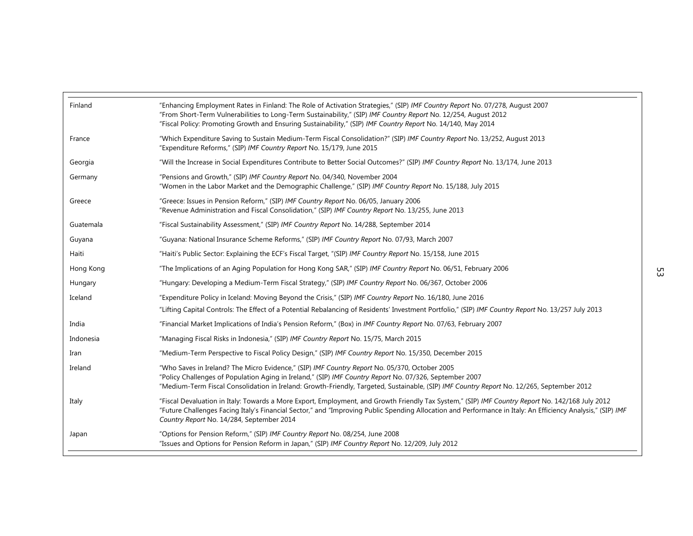| Finland   | "Enhancing Employment Rates in Finland: The Role of Activation Strategies," (SIP) IMF Country Report No. 07/278, August 2007<br>"From Short-Term Vulnerabilities to Long-Term Sustainability," (SIP) IMF Country Report No. 12/254, August 2012<br>"Fiscal Policy: Promoting Growth and Ensuring Sustainability," (SIP) IMF Country Report No. 14/140, May 2014 |  |
|-----------|-----------------------------------------------------------------------------------------------------------------------------------------------------------------------------------------------------------------------------------------------------------------------------------------------------------------------------------------------------------------|--|
| France    | "Which Expenditure Saving to Sustain Medium-Term Fiscal Consolidation?" (SIP) IMF Country Report No. 13/252, August 2013<br>"Expenditure Reforms," (SIP) IMF Country Report No. 15/179, June 2015                                                                                                                                                               |  |
| Georgia   | "Will the Increase in Social Expenditures Contribute to Better Social Outcomes?" (SIP) IMF Country Report No. 13/174, June 2013                                                                                                                                                                                                                                 |  |
| Germany   | "Pensions and Growth," (SIP) IMF Country Report No. 04/340, November 2004<br>"Women in the Labor Market and the Demographic Challenge," (SIP) IMF Country Report No. 15/188, July 2015                                                                                                                                                                          |  |
| Greece    | "Greece: Issues in Pension Reform," (SIP) IMF Country Report No. 06/05, January 2006<br>"Revenue Administration and Fiscal Consolidation," (SIP) IMF Country Report No. 13/255, June 2013                                                                                                                                                                       |  |
| Guatemala | "Fiscal Sustainability Assessment," (SIP) IMF Country Report No. 14/288, September 2014                                                                                                                                                                                                                                                                         |  |
| Guyana    | "Guyana: National Insurance Scheme Reforms," (SIP) IMF Country Report No. 07/93, March 2007                                                                                                                                                                                                                                                                     |  |
| Haiti     | "Haiti's Public Sector: Explaining the ECF's Fiscal Target, "(SIP) IMF Country Report No. 15/158, June 2015                                                                                                                                                                                                                                                     |  |
| Hong Kong | "The Implications of an Aging Population for Hong Kong SAR," (SIP) IMF Country Report No. 06/51, February 2006                                                                                                                                                                                                                                                  |  |
| Hungary   | "Hungary: Developing a Medium-Term Fiscal Strategy," (SIP) IMF Country Report No. 06/367, October 2006                                                                                                                                                                                                                                                          |  |
| Iceland   | "Expenditure Policy in Iceland: Moving Beyond the Crisis," (SIP) IMF Country Report No. 16/180, June 2016                                                                                                                                                                                                                                                       |  |
|           | "Lifting Capital Controls: The Effect of a Potential Rebalancing of Residents' Investment Portfolio," (SIP) IMF Country Report No. 13/257 July 2013                                                                                                                                                                                                             |  |
| India     | "Financial Market Implications of India's Pension Reform," (Box) in IMF Country Report No. 07/63, February 2007                                                                                                                                                                                                                                                 |  |
| Indonesia | "Managing Fiscal Risks in Indonesia," (SIP) IMF Country Report No. 15/75, March 2015                                                                                                                                                                                                                                                                            |  |
| Iran      | "Medium-Term Perspective to Fiscal Policy Design," (SIP) IMF Country Report No. 15/350, December 2015                                                                                                                                                                                                                                                           |  |
| Ireland   | "Who Saves in Ireland? The Micro Evidence," (SIP) IMF Country Report No. 05/370, October 2005<br>"Policy Challenges of Population Aging in Ireland," (SIP) IMF Country Report No. 07/326, September 2007<br>"Medium-Term Fiscal Consolidation in Ireland: Growth-Friendly, Targeted, Sustainable, (SIP) IMF Country Report No. 12/265, September 2012           |  |
| Italy     | "Fiscal Devaluation in Italy: Towards a More Export, Employment, and Growth Friendly Tax System," (SIP) IMF Country Report No. 142/168 July 2012<br>"Future Challenges Facing Italy's Financial Sector," and "Improving Public Spending Allocation and Performance in Italy: An Efficiency Analysis," (SIP) IMF<br>Country Report No. 14/284, September 2014    |  |
| Japan     | "Options for Pension Reform," (SIP) IMF Country Report No. 08/254, June 2008<br>"Issues and Options for Pension Reform in Japan," (SIP) IMF Country Report No. 12/209, July 2012                                                                                                                                                                                |  |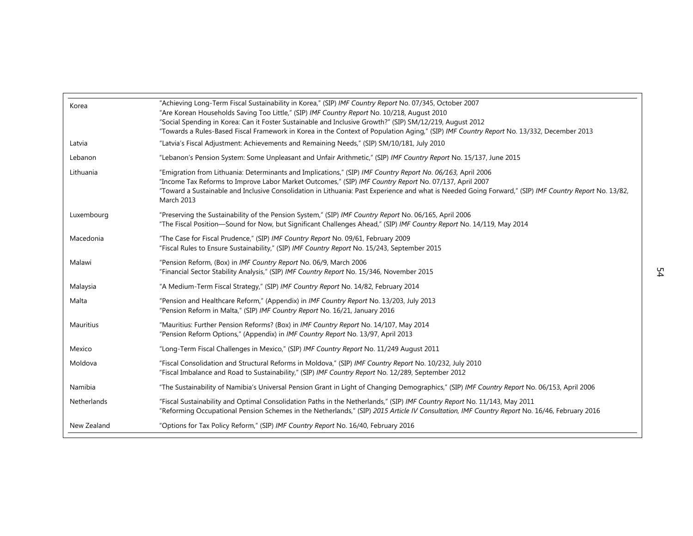| Korea       | "Achieving Long-Term Fiscal Sustainability in Korea," (SIP) IMF Country Report No. 07/345, October 2007                                                                                                                                                                                                                                                                                       |    |
|-------------|-----------------------------------------------------------------------------------------------------------------------------------------------------------------------------------------------------------------------------------------------------------------------------------------------------------------------------------------------------------------------------------------------|----|
|             | "Are Korean Households Saving Too Little," (SIP) IMF Country Report No. 10/218, August 2010<br>"Social Spending in Korea: Can it Foster Sustainable and Inclusive Growth?" (SIP) SM/12/219, August 2012<br>"Towards a Rules-Based Fiscal Framework in Korea in the Context of Population Aging," (SIP) IMF Country Report No. 13/332, December 2013                                           |    |
| Latvia      | "Latvia's Fiscal Adjustment: Achievements and Remaining Needs," (SIP) SM/10/181, July 2010                                                                                                                                                                                                                                                                                                    |    |
| Lebanon     | "Lebanon's Pension System: Some Unpleasant and Unfair Arithmetic," (SIP) IMF Country Report No. 15/137, June 2015                                                                                                                                                                                                                                                                             |    |
| Lithuania   | "Emigration from Lithuania: Determinants and Implications," (SIP) IMF Country Report No. 06/163, April 2006<br>"Income Tax Reforms to Improve Labor Market Outcomes," (SIP) IMF Country Report No. 07/137, April 2007<br>"Toward a Sustainable and Inclusive Consolidation in Lithuania: Past Experience and what is Needed Going Forward," (SIP) IMF Country Report No. 13/82,<br>March 2013 |    |
| Luxembourg  | "Preserving the Sustainability of the Pension System," (SIP) IMF Country Report No. 06/165, April 2006<br>"The Fiscal Position-Sound for Now, but Significant Challenges Ahead," (SIP) IMF Country Report No. 14/119, May 2014                                                                                                                                                                |    |
| Macedonia   | "The Case for Fiscal Prudence," (SIP) IMF Country Report No. 09/61, February 2009<br>"Fiscal Rules to Ensure Sustainability," (SIP) IMF Country Report No. 15/243, September 2015                                                                                                                                                                                                             |    |
| Malawi      | "Pension Reform, (Box) in IMF Country Report No. 06/9, March 2006<br>"Financial Sector Stability Analysis," (SIP) IMF Country Report No. 15/346, November 2015                                                                                                                                                                                                                                | 54 |
| Malaysia    | "A Medium-Term Fiscal Strategy," (SIP) IMF Country Report No. 14/82, February 2014                                                                                                                                                                                                                                                                                                            |    |
| Malta       | "Pension and Healthcare Reform," (Appendix) in IMF Country Report No. 13/203, July 2013<br>"Pension Reform in Malta," (SIP) IMF Country Report No. 16/21, January 2016                                                                                                                                                                                                                        |    |
| Mauritius   | "Mauritius: Further Pension Reforms? (Box) in <i>IMF Country Report</i> No. 14/107, May 2014<br>"Pension Reform Options," (Appendix) in IMF Country Report No. 13/97, April 2013                                                                                                                                                                                                              |    |
| Mexico      | "Long-Term Fiscal Challenges in Mexico," (SIP) IMF Country Report No. 11/249 August 2011                                                                                                                                                                                                                                                                                                      |    |
| Moldova     | "Fiscal Consolidation and Structural Reforms in Moldova," (SIP) IMF Country Report No. 10/232, July 2010<br>"Fiscal Imbalance and Road to Sustainability," (SIP) IMF Country Report No. 12/289, September 2012                                                                                                                                                                                |    |
| Namibia     | "The Sustainability of Namibia's Universal Pension Grant in Light of Changing Demographics," (SIP) IMF Country Report No. 06/153, April 2006                                                                                                                                                                                                                                                  |    |
| Netherlands | "Fiscal Sustainability and Optimal Consolidation Paths in the Netherlands," (SIP) IMF Country Report No. 11/143, May 2011<br>"Reforming Occupational Pension Schemes in the Netherlands," (SIP) 2015 Article IV Consultation, IMF Country Report No. 16/46, February 2016                                                                                                                     |    |
| New Zealand | "Options for Tax Policy Reform," (SIP) IMF Country Report No. 16/40, February 2016                                                                                                                                                                                                                                                                                                            |    |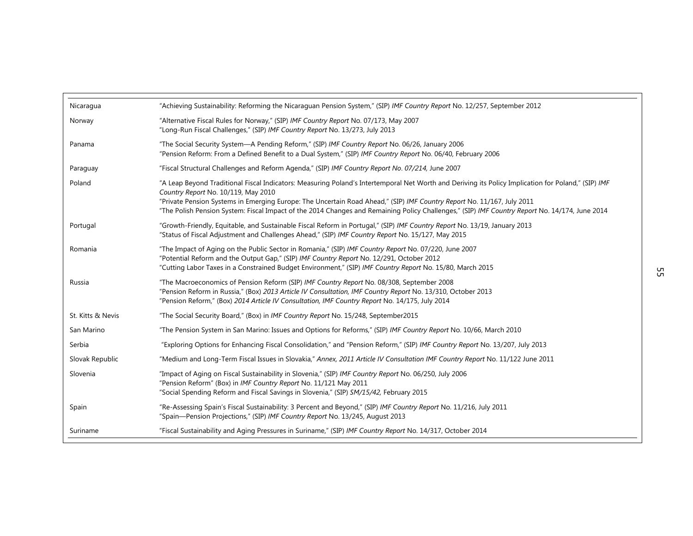| Nicaragua         | "Achieving Sustainability: Reforming the Nicaraguan Pension System," (SIP) IMF Country Report No. 12/257, September 2012                                                                                                                                                                                       |    |
|-------------------|----------------------------------------------------------------------------------------------------------------------------------------------------------------------------------------------------------------------------------------------------------------------------------------------------------------|----|
| Norway            | "Alternative Fiscal Rules for Norway," (SIP) IMF Country Report No. 07/173, May 2007<br>"Long-Run Fiscal Challenges," (SIP) IMF Country Report No. 13/273, July 2013                                                                                                                                           |    |
| Panama            | "The Social Security System-A Pending Reform," (SIP) IMF Country Report No. 06/26, January 2006<br>"Pension Reform: From a Defined Benefit to a Dual System," (SIP) IMF Country Report No. 06/40, February 2006                                                                                                |    |
| Paraguay          | "Fiscal Structural Challenges and Reform Agenda," (SIP) IMF Country Report No. 07/214, June 2007                                                                                                                                                                                                               |    |
| Poland            | "A Leap Beyond Traditional Fiscal Indicators: Measuring Poland's Intertemporal Net Worth and Deriving its Policy Implication for Poland," (SIP) IMF<br>Country Report No. 10/119, May 2010                                                                                                                     |    |
|                   | "Private Pension Systems in Emerging Europe: The Uncertain Road Ahead," (SIP) IMF Country Report No. 11/167, July 2011<br>"The Polish Pension System: Fiscal Impact of the 2014 Changes and Remaining Policy Challenges," (SIP) IMF Country Report No. 14/174, June 2014                                       |    |
| Portugal          | "Growth-Friendly, Equitable, and Sustainable Fiscal Reform in Portugal," (SIP) IMF Country Report No. 13/19, January 2013<br>"Status of Fiscal Adjustment and Challenges Ahead," (SIP) IMF Country Report No. 15/127, May 2015                                                                                 |    |
| Romania           | "The Impact of Aging on the Public Sector in Romania," (SIP) IMF Country Report No. 07/220, June 2007<br>"Potential Reform and the Output Gap," (SIP) IMF Country Report No. 12/291, October 2012<br>"Cutting Labor Taxes in a Constrained Budget Environment," (SIP) IMF Country Report No. 15/80, March 2015 | СΠ |
| Russia            | "The Macroeconomics of Pension Reform (SIP) IMF Country Report No. 08/308, September 2008<br>"Pension Reform in Russia," (Box) 2013 Article IV Consultation, IMF Country Report No. 13/310, October 2013<br>"Pension Reform," (Box) 2014 Article IV Consultation, IMF Country Report No. 14/175, July 2014     |    |
| St. Kitts & Nevis | "The Social Security Board," (Box) in IMF Country Report No. 15/248, September2015                                                                                                                                                                                                                             |    |
| San Marino        | "The Pension System in San Marino: Issues and Options for Reforms," (SIP) IMF Country Report No. 10/66, March 2010                                                                                                                                                                                             |    |
| Serbia            | "Exploring Options for Enhancing Fiscal Consolidation," and "Pension Reform," (SIP) IMF Country Report No. 13/207, July 2013                                                                                                                                                                                   |    |
| Slovak Republic   | "Medium and Long-Term Fiscal Issues in Slovakia," Annex, 2011 Article IV Consultation IMF Country Report No. 11/122 June 2011                                                                                                                                                                                  |    |
| Slovenia          | "Impact of Aging on Fiscal Sustainability in Slovenia," (SIP) IMF Country Report No. 06/250, July 2006<br>"Pension Reform" (Box) in IMF Country Report No. 11/121 May 2011<br>"Social Spending Reform and Fiscal Savings in Slovenia," (SIP) SM/15/42, February 2015                                           |    |
| Spain             | "Re-Assessing Spain's Fiscal Sustainability: 3 Percent and Beyond," (SIP) IMF Country Report No. 11/216, July 2011<br>"Spain-Pension Projections," (SIP) IMF Country Report No. 13/245, August 2013                                                                                                            |    |
| Suriname          | "Fiscal Sustainability and Aging Pressures in Suriname," (SIP) IMF Country Report No. 14/317, October 2014                                                                                                                                                                                                     |    |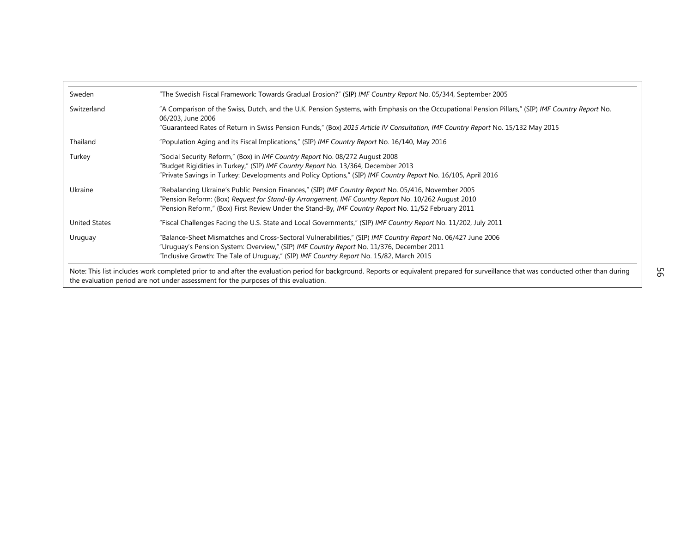| Sweden               | "The Swedish Fiscal Framework: Towards Gradual Erosion?" (SIP) IMF Country Report No. 05/344, September 2005                                                                                                                                                                 |
|----------------------|------------------------------------------------------------------------------------------------------------------------------------------------------------------------------------------------------------------------------------------------------------------------------|
| Switzerland          | "A Comparison of the Swiss, Dutch, and the U.K. Pension Systems, with Emphasis on the Occupational Pension Pillars," (SIP) IMF Country Report No.<br>06/203, June 2006                                                                                                       |
|                      | "Guaranteed Rates of Return in Swiss Pension Funds," (Box) 2015 Article IV Consultation, IMF Country Report No. 15/132 May 2015                                                                                                                                              |
| Thailand             | "Population Aging and its Fiscal Implications," (SIP) IMF Country Report No. 16/140, May 2016                                                                                                                                                                                |
| Turkey               | "Social Security Reform," (Box) in IMF Country Report No. 08/272 August 2008                                                                                                                                                                                                 |
|                      | "Budget Rigidities in Turkey," (SIP) IMF Country Report No. 13/364, December 2013                                                                                                                                                                                            |
|                      | "Private Savings in Turkey: Developments and Policy Options," (SIP) IMF Country Report No. 16/105, April 2016                                                                                                                                                                |
| Ukraine              | "Rebalancing Ukraine's Public Pension Finances," (SIP) IMF Country Report No. 05/416, November 2005                                                                                                                                                                          |
|                      | "Pension Reform: (Box) Request for Stand-By Arrangement, IMF Country Report No. 10/262 August 2010<br>"Pension Reform," (Box) First Review Under the Stand-By, IMF Country Report No. 11/52 February 2011                                                                    |
| <b>United States</b> | "Fiscal Challenges Facing the U.S. State and Local Governments," (SIP) IMF Country Report No. 11/202, July 2011                                                                                                                                                              |
|                      |                                                                                                                                                                                                                                                                              |
| Uruguay              | "Balance-Sheet Mismatches and Cross-Sectoral Vulnerabilities," (SIP) IMF Country Report No. 06/427 June 2006                                                                                                                                                                 |
|                      | "Uruguay's Pension System: Overview," (SIP) IMF Country Report No. 11/376, December 2011<br>"Inclusive Growth: The Tale of Uruguay," (SIP) IMF Country Report No. 15/82, March 2015                                                                                          |
|                      |                                                                                                                                                                                                                                                                              |
|                      | Note: This list includes work completed prior to and after the evaluation period for background. Reports or equivalent prepared for surveillance that was conducted other than during<br>the evaluation period are not under assessment for the purposes of this evaluation. |
|                      |                                                                                                                                                                                                                                                                              |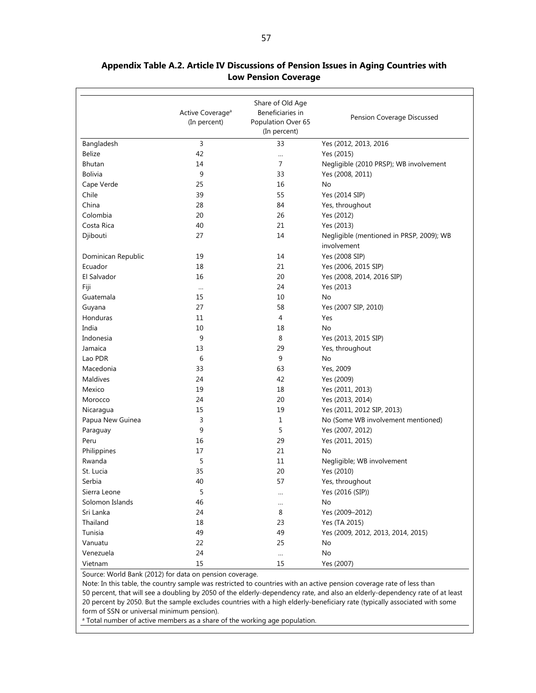|                    | Active Coverage <sup>a</sup><br>(In percent) | Share of Old Age<br>Beneficiaries in<br>Population Over 65<br>(In percent) | Pension Coverage Discussed                              |
|--------------------|----------------------------------------------|----------------------------------------------------------------------------|---------------------------------------------------------|
| Bangladesh         | 3                                            | 33                                                                         | Yes (2012, 2013, 2016                                   |
| Belize             | 42                                           | $\ldots$                                                                   | Yes (2015)                                              |
| Bhutan             | 14                                           | $\overline{7}$                                                             | Negligible (2010 PRSP); WB involvement                  |
| <b>Bolivia</b>     | 9                                            | 33                                                                         | Yes (2008, 2011)                                        |
| Cape Verde         | 25                                           | 16                                                                         | No                                                      |
| Chile              | 39                                           | 55                                                                         | Yes (2014 SIP)                                          |
| China              | 28                                           | 84                                                                         | Yes, throughout                                         |
| Colombia           | 20                                           | 26                                                                         | Yes (2012)                                              |
| Costa Rica         | 40                                           | 21                                                                         | Yes (2013)                                              |
| Djibouti           | 27                                           | 14                                                                         | Negligible (mentioned in PRSP, 2009); WB<br>involvement |
| Dominican Republic | 19                                           | 14                                                                         | Yes (2008 SIP)                                          |
| Ecuador            | 18                                           | 21                                                                         | Yes (2006, 2015 SIP)                                    |
| El Salvador        | 16                                           | 20                                                                         | Yes (2008, 2014, 2016 SIP)                              |
| Fiji               | $\cdots$                                     | 24                                                                         | Yes (2013                                               |
| Guatemala          | 15                                           | 10                                                                         | No                                                      |
| Guyana             | 27                                           | 58                                                                         | Yes (2007 SIP, 2010)                                    |
| Honduras           | 11                                           | 4                                                                          | Yes                                                     |
| India              | 10                                           | 18                                                                         | No                                                      |
| Indonesia          | 9                                            | 8                                                                          | Yes (2013, 2015 SIP)                                    |
| Jamaica            | 13                                           | 29                                                                         | Yes, throughout                                         |
| Lao PDR            | 6                                            | 9                                                                          | No                                                      |
| Macedonia          | 33                                           | 63                                                                         | Yes, 2009                                               |
| Maldives           | 24                                           | 42                                                                         | Yes (2009)                                              |
| Mexico             | 19                                           | 18                                                                         | Yes (2011, 2013)                                        |
| Morocco            | 24                                           | 20                                                                         | Yes (2013, 2014)                                        |
| Nicaragua          | 15                                           | 19                                                                         | Yes (2011, 2012 SIP, 2013)                              |
| Papua New Guinea   | 3                                            | $\mathbf{1}$                                                               | No (Some WB involvement mentioned)                      |
| Paraguay           | 9                                            | 5                                                                          | Yes (2007, 2012)                                        |
| Peru               | 16                                           | 29                                                                         | Yes (2011, 2015)                                        |
| Philippines        | 17                                           | 21                                                                         | No                                                      |
| Rwanda             | 5                                            | 11                                                                         | Negligible; WB involvement                              |
| St. Lucia          | 35                                           | 20                                                                         | Yes (2010)                                              |
| Serbia             | 40                                           | 57                                                                         | Yes, throughout                                         |
| Sierra Leone       | 5                                            | $\cdots$                                                                   | Yes (2016 (SIP))                                        |
| Solomon Islands    | 46                                           | $\cdots$                                                                   | No                                                      |
| Sri Lanka          | 24                                           | 8                                                                          | Yes (2009-2012)                                         |
| Thailand           | 18                                           | 23                                                                         | Yes (TA 2015)                                           |
| Tunisia            | 49                                           | 49                                                                         | Yes (2009, 2012, 2013, 2014, 2015)                      |
| Vanuatu            | 22                                           | 25                                                                         | No                                                      |
| Venezuela          | 24                                           | $\cdots$                                                                   | No                                                      |
| Vietnam            | 15                                           | 15                                                                         | Yes (2007)                                              |

#### **Appendix Table A.2. Article IV Discussions of Pension Issues in Aging Countries with Low Pension Coverage**

Source: World Bank (2012) for data on pension coverage.

Note: In this table, the country sample was restricted to countries with an active pension coverage rate of less than 50 percent, that will see a doubling by 2050 of the elderly-dependency rate, and also an elderly-dependency rate of at least 20 percent by 2050. But the sample excludes countries with a high elderly-beneficiary rate (typically associated with some form of SSN or universal minimum pension).

<sup>a</sup> Total number of active members as a share of the working age population.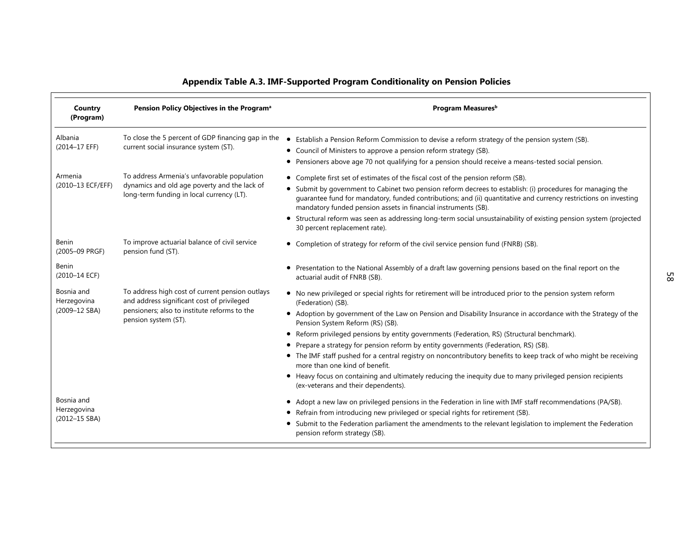|                              |                                                                                                                                          | Appendix Table A.3. IMF-Supported Program Conditionality on Pension Policies                                                                                                                                                                                                                                                                                                         |
|------------------------------|------------------------------------------------------------------------------------------------------------------------------------------|--------------------------------------------------------------------------------------------------------------------------------------------------------------------------------------------------------------------------------------------------------------------------------------------------------------------------------------------------------------------------------------|
| Country<br>(Program)         | Pension Policy Objectives in the Program <sup>a</sup>                                                                                    | Program Measures <sup>b</sup>                                                                                                                                                                                                                                                                                                                                                        |
| Albania<br>(2014-17 EFF)     | To close the 5 percent of GDP financing gap in the<br>current social insurance system (ST).                                              | Establish a Pension Reform Commission to devise a reform strategy of the pension system (SB).<br>• Council of Ministers to approve a pension reform strategy (SB).<br>• Pensioners above age 70 not qualifying for a pension should receive a means-tested social pension.                                                                                                           |
| Armenia<br>(2010-13 ECF/EFF) | To address Armenia's unfavorable population<br>dynamics and old age poverty and the lack of<br>long-term funding in local currency (LT). | • Complete first set of estimates of the fiscal cost of the pension reform (SB).<br>• Submit by government to Cabinet two pension reform decrees to establish: (i) procedures for managing the<br>guarantee fund for mandatory, funded contributions; and (ii) quantitative and currency restrictions on investing<br>mandatory funded pension assets in financial instruments (SB). |
|                              |                                                                                                                                          | • Structural reform was seen as addressing long-term social unsustainability of existing pension system (projected<br>30 percent replacement rate).                                                                                                                                                                                                                                  |
| Benin<br>(2005-09 PRGF)      | To improve actuarial balance of civil service<br>pension fund (ST).                                                                      | • Completion of strategy for reform of the civil service pension fund (FNRB) (SB).                                                                                                                                                                                                                                                                                                   |
| Benin<br>(2010-14 ECF)       |                                                                                                                                          | • Presentation to the National Assembly of a draft law governing pensions based on the final report on the<br>actuarial audit of FNRB (SB).                                                                                                                                                                                                                                          |
| Bosnia and<br>Herzegovina    | To address high cost of current pension outlays<br>and address significant cost of privileged                                            | • No new privileged or special rights for retirement will be introduced prior to the pension system reform<br>(Federation) (SB).                                                                                                                                                                                                                                                     |
| (2009-12 SBA)                | pensioners; also to institute reforms to the<br>pension system (ST).                                                                     | • Adoption by government of the Law on Pension and Disability Insurance in accordance with the Strategy of the<br>Pension System Reform (RS) (SB).                                                                                                                                                                                                                                   |
|                              |                                                                                                                                          | • Reform privileged pensions by entity governments (Federation, RS) (Structural benchmark).                                                                                                                                                                                                                                                                                          |
|                              |                                                                                                                                          | Prepare a strategy for pension reform by entity governments (Federation, RS) (SB).<br>• The IMF staff pushed for a central registry on noncontributory benefits to keep track of who might be receiving<br>more than one kind of benefit.                                                                                                                                            |
|                              |                                                                                                                                          | • Heavy focus on containing and ultimately reducing the inequity due to many privileged pension recipients<br>(ex-veterans and their dependents).                                                                                                                                                                                                                                    |
| Bosnia and<br>Herzegovina    |                                                                                                                                          | • Adopt a new law on privileged pensions in the Federation in line with IMF staff recommendations (PA/SB).<br>Refrain from introducing new privileged or special rights for retirement (SB).                                                                                                                                                                                         |
| (2012-15 SBA)                |                                                                                                                                          | Submit to the Federation parliament the amendments to the relevant legislation to implement the Federation<br>pension reform strategy (SB).                                                                                                                                                                                                                                          |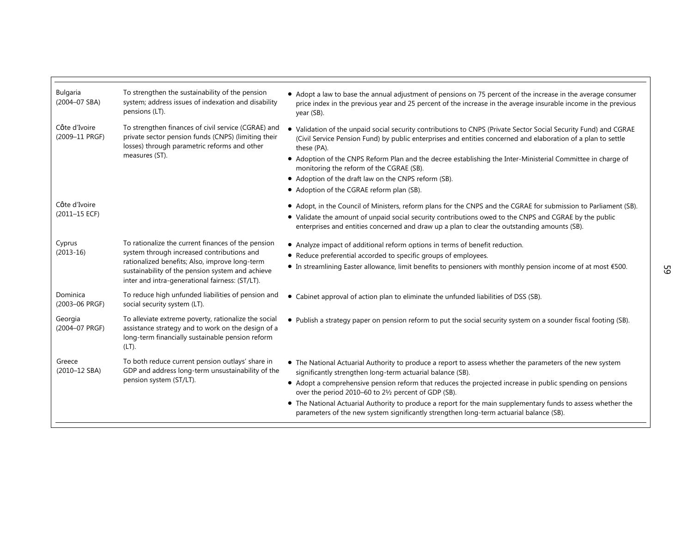| To strengthen the sustainability of the pension<br>system; address issues of indexation and disability<br>pensions (LT).                                                   | • Adopt a law to base the annual adjustment of pensions on 75 percent of the increase in the average consumer<br>price index in the previous year and 25 percent of the increase in the average insurable income in the previous<br>year (SB).                                                                             |
|----------------------------------------------------------------------------------------------------------------------------------------------------------------------------|----------------------------------------------------------------------------------------------------------------------------------------------------------------------------------------------------------------------------------------------------------------------------------------------------------------------------|
| To strengthen finances of civil service (CGRAE) and<br>private sector pension funds (CNPS) (limiting their<br>losses) through parametric reforms and other                 | • Validation of the unpaid social security contributions to CNPS (Private Sector Social Security Fund) and CGRAE<br>(Civil Service Pension Fund) by public enterprises and entities concerned and elaboration of a plan to settle<br>these (PA).                                                                           |
|                                                                                                                                                                            | • Adoption of the CNPS Reform Plan and the decree establishing the Inter-Ministerial Committee in charge of<br>monitoring the reform of the CGRAE (SB).                                                                                                                                                                    |
|                                                                                                                                                                            | • Adoption of the draft law on the CNPS reform (SB).                                                                                                                                                                                                                                                                       |
|                                                                                                                                                                            | • Adoption of the CGRAE reform plan (SB).                                                                                                                                                                                                                                                                                  |
|                                                                                                                                                                            | • Adopt, in the Council of Ministers, reform plans for the CNPS and the CGRAE for submission to Parliament (SB).<br>• Validate the amount of unpaid social security contributions owed to the CNPS and CGRAE by the public<br>enterprises and entities concerned and draw up a plan to clear the outstanding amounts (SB). |
| To rationalize the current finances of the pension                                                                                                                         | • Analyze impact of additional reform options in terms of benefit reduction.                                                                                                                                                                                                                                               |
|                                                                                                                                                                            | • Reduce preferential accorded to specific groups of employees.                                                                                                                                                                                                                                                            |
| sustainability of the pension system and achieve<br>inter and intra-generational fairness: (ST/LT).                                                                        | • In streamlining Easter allowance, limit benefits to pensioners with monthly pension income of at most €500.                                                                                                                                                                                                              |
| To reduce high unfunded liabilities of pension and<br>social security system (LT).                                                                                         | • Cabinet approval of action plan to eliminate the unfunded liabilities of DSS (SB).                                                                                                                                                                                                                                       |
| To alleviate extreme poverty, rationalize the social<br>assistance strategy and to work on the design of a<br>long-term financially sustainable pension reform<br>$(LT)$ . | . Publish a strategy paper on pension reform to put the social security system on a sounder fiscal footing (SB).                                                                                                                                                                                                           |
| To both reduce current pension outlays' share in<br>GDP and address long-term unsustainability of the<br>pension system (ST/LT).                                           | • The National Actuarial Authority to produce a report to assess whether the parameters of the new system<br>significantly strengthen long-term actuarial balance (SB).                                                                                                                                                    |
|                                                                                                                                                                            | • Adopt a comprehensive pension reform that reduces the projected increase in public spending on pensions<br>over the period 2010-60 to 21/2 percent of GDP (SB).                                                                                                                                                          |
|                                                                                                                                                                            | • The National Actuarial Authority to produce a report for the main supplementary funds to assess whether the<br>parameters of the new system significantly strengthen long-term actuarial balance (SB).                                                                                                                   |
|                                                                                                                                                                            | measures (ST).<br>system through increased contributions and<br>rationalized benefits; Also, improve long-term                                                                                                                                                                                                             |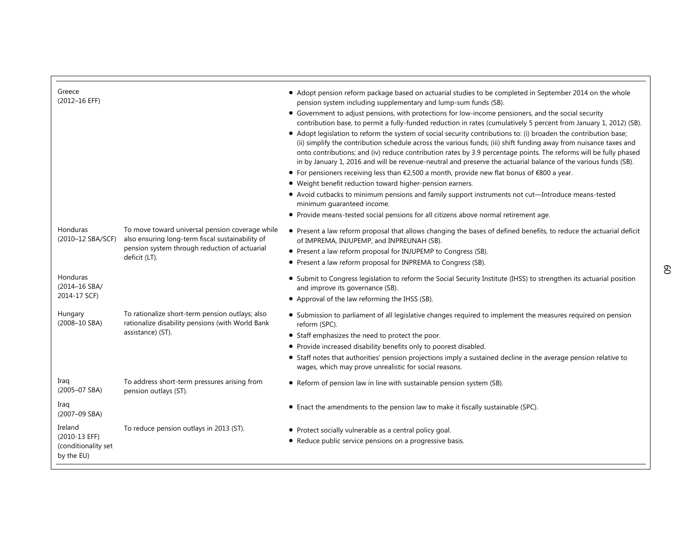| Greece<br>(2012-16 EFF)                                       |                                                                                                                                                                       | • Adopt pension reform package based on actuarial studies to be completed in September 2014 on the whole<br>pension system including supplementary and lump-sum funds (SB).<br>• Government to adjust pensions, with protections for low-income pensioners, and the social security<br>contribution base, to permit a fully-funded reduction in rates (cumulatively 5 percent from January 1, 2012) (SB).<br>• Adopt legislation to reform the system of social security contributions to: (i) broaden the contribution base;<br>(ii) simplify the contribution schedule across the various funds; (iii) shift funding away from nuisance taxes and<br>onto contributions; and (iv) reduce contribution rates by 3.9 percentage points. The reforms will be fully phased<br>in by January 1, 2016 and will be revenue-neutral and preserve the actuarial balance of the various funds (SB).<br>• For pensioners receiving less than $\epsilon$ 2,500 a month, provide new flat bonus of $\epsilon$ 800 a year.<br>• Weight benefit reduction toward higher-pension earners.<br>• Avoid cutbacks to minimum pensions and family support instruments not cut—Introduce means-tested<br>minimum quaranteed income.<br>• Provide means-tested social pensions for all citizens above normal retirement age. |
|---------------------------------------------------------------|-----------------------------------------------------------------------------------------------------------------------------------------------------------------------|---------------------------------------------------------------------------------------------------------------------------------------------------------------------------------------------------------------------------------------------------------------------------------------------------------------------------------------------------------------------------------------------------------------------------------------------------------------------------------------------------------------------------------------------------------------------------------------------------------------------------------------------------------------------------------------------------------------------------------------------------------------------------------------------------------------------------------------------------------------------------------------------------------------------------------------------------------------------------------------------------------------------------------------------------------------------------------------------------------------------------------------------------------------------------------------------------------------------------------------------------------------------------------------------------------|
| Honduras<br>(2010-12 SBA/SCF)                                 | To move toward universal pension coverage while<br>also ensuring long-term fiscal sustainability of<br>pension system through reduction of actuarial<br>deficit (LT). | • Present a law reform proposal that allows changing the bases of defined benefits, to reduce the actuarial deficit<br>of IMPREMA, INJUPEMP, and INPREUNAH (SB).<br>• Present a law reform proposal for INJUPEMP to Congress (SB).<br>• Present a law reform proposal for INPREMA to Congress (SB).                                                                                                                                                                                                                                                                                                                                                                                                                                                                                                                                                                                                                                                                                                                                                                                                                                                                                                                                                                                                     |
| Honduras<br>(2014-16 SBA/<br>2014-17 SCF)                     |                                                                                                                                                                       | • Submit to Congress legislation to reform the Social Security Institute (IHSS) to strengthen its actuarial position<br>and improve its governance (SB).<br>• Approval of the law reforming the IHSS (SB).                                                                                                                                                                                                                                                                                                                                                                                                                                                                                                                                                                                                                                                                                                                                                                                                                                                                                                                                                                                                                                                                                              |
| Hungary<br>$(2008 - 10$ SBA)                                  | To rationalize short-term pension outlays; also<br>rationalize disability pensions (with World Bank<br>assistance) (ST).                                              | • Submission to parliament of all legislative changes required to implement the measures required on pension<br>reform (SPC).<br>• Staff emphasizes the need to protect the poor.<br>• Provide increased disability benefits only to poorest disabled.<br>• Staff notes that authorities' pension projections imply a sustained decline in the average pension relative to<br>wages, which may prove unrealistic for social reasons.                                                                                                                                                                                                                                                                                                                                                                                                                                                                                                                                                                                                                                                                                                                                                                                                                                                                    |
| Iraq<br>(2005–07 SBA)                                         | To address short-term pressures arising from<br>pension outlays (ST).                                                                                                 | • Reform of pension law in line with sustainable pension system (SB).                                                                                                                                                                                                                                                                                                                                                                                                                                                                                                                                                                                                                                                                                                                                                                                                                                                                                                                                                                                                                                                                                                                                                                                                                                   |
| Iraq<br>(2007-09 SBA)                                         |                                                                                                                                                                       | • Enact the amendments to the pension law to make it fiscally sustainable (SPC).                                                                                                                                                                                                                                                                                                                                                                                                                                                                                                                                                                                                                                                                                                                                                                                                                                                                                                                                                                                                                                                                                                                                                                                                                        |
| Ireland<br>(2010-13 EFF)<br>(conditionality set<br>by the EU) | To reduce pension outlays in 2013 (ST).                                                                                                                               | • Protect socially vulnerable as a central policy goal.<br>• Reduce public service pensions on a progressive basis.                                                                                                                                                                                                                                                                                                                                                                                                                                                                                                                                                                                                                                                                                                                                                                                                                                                                                                                                                                                                                                                                                                                                                                                     |

г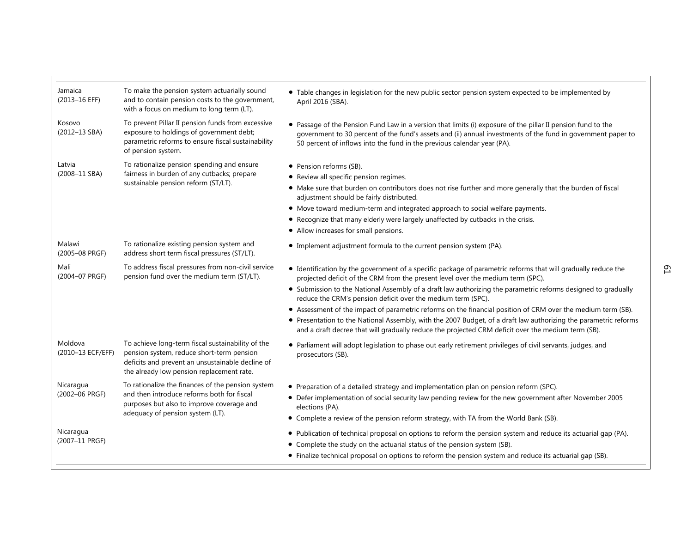| To make the pension system actuarially sound<br>• Table changes in legislation for the new public sector pension system expected to be implemented by<br>and to contain pension costs to the government,<br>April 2016 (SBA).<br>with a focus on medium to long term (LT).<br>To prevent Pillar II pension funds from excessive<br>• Passage of the Pension Fund Law in a version that limits (i) exposure of the pillar II pension fund to the<br>exposure to holdings of government debt;<br>government to 30 percent of the fund's assets and (ii) annual investments of the fund in government paper to<br>parametric reforms to ensure fiscal sustainability<br>50 percent of inflows into the fund in the previous calendar year (PA).<br>of pension system.<br>To rationalize pension spending and ensure<br>• Pension reforms (SB).<br>fairness in burden of any cutbacks; prepare<br>• Review all specific pension regimes.<br>sustainable pension reform (ST/LT).<br>• Make sure that burden on contributors does not rise further and more generally that the burden of fiscal<br>adjustment should be fairly distributed.<br>• Move toward medium-term and integrated approach to social welfare payments.<br>• Recognize that many elderly were largely unaffected by cutbacks in the crisis.<br>• Allow increases for small pensions.<br>To rationalize existing pension system and<br>• Implement adjustment formula to the current pension system (PA).<br>address short term fiscal pressures (ST/LT).<br>To address fiscal pressures from non-civil service<br>• Identification by the government of a specific package of parametric reforms that will gradually reduce the<br>pension fund over the medium term (ST/LT).<br>projected deficit of the CRM from the present level over the medium term (SPC).<br>• Submission to the National Assembly of a draft law authorizing the parametric reforms designed to gradually<br>reduce the CRM's pension deficit over the medium term (SPC).<br>• Assessment of the impact of parametric reforms on the financial position of CRM over the medium term (SB).<br>• Presentation to the National Assembly, with the 2007 Budget, of a draft law authorizing the parametric reforms<br>and a draft decree that will gradually reduce the projected CRM deficit over the medium term (SB).<br>To achieve long-term fiscal sustainability of the<br>• Parliament will adopt legislation to phase out early retirement privileges of civil servants, judges, and<br>pension system, reduce short-term pension<br>prosecutors (SB).<br>deficits and prevent an unsustainable decline of |                              |                                                                                                                             |  |
|------------------------------------------------------------------------------------------------------------------------------------------------------------------------------------------------------------------------------------------------------------------------------------------------------------------------------------------------------------------------------------------------------------------------------------------------------------------------------------------------------------------------------------------------------------------------------------------------------------------------------------------------------------------------------------------------------------------------------------------------------------------------------------------------------------------------------------------------------------------------------------------------------------------------------------------------------------------------------------------------------------------------------------------------------------------------------------------------------------------------------------------------------------------------------------------------------------------------------------------------------------------------------------------------------------------------------------------------------------------------------------------------------------------------------------------------------------------------------------------------------------------------------------------------------------------------------------------------------------------------------------------------------------------------------------------------------------------------------------------------------------------------------------------------------------------------------------------------------------------------------------------------------------------------------------------------------------------------------------------------------------------------------------------------------------------------------------------------------------------------------------------------------------------------------------------------------------------------------------------------------------------------------------------------------------------------------------------------------------------------------------------------------------------------------------------------------------------------------------------------------------------------------------------------------------------------------------------------------------------------------------------------------|------------------------------|-----------------------------------------------------------------------------------------------------------------------------|--|
|                                                                                                                                                                                                                                                                                                                                                                                                                                                                                                                                                                                                                                                                                                                                                                                                                                                                                                                                                                                                                                                                                                                                                                                                                                                                                                                                                                                                                                                                                                                                                                                                                                                                                                                                                                                                                                                                                                                                                                                                                                                                                                                                                                                                                                                                                                                                                                                                                                                                                                                                                                                                                                                      |                              |                                                                                                                             |  |
|                                                                                                                                                                                                                                                                                                                                                                                                                                                                                                                                                                                                                                                                                                                                                                                                                                                                                                                                                                                                                                                                                                                                                                                                                                                                                                                                                                                                                                                                                                                                                                                                                                                                                                                                                                                                                                                                                                                                                                                                                                                                                                                                                                                                                                                                                                                                                                                                                                                                                                                                                                                                                                                      |                              |                                                                                                                             |  |
|                                                                                                                                                                                                                                                                                                                                                                                                                                                                                                                                                                                                                                                                                                                                                                                                                                                                                                                                                                                                                                                                                                                                                                                                                                                                                                                                                                                                                                                                                                                                                                                                                                                                                                                                                                                                                                                                                                                                                                                                                                                                                                                                                                                                                                                                                                                                                                                                                                                                                                                                                                                                                                                      |                              |                                                                                                                             |  |
|                                                                                                                                                                                                                                                                                                                                                                                                                                                                                                                                                                                                                                                                                                                                                                                                                                                                                                                                                                                                                                                                                                                                                                                                                                                                                                                                                                                                                                                                                                                                                                                                                                                                                                                                                                                                                                                                                                                                                                                                                                                                                                                                                                                                                                                                                                                                                                                                                                                                                                                                                                                                                                                      |                              |                                                                                                                             |  |
|                                                                                                                                                                                                                                                                                                                                                                                                                                                                                                                                                                                                                                                                                                                                                                                                                                                                                                                                                                                                                                                                                                                                                                                                                                                                                                                                                                                                                                                                                                                                                                                                                                                                                                                                                                                                                                                                                                                                                                                                                                                                                                                                                                                                                                                                                                                                                                                                                                                                                                                                                                                                                                                      | Jamaica<br>(2013-16 EFF)     |                                                                                                                             |  |
|                                                                                                                                                                                                                                                                                                                                                                                                                                                                                                                                                                                                                                                                                                                                                                                                                                                                                                                                                                                                                                                                                                                                                                                                                                                                                                                                                                                                                                                                                                                                                                                                                                                                                                                                                                                                                                                                                                                                                                                                                                                                                                                                                                                                                                                                                                                                                                                                                                                                                                                                                                                                                                                      | Kosovo<br>(2012-13 SBA)      |                                                                                                                             |  |
|                                                                                                                                                                                                                                                                                                                                                                                                                                                                                                                                                                                                                                                                                                                                                                                                                                                                                                                                                                                                                                                                                                                                                                                                                                                                                                                                                                                                                                                                                                                                                                                                                                                                                                                                                                                                                                                                                                                                                                                                                                                                                                                                                                                                                                                                                                                                                                                                                                                                                                                                                                                                                                                      | Latvia                       |                                                                                                                             |  |
| Γ9                                                                                                                                                                                                                                                                                                                                                                                                                                                                                                                                                                                                                                                                                                                                                                                                                                                                                                                                                                                                                                                                                                                                                                                                                                                                                                                                                                                                                                                                                                                                                                                                                                                                                                                                                                                                                                                                                                                                                                                                                                                                                                                                                                                                                                                                                                                                                                                                                                                                                                                                                                                                                                                   | (2008-11 SBA)                |                                                                                                                             |  |
|                                                                                                                                                                                                                                                                                                                                                                                                                                                                                                                                                                                                                                                                                                                                                                                                                                                                                                                                                                                                                                                                                                                                                                                                                                                                                                                                                                                                                                                                                                                                                                                                                                                                                                                                                                                                                                                                                                                                                                                                                                                                                                                                                                                                                                                                                                                                                                                                                                                                                                                                                                                                                                                      |                              |                                                                                                                             |  |
|                                                                                                                                                                                                                                                                                                                                                                                                                                                                                                                                                                                                                                                                                                                                                                                                                                                                                                                                                                                                                                                                                                                                                                                                                                                                                                                                                                                                                                                                                                                                                                                                                                                                                                                                                                                                                                                                                                                                                                                                                                                                                                                                                                                                                                                                                                                                                                                                                                                                                                                                                                                                                                                      |                              |                                                                                                                             |  |
|                                                                                                                                                                                                                                                                                                                                                                                                                                                                                                                                                                                                                                                                                                                                                                                                                                                                                                                                                                                                                                                                                                                                                                                                                                                                                                                                                                                                                                                                                                                                                                                                                                                                                                                                                                                                                                                                                                                                                                                                                                                                                                                                                                                                                                                                                                                                                                                                                                                                                                                                                                                                                                                      |                              |                                                                                                                             |  |
|                                                                                                                                                                                                                                                                                                                                                                                                                                                                                                                                                                                                                                                                                                                                                                                                                                                                                                                                                                                                                                                                                                                                                                                                                                                                                                                                                                                                                                                                                                                                                                                                                                                                                                                                                                                                                                                                                                                                                                                                                                                                                                                                                                                                                                                                                                                                                                                                                                                                                                                                                                                                                                                      |                              |                                                                                                                             |  |
|                                                                                                                                                                                                                                                                                                                                                                                                                                                                                                                                                                                                                                                                                                                                                                                                                                                                                                                                                                                                                                                                                                                                                                                                                                                                                                                                                                                                                                                                                                                                                                                                                                                                                                                                                                                                                                                                                                                                                                                                                                                                                                                                                                                                                                                                                                                                                                                                                                                                                                                                                                                                                                                      | Malawi<br>(2005-08 PRGF)     |                                                                                                                             |  |
|                                                                                                                                                                                                                                                                                                                                                                                                                                                                                                                                                                                                                                                                                                                                                                                                                                                                                                                                                                                                                                                                                                                                                                                                                                                                                                                                                                                                                                                                                                                                                                                                                                                                                                                                                                                                                                                                                                                                                                                                                                                                                                                                                                                                                                                                                                                                                                                                                                                                                                                                                                                                                                                      | Mali<br>(2004-07 PRGF)       |                                                                                                                             |  |
|                                                                                                                                                                                                                                                                                                                                                                                                                                                                                                                                                                                                                                                                                                                                                                                                                                                                                                                                                                                                                                                                                                                                                                                                                                                                                                                                                                                                                                                                                                                                                                                                                                                                                                                                                                                                                                                                                                                                                                                                                                                                                                                                                                                                                                                                                                                                                                                                                                                                                                                                                                                                                                                      |                              |                                                                                                                             |  |
|                                                                                                                                                                                                                                                                                                                                                                                                                                                                                                                                                                                                                                                                                                                                                                                                                                                                                                                                                                                                                                                                                                                                                                                                                                                                                                                                                                                                                                                                                                                                                                                                                                                                                                                                                                                                                                                                                                                                                                                                                                                                                                                                                                                                                                                                                                                                                                                                                                                                                                                                                                                                                                                      |                              |                                                                                                                             |  |
|                                                                                                                                                                                                                                                                                                                                                                                                                                                                                                                                                                                                                                                                                                                                                                                                                                                                                                                                                                                                                                                                                                                                                                                                                                                                                                                                                                                                                                                                                                                                                                                                                                                                                                                                                                                                                                                                                                                                                                                                                                                                                                                                                                                                                                                                                                                                                                                                                                                                                                                                                                                                                                                      |                              |                                                                                                                             |  |
|                                                                                                                                                                                                                                                                                                                                                                                                                                                                                                                                                                                                                                                                                                                                                                                                                                                                                                                                                                                                                                                                                                                                                                                                                                                                                                                                                                                                                                                                                                                                                                                                                                                                                                                                                                                                                                                                                                                                                                                                                                                                                                                                                                                                                                                                                                                                                                                                                                                                                                                                                                                                                                                      | Moldova<br>(2010-13 ECF/EFF) | the already low pension replacement rate.                                                                                   |  |
| To rationalize the finances of the pension system<br>• Preparation of a detailed strategy and implementation plan on pension reform (SPC).                                                                                                                                                                                                                                                                                                                                                                                                                                                                                                                                                                                                                                                                                                                                                                                                                                                                                                                                                                                                                                                                                                                                                                                                                                                                                                                                                                                                                                                                                                                                                                                                                                                                                                                                                                                                                                                                                                                                                                                                                                                                                                                                                                                                                                                                                                                                                                                                                                                                                                           | Nicaragua<br>(2002-06 PRGF)  | and then introduce reforms both for fiscal<br>purposes but also to improve coverage and<br>adequacy of pension system (LT). |  |
| • Defer implementation of social security law pending review for the new government after November 2005<br>elections (PA).                                                                                                                                                                                                                                                                                                                                                                                                                                                                                                                                                                                                                                                                                                                                                                                                                                                                                                                                                                                                                                                                                                                                                                                                                                                                                                                                                                                                                                                                                                                                                                                                                                                                                                                                                                                                                                                                                                                                                                                                                                                                                                                                                                                                                                                                                                                                                                                                                                                                                                                           |                              |                                                                                                                             |  |
| • Complete a review of the pension reform strategy, with TA from the World Bank (SB).                                                                                                                                                                                                                                                                                                                                                                                                                                                                                                                                                                                                                                                                                                                                                                                                                                                                                                                                                                                                                                                                                                                                                                                                                                                                                                                                                                                                                                                                                                                                                                                                                                                                                                                                                                                                                                                                                                                                                                                                                                                                                                                                                                                                                                                                                                                                                                                                                                                                                                                                                                |                              |                                                                                                                             |  |
| . Publication of technical proposal on options to reform the pension system and reduce its actuarial gap (PA).                                                                                                                                                                                                                                                                                                                                                                                                                                                                                                                                                                                                                                                                                                                                                                                                                                                                                                                                                                                                                                                                                                                                                                                                                                                                                                                                                                                                                                                                                                                                                                                                                                                                                                                                                                                                                                                                                                                                                                                                                                                                                                                                                                                                                                                                                                                                                                                                                                                                                                                                       | Nicaragua                    |                                                                                                                             |  |
| • Complete the study on the actuarial status of the pension system (SB).                                                                                                                                                                                                                                                                                                                                                                                                                                                                                                                                                                                                                                                                                                                                                                                                                                                                                                                                                                                                                                                                                                                                                                                                                                                                                                                                                                                                                                                                                                                                                                                                                                                                                                                                                                                                                                                                                                                                                                                                                                                                                                                                                                                                                                                                                                                                                                                                                                                                                                                                                                             | (2007-11 PRGF)               |                                                                                                                             |  |
| • Finalize technical proposal on options to reform the pension system and reduce its actuarial gap (SB).                                                                                                                                                                                                                                                                                                                                                                                                                                                                                                                                                                                                                                                                                                                                                                                                                                                                                                                                                                                                                                                                                                                                                                                                                                                                                                                                                                                                                                                                                                                                                                                                                                                                                                                                                                                                                                                                                                                                                                                                                                                                                                                                                                                                                                                                                                                                                                                                                                                                                                                                             |                              |                                                                                                                             |  |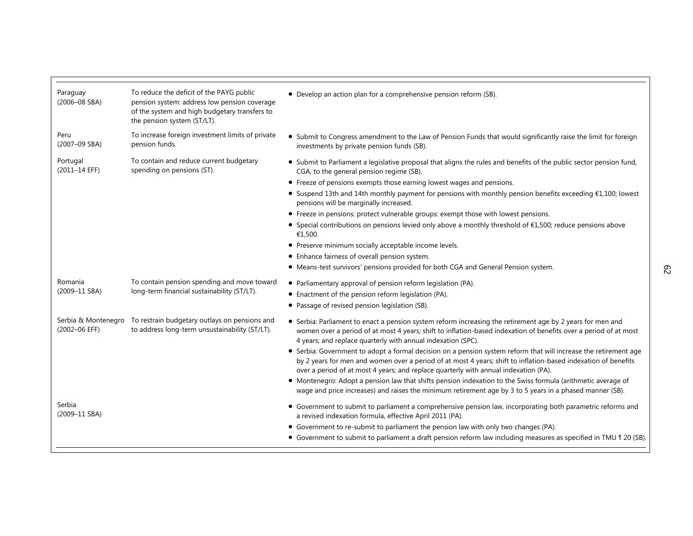| Paraguay<br>(2006-08 SBA)            | To reduce the deficit of the PAYG public<br>pension system: address low pension coverage<br>of the system and high budgetary transfers to<br>the pension system (ST/LT). | • Develop an action plan for a comprehensive pension reform (SB).                                                                                                                                                                                                                                                          |
|--------------------------------------|--------------------------------------------------------------------------------------------------------------------------------------------------------------------------|----------------------------------------------------------------------------------------------------------------------------------------------------------------------------------------------------------------------------------------------------------------------------------------------------------------------------|
| Peru<br>(2007-09 SBA)                | To increase foreign investment limits of private<br>pension funds.                                                                                                       | • Submit to Congress amendment to the Law of Pension Funds that would significantly raise the limit for foreign<br>investments by private pension funds (SB).                                                                                                                                                              |
| Portugal<br>(2011-14 EFF)            | To contain and reduce current budgetary<br>spending on pensions (ST).                                                                                                    | • Submit to Parliament a legislative proposal that aligns the rules and benefits of the public sector pension fund,<br>CGA, to the general pension regime (SB).                                                                                                                                                            |
|                                      |                                                                                                                                                                          | • Freeze of pensions exempts those earning lowest wages and pensions.                                                                                                                                                                                                                                                      |
|                                      |                                                                                                                                                                          | • Suspend 13th and 14th monthly payment for pensions with monthly pension benefits exceeding €1,100; lowest<br>pensions will be marginally increased.                                                                                                                                                                      |
|                                      |                                                                                                                                                                          | • Freeze in pensions: protect vulnerable groups: exempt those with lowest pensions.                                                                                                                                                                                                                                        |
|                                      |                                                                                                                                                                          | • Special contributions on pensions levied only above a monthly threshold of $£1,500$ ; reduce pensions above<br>€1,500.                                                                                                                                                                                                   |
|                                      |                                                                                                                                                                          | • Preserve minimum socially acceptable income levels.                                                                                                                                                                                                                                                                      |
|                                      |                                                                                                                                                                          | • Enhance fairness of overall pension system.                                                                                                                                                                                                                                                                              |
|                                      |                                                                                                                                                                          | • Means-test survivors' pensions provided for both CGA and General Pension system.                                                                                                                                                                                                                                         |
| Romania                              | To contain pension spending and move toward                                                                                                                              | • Parliamentary approval of pension reform legislation (PA).                                                                                                                                                                                                                                                               |
| (2009-11 SBA)                        | long-term financial sustainability (ST/LT).                                                                                                                              | • Enactment of the pension reform legislation (PA).                                                                                                                                                                                                                                                                        |
|                                      |                                                                                                                                                                          | • Passage of revised pension legislation (SB).                                                                                                                                                                                                                                                                             |
| Serbia & Montenegro<br>(2002-06 EFF) | To restrain budgetary outlays on pensions and<br>to address long-term unsustainability (ST/LT).                                                                          | • Serbia: Parliament to enact a pension system reform increasing the retirement age by 2 years for men and<br>women over a period of at most 4 years; shift to inflation-based indexation of benefits over a period of at most<br>4 years; and replace quarterly with annual indexation (SPC).                             |
|                                      |                                                                                                                                                                          | • Serbia: Government to adopt a formal decision on a pension system reform that will increase the retirement age<br>by 2 years for men and women over a period of at most 4 years; shift to inflation-based indexation of benefits<br>over a period of at most 4 years; and replace quarterly with annual indexation (PA). |
|                                      |                                                                                                                                                                          | • Montenegro: Adopt a pension law that shifts pension indexation to the Swiss formula (arithmetic average of<br>wage and price increases) and raises the minimum retirement age by 3 to 5 years in a phased manner (SB).                                                                                                   |
| Serbia<br>(2009-11 SBA)              |                                                                                                                                                                          | • Government to submit to parliament a comprehensive pension law, incorporating both parametric reforms and<br>a revised indexation formula, effective April 2011 (PA).                                                                                                                                                    |
|                                      |                                                                                                                                                                          | • Government to re-submit to parliament the pension law with only two changes (PA).                                                                                                                                                                                                                                        |
|                                      |                                                                                                                                                                          | • Government to submit to parliament a draft pension reform law including measures as specified in TMU 1 20 (SB).                                                                                                                                                                                                          |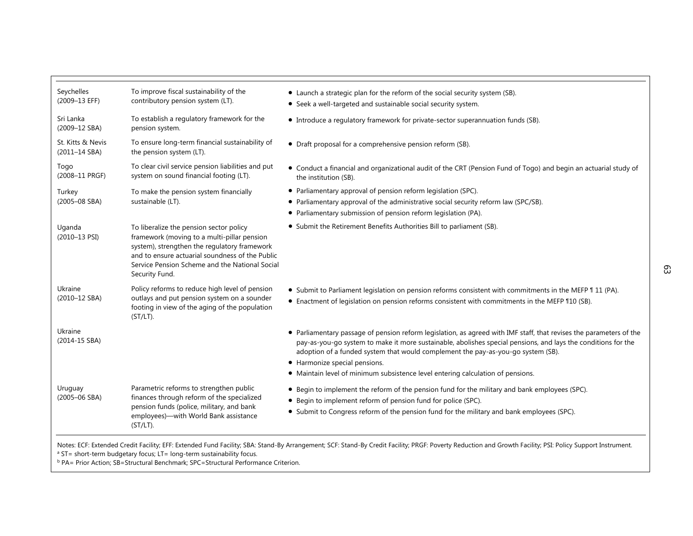| Seychelles                         | To improve fiscal sustainability of the                                                                                                                                                                                                                       | • Launch a strategic plan for the reform of the social security system (SB).                                                                                                                                                                                                                                             |
|------------------------------------|---------------------------------------------------------------------------------------------------------------------------------------------------------------------------------------------------------------------------------------------------------------|--------------------------------------------------------------------------------------------------------------------------------------------------------------------------------------------------------------------------------------------------------------------------------------------------------------------------|
| (2009-13 EFF)                      | contributory pension system (LT).                                                                                                                                                                                                                             | • Seek a well-targeted and sustainable social security system.                                                                                                                                                                                                                                                           |
| Sri Lanka<br>(2009-12 SBA)         | To establish a regulatory framework for the<br>pension system.                                                                                                                                                                                                | • Introduce a regulatory framework for private-sector superannuation funds (SB).                                                                                                                                                                                                                                         |
| St. Kitts & Nevis<br>(2011-14 SBA) | To ensure long-term financial sustainability of<br>the pension system (LT).                                                                                                                                                                                   | • Draft proposal for a comprehensive pension reform (SB).                                                                                                                                                                                                                                                                |
| Togo<br>(2008-11 PRGF)             | To clear civil service pension liabilities and put<br>system on sound financial footing (LT).                                                                                                                                                                 | • Conduct a financial and organizational audit of the CRT (Pension Fund of Togo) and begin an actuarial study of<br>the institution (SB).                                                                                                                                                                                |
| Turkey<br>$(2005 - 08$ SBA)        | To make the pension system financially<br>sustainable (LT).                                                                                                                                                                                                   | • Parliamentary approval of pension reform legislation (SPC).                                                                                                                                                                                                                                                            |
|                                    |                                                                                                                                                                                                                                                               | • Parliamentary approval of the administrative social security reform law (SPC/SB).<br>• Parliamentary submission of pension reform legislation (PA).                                                                                                                                                                    |
| Uganda<br>$(2010 - 13$ PSI)        | To liberalize the pension sector policy<br>framework (moving to a multi-pillar pension<br>system), strengthen the regulatory framework<br>and to ensure actuarial soundness of the Public<br>Service Pension Scheme and the National Social<br>Security Fund. | • Submit the Retirement Benefits Authorities Bill to parliament (SB).                                                                                                                                                                                                                                                    |
| Ukraine<br>(2010-12 SBA)           | Policy reforms to reduce high level of pension<br>outlays and put pension system on a sounder<br>footing in view of the aging of the population<br>$(ST/LT)$ .                                                                                                | • Submit to Parliament legislation on pension reforms consistent with commitments in the MEFP 11 1 (PA).<br>• Enactment of legislation on pension reforms consistent with commitments in the MEFP 110 (SB).                                                                                                              |
| Ukraine<br>(2014-15 SBA)           |                                                                                                                                                                                                                                                               | • Parliamentary passage of pension reform legislation, as agreed with IMF staff, that revises the parameters of the<br>pay-as-you-go system to make it more sustainable, abolishes special pensions, and lays the conditions for the<br>adoption of a funded system that would complement the pay-as-you-go system (SB). |
|                                    |                                                                                                                                                                                                                                                               | • Harmonize special pensions.                                                                                                                                                                                                                                                                                            |
|                                    |                                                                                                                                                                                                                                                               | • Maintain level of minimum subsistence level entering calculation of pensions.                                                                                                                                                                                                                                          |
| Uruguay<br>$(2005 - 06$ SBA)       | Parametric reforms to strengthen public<br>finances through reform of the specialized<br>pension funds (police, military, and bank<br>employees)- with World Bank assistance<br>$(ST/LT)$ .                                                                   | • Begin to implement the reform of the pension fund for the military and bank employees (SPC).                                                                                                                                                                                                                           |
|                                    |                                                                                                                                                                                                                                                               | • Begin to implement reform of pension fund for police (SPC).<br>• Submit to Congress reform of the pension fund for the military and bank employees (SPC).                                                                                                                                                              |

Notes: ECF: Extended Credit Facility; EFF: Extended Fund Facility; SBA: Stand-By Arrangement; SCF: Stand-By Credit Facility; PRGF: Poverty Reduction and Growth Facility; PSI: Policy Support Instrument.<br>ª ST= short-term bud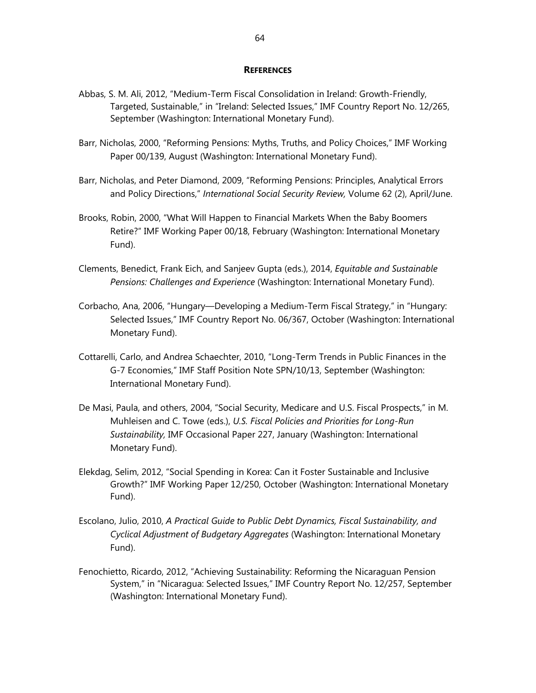#### **REFERENCES**

- Abbas, S. M. Ali, 2012, "Medium-Term Fiscal Consolidation in Ireland: Growth-Friendly, Targeted, Sustainable," in "Ireland: Selected Issues," IMF Country Report No. 12/265, September (Washington: International Monetary Fund).
- Barr, Nicholas, 2000, "Reforming Pensions: Myths, Truths, and Policy Choices," IMF Working Paper 00/139, August (Washington: International Monetary Fund).
- Barr, Nicholas, and Peter Diamond, 2009, "Reforming Pensions: Principles, Analytical Errors and Policy Directions," *International Social Security Review,* Volume 62 (2), April/June.
- Brooks, Robin, 2000, "What Will Happen to Financial Markets When the Baby Boomers Retire?" IMF Working Paper 00/18, February (Washington: International Monetary Fund).
- Clements, Benedict, Frank Eich, and Sanjeev Gupta (eds.), 2014, *Equitable and Sustainable Pensions: Challenges and Experience* (Washington: International Monetary Fund).
- Corbacho, Ana, 2006, "Hungary—Developing a Medium-Term Fiscal Strategy," in "Hungary: Selected Issues," IMF Country Report No. 06/367, October (Washington: International Monetary Fund).
- Cottarelli, Carlo, and Andrea Schaechter, 2010, "Long-Term Trends in Public Finances in the G-7 Economies," IMF Staff Position Note SPN/10/13, September (Washington: International Monetary Fund).
- De Masi, Paula, and others, 2004, "Social Security, Medicare and U.S. Fiscal Prospects," in M. Muhleisen and C. Towe (eds.), *U.S. Fiscal Policies and Priorities for Long-Run Sustainability,* IMF Occasional Paper 227, January (Washington: International Monetary Fund).
- Elekdag, Selim, 2012, "Social Spending in Korea: Can it Foster Sustainable and Inclusive Growth?" IMF Working Paper 12/250, October (Washington: International Monetary Fund).
- Escolano, Julio, 2010, *A Practical Guide to Public Debt Dynamics, Fiscal Sustainability, and Cyclical Adjustment of Budgetary Aggregates* (Washington: International Monetary Fund).
- Fenochietto, Ricardo, 2012, "Achieving Sustainability: Reforming the Nicaraguan Pension System," in "Nicaragua: Selected Issues," IMF Country Report No. 12/257, September (Washington: International Monetary Fund).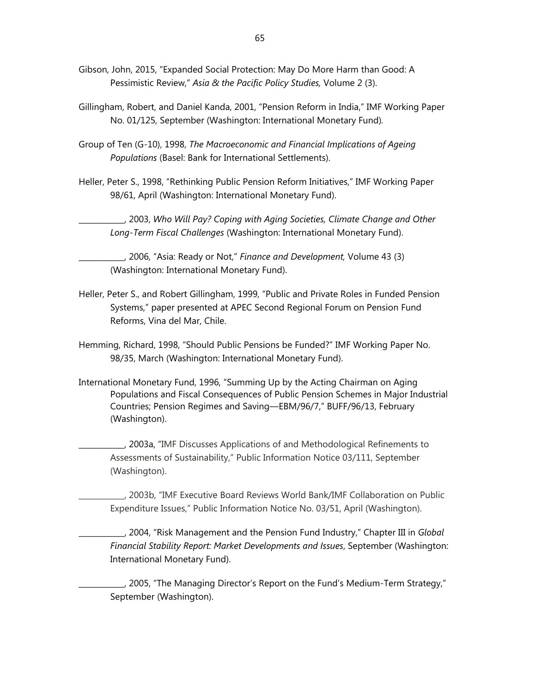- Gibson, John, 2015, "Expanded Social Protection: May Do More Harm than Good: A Pessimistic Review," *Asia & the Pacific Policy Studies,* Volume 2 (3).
- Gillingham, Robert, and Daniel Kanda, 2001, "Pension Reform in India," IMF Working Paper No. 01/125, September (Washington: International Monetary Fund)*.*
- Group of Ten (G-10), 1998, *The Macroeconomic and Financial Implications of Ageing Populations* (Basel: Bank for International Settlements).
- Heller, Peter S., 1998, "Rethinking Public Pension Reform Initiatives," IMF Working Paper 98/61, April (Washington: International Monetary Fund).

\_\_\_\_\_\_\_\_\_\_\_\_, 2003, *Who Will Pay? Coping with Aging Societies, Climate Change and Other Long-Term Fiscal Challenges* (Washington: International Monetary Fund).

\_\_\_\_\_\_\_\_\_\_\_\_, 2006, "Asia: Ready or Not," *Finance and Development,* Volume 43 (3) (Washington: International Monetary Fund).

- Heller, Peter S., and Robert Gillingham, 1999, "Public and Private Roles in Funded Pension Systems," paper presented at APEC Second Regional Forum on Pension Fund Reforms, Vina del Mar, Chile.
- Hemming, Richard, 1998, "Should Public Pensions be Funded?" IMF Working Paper No. 98/35, March (Washington: International Monetary Fund).
- International Monetary Fund, 1996, "Summing Up by the Acting Chairman on Aging Populations and Fiscal Consequences of Public Pension Schemes in Major Industrial Countries; Pension Regimes and Saving—EBM/96/7," BUFF/96/13, February (Washington).

\_\_\_\_\_\_\_\_\_\_\_\_, 2003a, "IMF Discusses Applications of and Methodological Refinements to Assessments of Sustainability," Public Information Notice 03/111, September (Washington).

\_\_\_\_\_\_\_\_\_\_\_\_, 2003b, "IMF Executive Board Reviews World Bank/IMF Collaboration on Public Expenditure Issues," Public Information Notice No. 03/51, April (Washington).

\_\_\_\_\_\_\_\_\_\_\_\_, 2004, "Risk Management and the Pension Fund Industry," Chapter III in *Global Financial Stability Report: Market Developments and Issues*, September (Washington: International Monetary Fund).

\_\_\_\_\_\_\_\_\_\_\_\_, 2005, "The Managing Director's Report on the Fund's Medium-Term Strategy," September (Washington).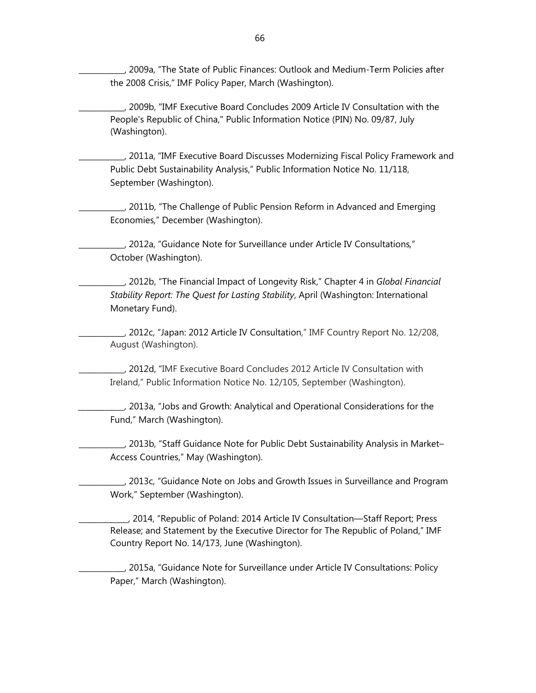\_\_\_\_\_\_\_\_\_\_\_\_, 2009a, "The State of Public Finances: Outlook and Medium-Term Policies after the 2008 Crisis," IMF Policy Paper, March (Washington).

\_\_\_\_\_\_\_\_\_\_\_\_, 2009b, "IMF Executive Board Concludes 2009 Article IV Consultation with the People's Republic of China," Public Information Notice (PIN) No. 09/87, July (Washington).

\_\_\_\_\_\_\_\_\_\_\_\_, 2011a, "IMF Executive Board Discusses Modernizing Fiscal Policy Framework and Public Debt Sustainability Analysis," Public Information Notice No. 11/118, September (Washington).

\_\_\_\_\_\_\_\_\_\_\_\_, 2011b, "The Challenge of Public Pension Reform in Advanced and Emerging Economies*,*" December (Washington).

\_\_\_\_\_\_\_\_\_\_\_\_, 2012a, "Guidance Note for Surveillance under Article IV Consultations*,*" October (Washington).

\_\_\_\_\_\_\_\_\_\_\_\_, 2012b, "The Financial Impact of Longevity Risk," Chapter 4 in *Global Financial Stability Report: The Quest for Lasting Stability*, April (Washington: International Monetary Fund).

\_\_\_\_\_\_\_\_\_\_\_\_, 2012c, "Japan: 2012 Article IV Consultation," IMF Country Report No. 12/208, August (Washington).

\_\_\_\_\_\_\_\_\_\_\_\_, 2012d, "IMF Executive Board Concludes 2012 Article IV Consultation with Ireland," Public Information Notice No. 12/105, September (Washington).

*\_\_\_\_\_\_\_\_\_\_\_\_,* 2013a, "Jobs and Growth: Analytical and Operational Considerations for the Fund," March (Washington).

\_\_\_\_\_\_\_\_\_\_\_\_, 2013b, "Staff Guidance Note for Public Debt Sustainability Analysis in Market– Access Countries," May (Washington).

\_\_\_\_\_\_\_\_\_\_\_\_, 2013c, "Guidance Note on Jobs and Growth Issues in Surveillance and Program Work," September (Washington).

\_\_\_\_\_\_\_\_\_\_\_\_\_, 2014, "Republic of Poland: 2014 Article IV Consultation––Staff Report; Press Release; and Statement by the Executive Director for The Republic of Poland," IMF Country Report No. 14/173, June (Washington).

\_\_\_\_\_\_\_\_\_\_\_\_, 2015a, "Guidance Note for Surveillance under Article IV Consultations: Policy Paper," March (Washington).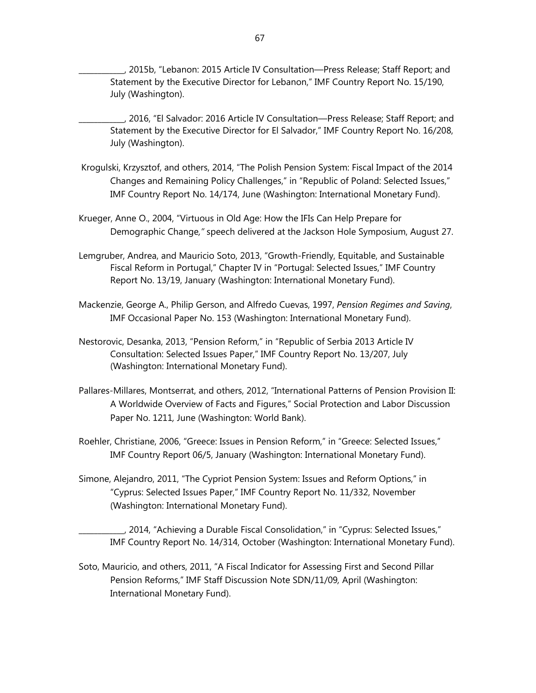\_\_\_\_\_\_\_\_\_\_\_\_, 2015b, "Lebanon: 2015 Article IV Consultation—Press Release; Staff Report; and Statement by the Executive Director for Lebanon," IMF Country Report No. 15/190, July (Washington).

\_\_\_\_\_\_\_\_\_\_\_\_, 2016, "El Salvador: 2016 Article IV Consultation—Press Release; Staff Report; and Statement by the Executive Director for El Salvador," IMF Country Report No. 16/208, July (Washington).

- Krogulski, Krzysztof, and others, 2014, "The Polish Pension System: Fiscal Impact of the 2014 Changes and Remaining Policy Challenges," in "Republic of Poland: Selected Issues," IMF Country Report No. 14/174, June (Washington: International Monetary Fund).
- Krueger, Anne O., 2004, "Virtuous in Old Age: How the IFIs Can Help Prepare for Demographic Change*,"* speech delivered at the Jackson Hole Symposium, August 27.
- Lemgruber, Andrea, and Mauricio Soto, 2013, "Growth-Friendly, Equitable, and Sustainable Fiscal Reform in Portugal," Chapter IV in "Portugal: Selected Issues," IMF Country Report No. 13/19, January (Washington: International Monetary Fund).
- Mackenzie, George A., Philip Gerson, and Alfredo Cuevas, 1997, *Pension Regimes and Saving*, IMF Occasional Paper No. 153 (Washington: International Monetary Fund).
- Nestorovic, Desanka, 2013, "Pension Reform," in "Republic of Serbia 2013 Article IV Consultation: Selected Issues Paper," IMF Country Report No. 13/207, July (Washington: International Monetary Fund).
- Pallares-Millares, Montserrat, and others, 2012, "International Patterns of Pension Provision II: A Worldwide Overview of Facts and Figures," Social Protection and Labor Discussion Paper No. 1211*,* June (Washington: World Bank).
- Roehler, Christiane, 2006, "Greece: Issues in Pension Reform," in "Greece: Selected Issues," IMF Country Report 06/5, January (Washington: International Monetary Fund).
- Simone, Alejandro, 2011, "The Cypriot Pension System: Issues and Reform Options," in "Cyprus: Selected Issues Paper," IMF Country Report No. 11/332, November (Washington: International Monetary Fund).

\_\_\_\_\_\_\_\_\_\_\_\_, 2014, "Achieving a Durable Fiscal Consolidation," in "Cyprus: Selected Issues," IMF Country Report No. 14/314, October (Washington: International Monetary Fund).

Soto, Mauricio, and others, 2011, "A Fiscal Indicator for Assessing First and Second Pillar Pension Reforms," IMF Staff Discussion Note SDN/11/09*,* April (Washington: International Monetary Fund).